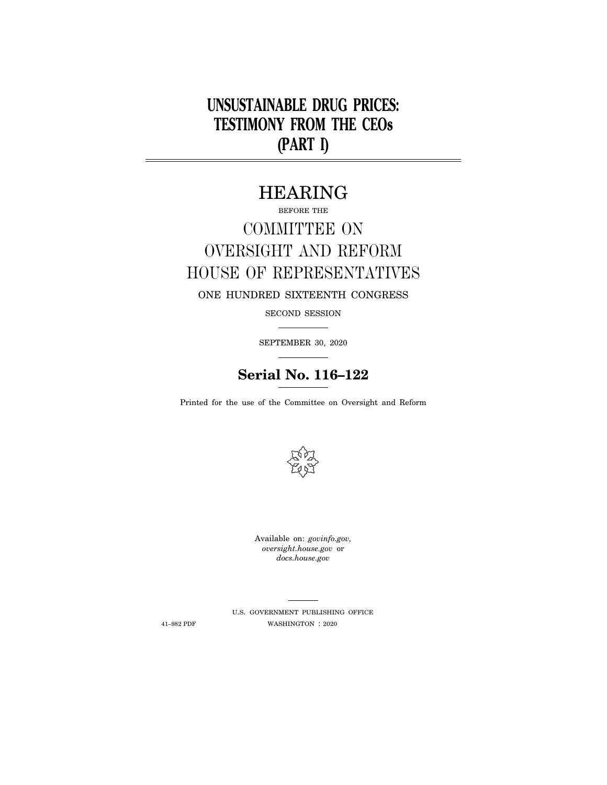# **UNSUSTAINABLE DRUG PRICES: TESTIMONY FROM THE CEOs (PART I)**

## HEARING

## BEFORE THE COMMITTEE ON OVERSIGHT AND REFORM HOUSE OF REPRESENTATIVES ONE HUNDRED SIXTEENTH CONGRESS

SECOND SESSION

SEPTEMBER 30, 2020

## **Serial No. 116–122**

Printed for the use of the Committee on Oversight and Reform



Available on: *govinfo.gov, oversight.house.gov* or *docs.house.gov* 

U.S. GOVERNMENT PUBLISHING OFFICE  $41–982$  PDF  $$\tt WASHINGTON$  :  $2020$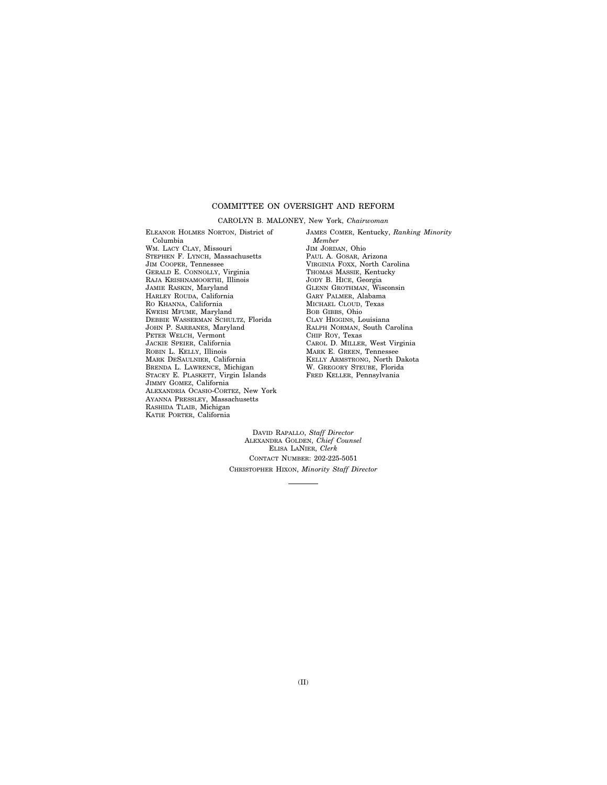#### COMMITTEE ON OVERSIGHT AND REFORM

#### CAROLYN B. MALONEY, New York, *Chairwoman*

ELEANOR HOLMES NORTON, District of Columbia WM. LACY CLAY, Missouri STEPHEN F. LYNCH, Massachusetts JIM COOPER, Tennessee GERALD E. CONNOLLY, Virginia RAJA KRISHNAMOORTHI, Illinois JAMIE RASKIN, Maryland HARLEY ROUDA, California RO KHANNA, California KWEISI MFUME, Maryland DEBBIE WASSERMAN SCHULTZ, Florida JOHN P. SARBANES, Maryland PETER WELCH, Vermont JACKIE SPEIER, California ROBIN L. KELLY, Illinois MARK DESAULNIER, California BRENDA L. LAWRENCE, Michigan STACEY E. PLASKETT, Virgin Islands JIMMY GOMEZ, California ALEXANDRIA OCASIO-CORTEZ, New York AYANNA PRESSLEY, Massachusetts RASHIDA TLAIB, Michigan KATIE PORTER, California

JAMES COMER, Kentucky, *Ranking Minority Member*  JIM JORDAN, Ohio PAUL A. GOSAR, Arizona VIRGINIA FOXX, North Carolina THOMAS MASSIE, Kentucky JODY B. HICE, Georgia GLENN GROTHMAN, Wisconsin GARY PALMER, Alabama MICHAEL CLOUD, Texas BOB GIBBS, Ohio CLAY HIGGINS, Louisiana RALPH NORMAN, South Carolina CHIP ROY, Texas CAROL D. MILLER, West Virginia MARK E. GREEN, Tennessee KELLY ARMSTRONG, North Dakota W. GREGORY STEUBE, Florida FRED KELLER, Pennsylvania

DAVID RAPALLO, *Staff Director*  ALEXANDRA GOLDEN, *Chief Counsel*  ELISA LANIER, *Clerk*  CONTACT NUMBER: 202-225-5051 CHRISTOPHER HIXON, *Minority Staff Director*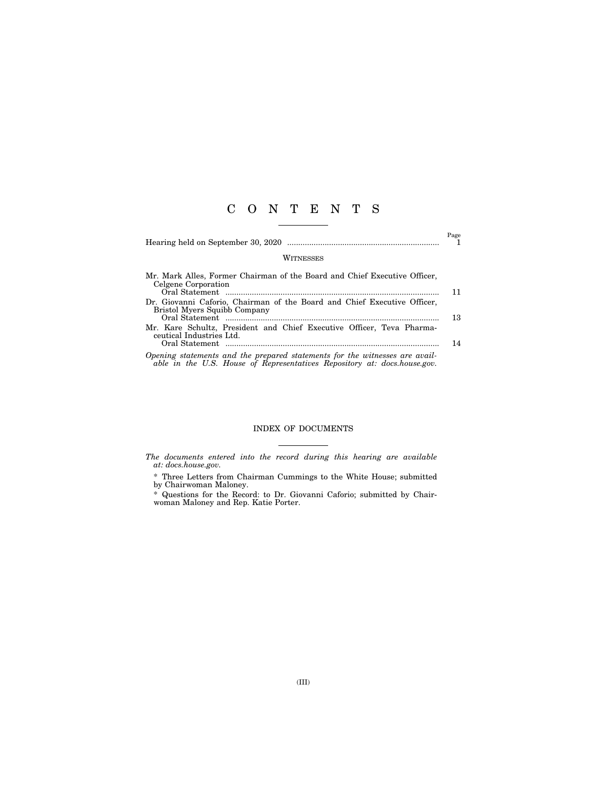## C O N T E N T S

|                                                                                                                                                         | Page |
|---------------------------------------------------------------------------------------------------------------------------------------------------------|------|
| WITNESSES                                                                                                                                               |      |
| Mr. Mark Alles, Former Chairman of the Board and Chief Executive Officer,<br>Celgene Corporation                                                        | 11   |
| Dr. Giovanni Caforio, Chairman of the Board and Chief Executive Officer,<br>Bristol Myers Squibb Company                                                | 13   |
| Mr. Kare Schultz, President and Chief Executive Officer, Teva Pharma-<br>centical Industries Ltd.                                                       | 14   |
| Opening statements and the prepared statements for the witnesses are avail-<br>able in the U.S. House of Representatives Repository at: docs.house.gov. |      |

#### INDEX OF DOCUMENTS

*The documents entered into the record during this hearing are available at: docs.house.gov.* 

\* Three Letters from Chairman Cummings to the White House; submitted by Chairwoman Maloney.

\* Questions for the Record: to Dr. Giovanni Caforio; submitted by Chairwoman Maloney and Rep. Katie Porter.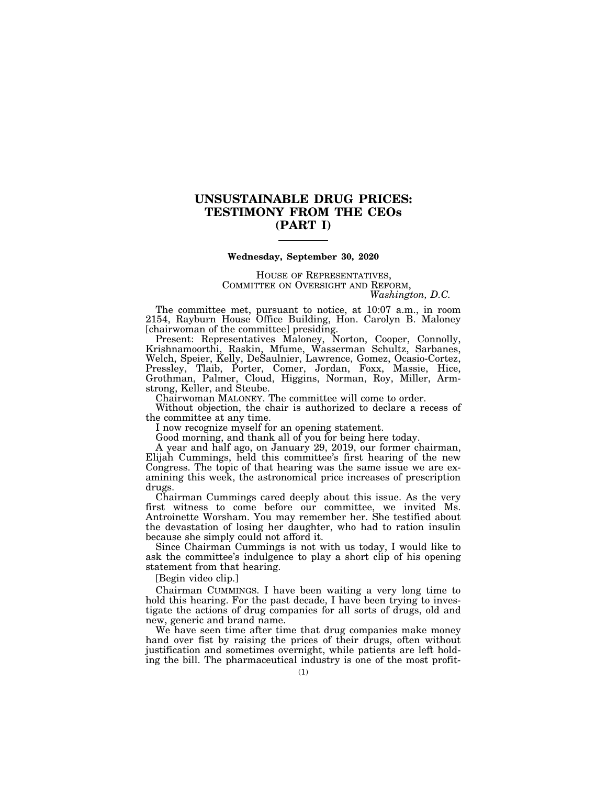### **UNSUSTAINABLE DRUG PRICES: TESTIMONY FROM THE CEOs (PART I)**

#### **Wednesday, September 30, 2020**

# HOUSE OF REPRESENTATIVES, COMMITTEE ON OVERSIGHT AND REFORM, *Washington, D.C.*

The committee met, pursuant to notice, at 10:07 a.m., in room 2154, Rayburn House Office Building, Hon. Carolyn B. Maloney [chairwoman of the committee] presiding.

Present: Representatives Maloney, Norton, Cooper, Connolly, Krishnamoorthi, Raskin, Mfume, Wasserman Schultz, Sarbanes, Welch, Speier, Kelly, DeSaulnier, Lawrence, Gomez, Ocasio-Cortez, Pressley, Tlaib, Porter, Comer, Jordan, Foxx, Massie, Hice, Grothman, Palmer, Cloud, Higgins, Norman, Roy, Miller, Armstrong, Keller, and Steube.

Chairwoman MALONEY. The committee will come to order.

Without objection, the chair is authorized to declare a recess of the committee at any time.

I now recognize myself for an opening statement.

Good morning, and thank all of you for being here today.

A year and half ago, on January 29, 2019, our former chairman, Elijah Cummings, held this committee's first hearing of the new Congress. The topic of that hearing was the same issue we are examining this week, the astronomical price increases of prescription drugs.

Chairman Cummings cared deeply about this issue. As the very first witness to come before our committee, we invited Ms. Antroinette Worsham. You may remember her. She testified about the devastation of losing her daughter, who had to ration insulin because she simply could not afford it.

Since Chairman Cummings is not with us today, I would like to ask the committee's indulgence to play a short clip of his opening statement from that hearing.

[Begin video clip.]

Chairman CUMMINGS. I have been waiting a very long time to hold this hearing. For the past decade, I have been trying to investigate the actions of drug companies for all sorts of drugs, old and new, generic and brand name.

We have seen time after time that drug companies make money hand over fist by raising the prices of their drugs, often without justification and sometimes overnight, while patients are left holding the bill. The pharmaceutical industry is one of the most profit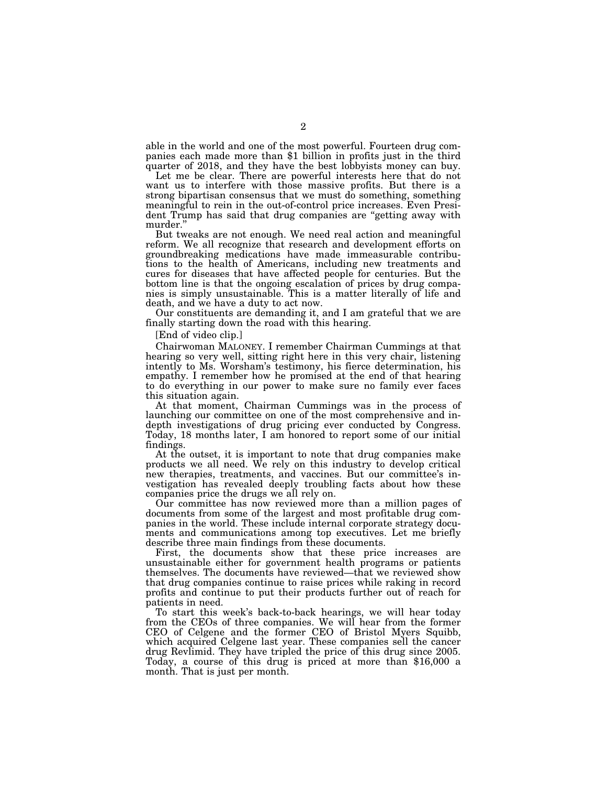able in the world and one of the most powerful. Fourteen drug companies each made more than \$1 billion in profits just in the third quarter of 2018, and they have the best lobbyists money can buy.

Let me be clear. There are powerful interests here that do not want us to interfere with those massive profits. But there is a strong bipartisan consensus that we must do something, something meaningful to rein in the out-of-control price increases. Even President Trump has said that drug companies are ''getting away with murder.''

But tweaks are not enough. We need real action and meaningful reform. We all recognize that research and development efforts on groundbreaking medications have made immeasurable contributions to the health of Americans, including new treatments and cures for diseases that have affected people for centuries. But the bottom line is that the ongoing escalation of prices by drug companies is simply unsustainable. This is a matter literally of life and death, and we have a duty to act now.

Our constituents are demanding it, and I am grateful that we are finally starting down the road with this hearing.

[End of video clip.]

Chairwoman MALONEY. I remember Chairman Cummings at that hearing so very well, sitting right here in this very chair, listening intently to Ms. Worsham's testimony, his fierce determination, his empathy. I remember how he promised at the end of that hearing to do everything in our power to make sure no family ever faces this situation again.

At that moment, Chairman Cummings was in the process of launching our committee on one of the most comprehensive and indepth investigations of drug pricing ever conducted by Congress. Today, 18 months later, I am honored to report some of our initial findings.

At the outset, it is important to note that drug companies make products we all need. We rely on this industry to develop critical new therapies, treatments, and vaccines. But our committee's investigation has revealed deeply troubling facts about how these companies price the drugs we all rely on.

Our committee has now reviewed more than a million pages of documents from some of the largest and most profitable drug companies in the world. These include internal corporate strategy documents and communications among top executives. Let me briefly describe three main findings from these documents.

First, the documents show that these price increases are unsustainable either for government health programs or patients themselves. The documents have reviewed—that we reviewed show that drug companies continue to raise prices while raking in record profits and continue to put their products further out of reach for patients in need.

To start this week's back-to-back hearings, we will hear today from the CEOs of three companies. We will hear from the former CEO of Celgene and the former CEO of Bristol Myers Squibb, which acquired Celgene last year. These companies sell the cancer drug Revlimid. They have tripled the price of this drug since 2005. Today, a course of this drug is priced at more than \$16,000 a month. That is just per month.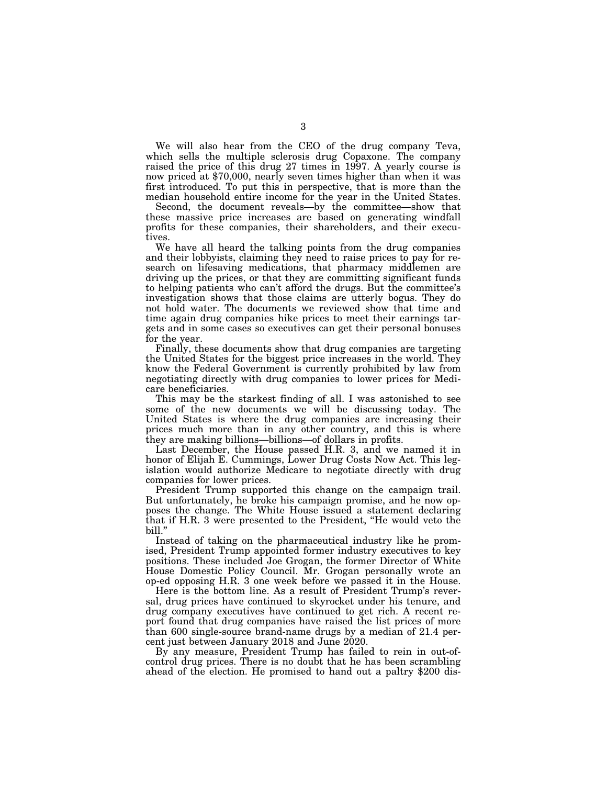We will also hear from the CEO of the drug company Teva, which sells the multiple sclerosis drug Copaxone. The company raised the price of this drug 27 times in 1997. A yearly course is now priced at \$70,000, nearly seven times higher than when it was first introduced. To put this in perspective, that is more than the median household entire income for the year in the United States.

Second, the document reveals—by the committee—show that these massive price increases are based on generating windfall profits for these companies, their shareholders, and their executives.

We have all heard the talking points from the drug companies and their lobbyists, claiming they need to raise prices to pay for research on lifesaving medications, that pharmacy middlemen are driving up the prices, or that they are committing significant funds to helping patients who can't afford the drugs. But the committee's investigation shows that those claims are utterly bogus. They do not hold water. The documents we reviewed show that time and time again drug companies hike prices to meet their earnings targets and in some cases so executives can get their personal bonuses for the year.

Finally, these documents show that drug companies are targeting the United States for the biggest price increases in the world. They know the Federal Government is currently prohibited by law from negotiating directly with drug companies to lower prices for Medicare beneficiaries.

This may be the starkest finding of all. I was astonished to see some of the new documents we will be discussing today. The United States is where the drug companies are increasing their prices much more than in any other country, and this is where they are making billions—billions—of dollars in profits.

Last December, the House passed H.R. 3, and we named it in honor of Elijah E. Cummings, Lower Drug Costs Now Act. This legislation would authorize Medicare to negotiate directly with drug companies for lower prices.

President Trump supported this change on the campaign trail. But unfortunately, he broke his campaign promise, and he now opposes the change. The White House issued a statement declaring that if H.R. 3 were presented to the President, ''He would veto the bill.''

Instead of taking on the pharmaceutical industry like he promised, President Trump appointed former industry executives to key positions. These included Joe Grogan, the former Director of White House Domestic Policy Council. Mr. Grogan personally wrote an op-ed opposing H.R. 3 one week before we passed it in the House.

Here is the bottom line. As a result of President Trump's reversal, drug prices have continued to skyrocket under his tenure, and drug company executives have continued to get rich. A recent report found that drug companies have raised the list prices of more than 600 single-source brand-name drugs by a median of 21.4 percent just between January 2018 and June 2020.

By any measure, President Trump has failed to rein in out-ofcontrol drug prices. There is no doubt that he has been scrambling ahead of the election. He promised to hand out a paltry \$200 dis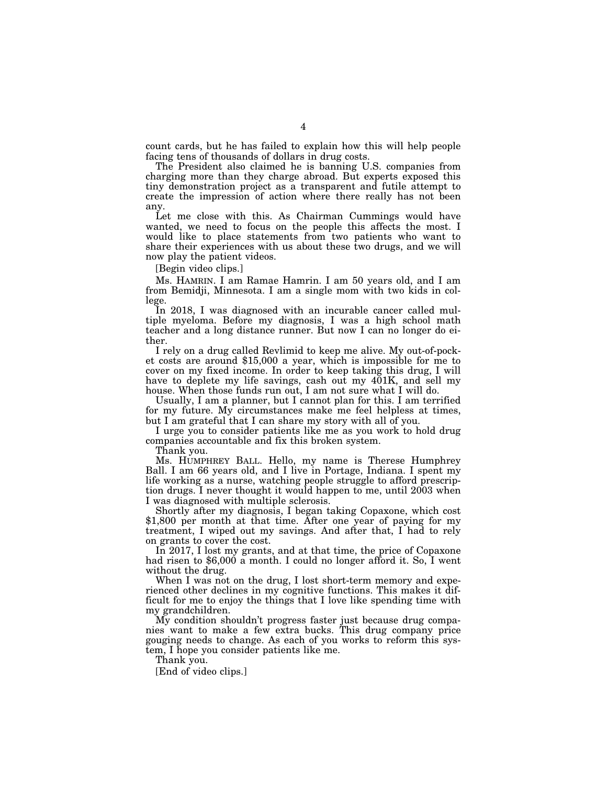count cards, but he has failed to explain how this will help people facing tens of thousands of dollars in drug costs.

The President also claimed he is banning U.S. companies from charging more than they charge abroad. But experts exposed this tiny demonstration project as a transparent and futile attempt to create the impression of action where there really has not been any.

Let me close with this. As Chairman Cummings would have wanted, we need to focus on the people this affects the most. I would like to place statements from two patients who want to share their experiences with us about these two drugs, and we will now play the patient videos.

[Begin video clips.]

Ms. HAMRIN. I am Ramae Hamrin. I am 50 years old, and I am from Bemidji, Minnesota. I am a single mom with two kids in college.

In 2018, I was diagnosed with an incurable cancer called multiple myeloma. Before my diagnosis, I was a high school math teacher and a long distance runner. But now I can no longer do either.

I rely on a drug called Revlimid to keep me alive. My out-of-pocket costs are around \$15,000 a year, which is impossible for me to cover on my fixed income. In order to keep taking this drug, I will have to deplete my life savings, cash out my 401K, and sell my house. When those funds run out, I am not sure what I will do.

Usually, I am a planner, but I cannot plan for this. I am terrified for my future. My circumstances make me feel helpless at times, but I am grateful that I can share my story with all of you.

I urge you to consider patients like me as you work to hold drug companies accountable and fix this broken system.

Thank you.

Ms. HUMPHREY BALL. Hello, my name is Therese Humphrey Ball. I am 66 years old, and I live in Portage, Indiana. I spent my life working as a nurse, watching people struggle to afford prescription drugs. I never thought it would happen to me, until 2003 when I was diagnosed with multiple sclerosis.

Shortly after my diagnosis, I began taking Copaxone, which cost \$1,800 per month at that time. After one year of paying for my treatment, I wiped out my savings. And after that, I had to rely on grants to cover the cost.<br>In 2017, I lost my grants, and at that time, the price of Copaxone

had risen to \$6,000 a month. I could no longer afford it. So, I went without the drug.

When I was not on the drug, I lost short-term memory and experienced other declines in my cognitive functions. This makes it difficult for me to enjoy the things that I love like spending time with my grandchildren.

My condition shouldn't progress faster just because drug companies want to make a few extra bucks. This drug company price gouging needs to change. As each of you works to reform this system, I hope you consider patients like me.

Thank you.

[End of video clips.]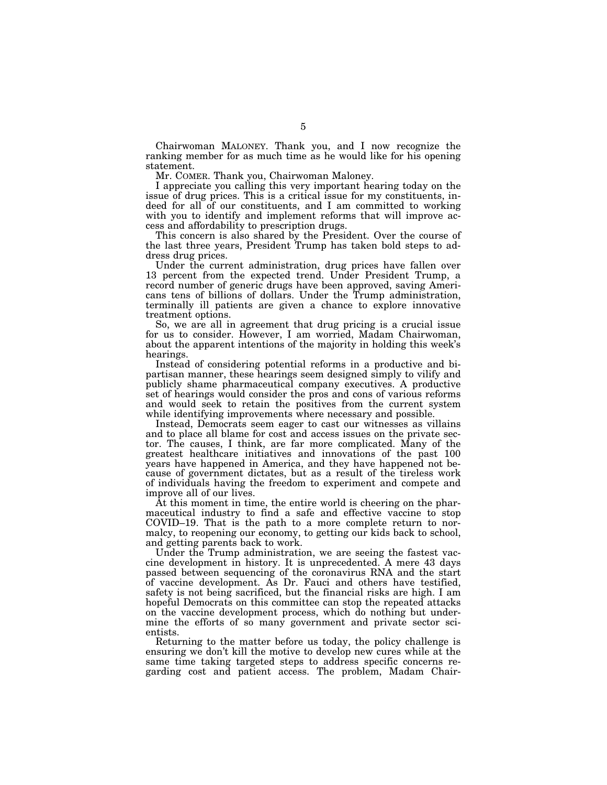Chairwoman MALONEY. Thank you, and I now recognize the ranking member for as much time as he would like for his opening statement.

Mr. COMER. Thank you, Chairwoman Maloney.

I appreciate you calling this very important hearing today on the issue of drug prices. This is a critical issue for my constituents, indeed for all of our constituents, and I am committed to working with you to identify and implement reforms that will improve access and affordability to prescription drugs.

This concern is also shared by the President. Over the course of the last three years, President Trump has taken bold steps to address drug prices.

Under the current administration, drug prices have fallen over 13 percent from the expected trend. Under President Trump, a record number of generic drugs have been approved, saving Americans tens of billions of dollars. Under the Trump administration, terminally ill patients are given a chance to explore innovative treatment options.

So, we are all in agreement that drug pricing is a crucial issue for us to consider. However, I am worried, Madam Chairwoman, about the apparent intentions of the majority in holding this week's hearings.

Instead of considering potential reforms in a productive and bipartisan manner, these hearings seem designed simply to vilify and publicly shame pharmaceutical company executives. A productive set of hearings would consider the pros and cons of various reforms and would seek to retain the positives from the current system while identifying improvements where necessary and possible.

Instead, Democrats seem eager to cast our witnesses as villains and to place all blame for cost and access issues on the private sector. The causes, I think, are far more complicated. Many of the greatest healthcare initiatives and innovations of the past 100 years have happened in America, and they have happened not because of government dictates, but as a result of the tireless work of individuals having the freedom to experiment and compete and improve all of our lives.

At this moment in time, the entire world is cheering on the pharmaceutical industry to find a safe and effective vaccine to stop COVID–19. That is the path to a more complete return to normalcy, to reopening our economy, to getting our kids back to school, and getting parents back to work.

Under the Trump administration, we are seeing the fastest vaccine development in history. It is unprecedented. A mere 43 days passed between sequencing of the coronavirus RNA and the start of vaccine development. As Dr. Fauci and others have testified, safety is not being sacrificed, but the financial risks are high. I am hopeful Democrats on this committee can stop the repeated attacks on the vaccine development process, which do nothing but undermine the efforts of so many government and private sector scientists.

Returning to the matter before us today, the policy challenge is ensuring we don't kill the motive to develop new cures while at the same time taking targeted steps to address specific concerns regarding cost and patient access. The problem, Madam Chair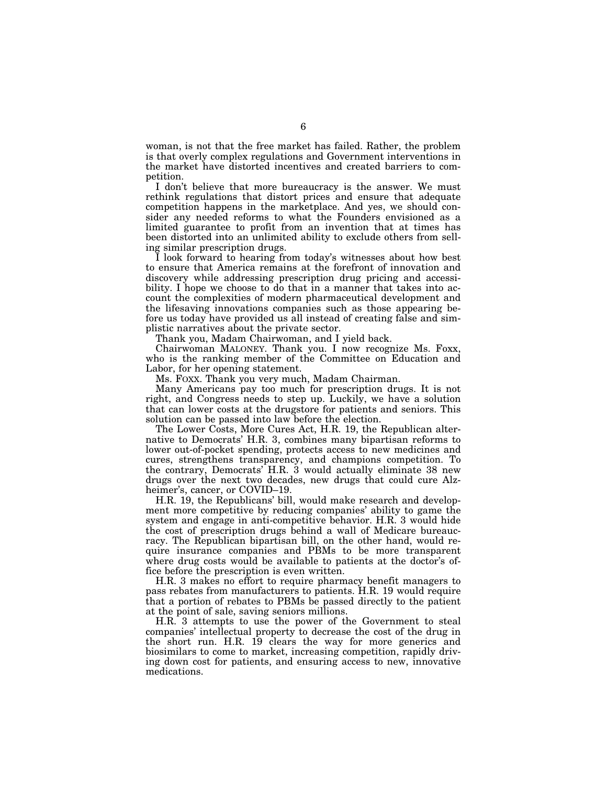woman, is not that the free market has failed. Rather, the problem is that overly complex regulations and Government interventions in the market have distorted incentives and created barriers to competition.

I don't believe that more bureaucracy is the answer. We must rethink regulations that distort prices and ensure that adequate competition happens in the marketplace. And yes, we should consider any needed reforms to what the Founders envisioned as a limited guarantee to profit from an invention that at times has been distorted into an unlimited ability to exclude others from selling similar prescription drugs.

I look forward to hearing from today's witnesses about how best to ensure that America remains at the forefront of innovation and discovery while addressing prescription drug pricing and accessibility. I hope we choose to do that in a manner that takes into account the complexities of modern pharmaceutical development and the lifesaving innovations companies such as those appearing before us today have provided us all instead of creating false and simplistic narratives about the private sector.

Thank you, Madam Chairwoman, and I yield back.

Chairwoman MALONEY. Thank you. I now recognize Ms. Foxx, who is the ranking member of the Committee on Education and Labor, for her opening statement.

Ms. FOXX. Thank you very much, Madam Chairman.

Many Americans pay too much for prescription drugs. It is not right, and Congress needs to step up. Luckily, we have a solution that can lower costs at the drugstore for patients and seniors. This solution can be passed into law before the election.

The Lower Costs, More Cures Act, H.R. 19, the Republican alternative to Democrats' H.R. 3, combines many bipartisan reforms to lower out-of-pocket spending, protects access to new medicines and cures, strengthens transparency, and champions competition. To the contrary, Democrats' H.R. 3 would actually eliminate 38 new drugs over the next two decades, new drugs that could cure Alzheimer's, cancer, or COVID–19.

H.R. 19, the Republicans' bill, would make research and development more competitive by reducing companies' ability to game the system and engage in anti-competitive behavior. H.R. 3 would hide the cost of prescription drugs behind a wall of Medicare bureaucracy. The Republican bipartisan bill, on the other hand, would require insurance companies and PBMs to be more transparent where drug costs would be available to patients at the doctor's office before the prescription is even written.

H.R. 3 makes no effort to require pharmacy benefit managers to pass rebates from manufacturers to patients. H.R. 19 would require that a portion of rebates to PBMs be passed directly to the patient at the point of sale, saving seniors millions.

H.R. 3 attempts to use the power of the Government to steal companies' intellectual property to decrease the cost of the drug in the short run. H.R. 19 clears the way for more generics and biosimilars to come to market, increasing competition, rapidly driving down cost for patients, and ensuring access to new, innovative medications.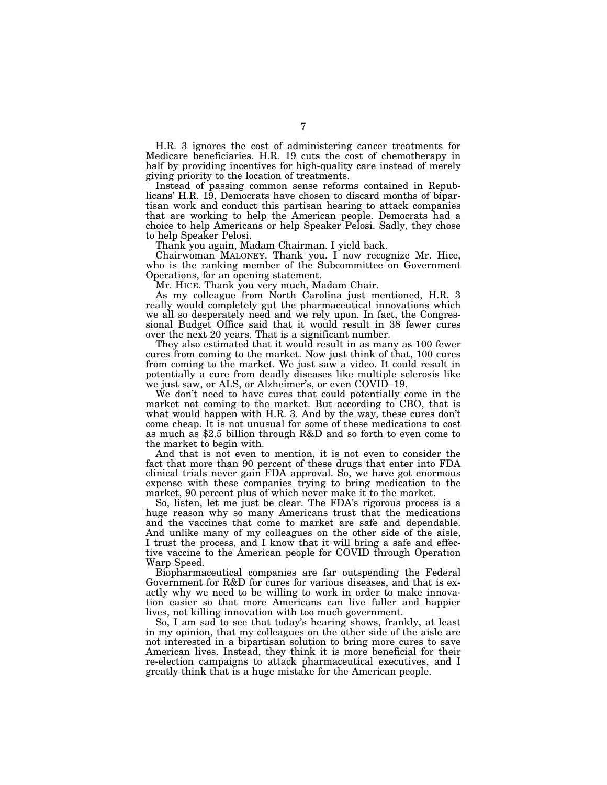H.R. 3 ignores the cost of administering cancer treatments for Medicare beneficiaries. H.R. 19 cuts the cost of chemotherapy in half by providing incentives for high-quality care instead of merely giving priority to the location of treatments.

Instead of passing common sense reforms contained in Republicans' H.R. 19, Democrats have chosen to discard months of bipartisan work and conduct this partisan hearing to attack companies that are working to help the American people. Democrats had a choice to help Americans or help Speaker Pelosi. Sadly, they chose to help Speaker Pelosi.

Thank you again, Madam Chairman. I yield back.

Chairwoman MALONEY. Thank you. I now recognize Mr. Hice, who is the ranking member of the Subcommittee on Government Operations, for an opening statement.

Mr. HICE. Thank you very much, Madam Chair.

As my colleague from North Carolina just mentioned, H.R. 3 really would completely gut the pharmaceutical innovations which we all so desperately need and we rely upon. In fact, the Congressional Budget Office said that it would result in 38 fewer cures over the next 20 years. That is a significant number.

They also estimated that it would result in as many as 100 fewer cures from coming to the market. Now just think of that, 100 cures from coming to the market. We just saw a video. It could result in potentially a cure from deadly diseases like multiple sclerosis like we just saw, or ALS, or Alzheimer's, or even COVID–19.

We don't need to have cures that could potentially come in the market not coming to the market. But according to CBO, that is what would happen with H.R. 3. And by the way, these cures don't come cheap. It is not unusual for some of these medications to cost as much as \$2.5 billion through R&D and so forth to even come to the market to begin with.

And that is not even to mention, it is not even to consider the fact that more than 90 percent of these drugs that enter into FDA clinical trials never gain FDA approval. So, we have got enormous expense with these companies trying to bring medication to the market, 90 percent plus of which never make it to the market.

So, listen, let me just be clear. The FDA's rigorous process is a huge reason why so many Americans trust that the medications and the vaccines that come to market are safe and dependable. And unlike many of my colleagues on the other side of the aisle, I trust the process, and I know that it will bring a safe and effective vaccine to the American people for COVID through Operation Warp Speed.

Biopharmaceutical companies are far outspending the Federal Government for R&D for cures for various diseases, and that is exactly why we need to be willing to work in order to make innovation easier so that more Americans can live fuller and happier lives, not killing innovation with too much government.

So, I am sad to see that today's hearing shows, frankly, at least in my opinion, that my colleagues on the other side of the aisle are not interested in a bipartisan solution to bring more cures to save American lives. Instead, they think it is more beneficial for their re-election campaigns to attack pharmaceutical executives, and I greatly think that is a huge mistake for the American people.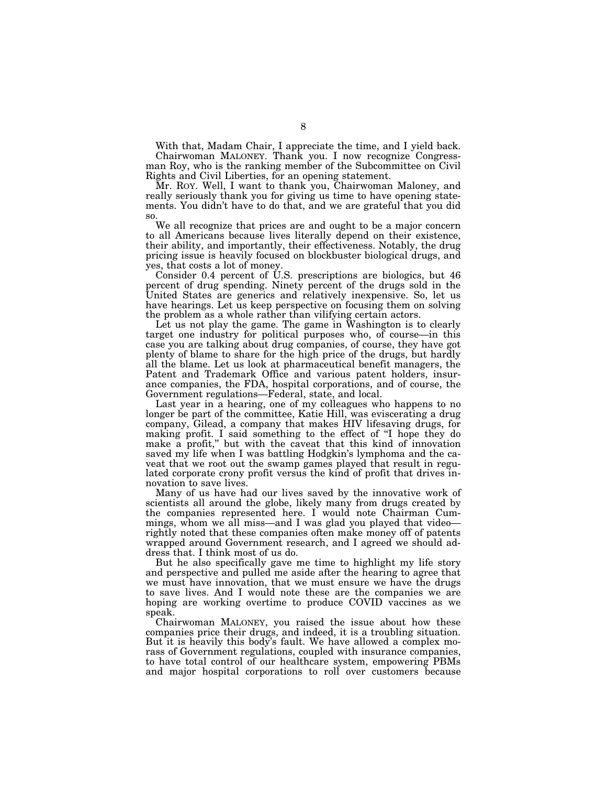With that, Madam Chair, I appreciate the time, and I yield back. Chairwoman MALONEY. Thank you. I now recognize Congressman Roy, who is the ranking member of the Subcommittee on Civil Rights and Civil Liberties, for an opening statement.

Mr. ROY. Well, I want to thank you, Chairwoman Maloney, and really seriously thank you for giving us time to have opening statements. You didn't have to do that, and we are grateful that you did so.

We all recognize that prices are and ought to be a major concern to all Americans because lives literally depend on their existence, their ability, and importantly, their effectiveness. Notably, the drug pricing issue is heavily focused on blockbuster biological drugs, and yes, that costs a lot of money.

Consider 0.4 percent of U.S. prescriptions are biologics, but 46 percent of drug spending. Ninety percent of the drugs sold in the United States are generics and relatively inexpensive. So, let us have hearings. Let us keep perspective on focusing them on solving the problem as a whole rather than vilifying certain actors.

Let us not play the game. The game in Washington is to clearly target one industry for political purposes who, of course—in this case you are talking about drug companies, of course, they have got plenty of blame to share for the high price of the drugs, but hardly all the blame. Let us look at pharmaceutical benefit managers, the Patent and Trademark Office and various patent holders, insurance companies, the FDA, hospital corporations, and of course, the Government regulations—Federal, state, and local.

Last year in a hearing, one of my colleagues who happens to no longer be part of the committee, Katie Hill, was eviscerating a drug company, Gilead, a company that makes HIV lifesaving drugs, for making profit. I said something to the effect of "I hope they do make a profit,'' but with the caveat that this kind of innovation saved my life when I was battling Hodgkin's lymphoma and the caveat that we root out the swamp games played that result in regulated corporate crony profit versus the kind of profit that drives innovation to save lives.

Many of us have had our lives saved by the innovative work of scientists all around the globe, likely many from drugs created by the companies represented here. I would note Chairman Cummings, whom we all miss—and I was glad you played that video rightly noted that these companies often make money off of patents wrapped around Government research, and I agreed we should address that. I think most of us do.

But he also specifically gave me time to highlight my life story and perspective and pulled me aside after the hearing to agree that we must have innovation, that we must ensure we have the drugs to save lives. And I would note these are the companies we are hoping are working overtime to produce COVID vaccines as we speak.

Chairwoman MALONEY, you raised the issue about how these companies price their drugs, and indeed, it is a troubling situation. But it is heavily this body's fault. We have allowed a complex morass of Government regulations, coupled with insurance companies, to have total control of our healthcare system, empowering PBMs and major hospital corporations to roll over customers because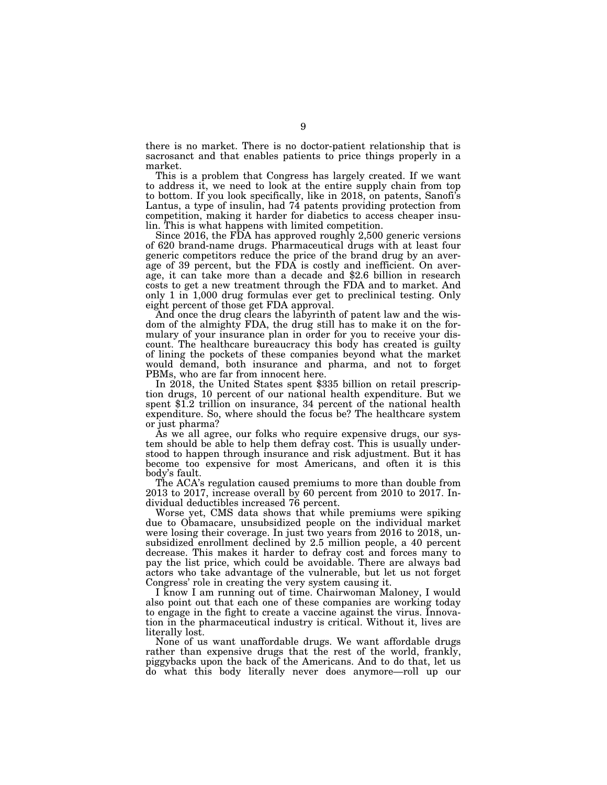there is no market. There is no doctor-patient relationship that is sacrosanct and that enables patients to price things properly in a market.

This is a problem that Congress has largely created. If we want to address it, we need to look at the entire supply chain from top to bottom. If you look specifically, like in 2018, on patents, Sanofi's Lantus, a type of insulin, had 74 patents providing protection from competition, making it harder for diabetics to access cheaper insulin. This is what happens with limited competition.

Since 2016, the FDA has approved roughly 2,500 generic versions of 620 brand-name drugs. Pharmaceutical drugs with at least four generic competitors reduce the price of the brand drug by an average of 39 percent, but the FDA is costly and inefficient. On average, it can take more than a decade and \$2.6 billion in research costs to get a new treatment through the FDA and to market. And only 1 in 1,000 drug formulas ever get to preclinical testing. Only eight percent of those get FDA approval.

And once the drug clears the labyrinth of patent law and the wisdom of the almighty FDA, the drug still has to make it on the formulary of your insurance plan in order for you to receive your discount. The healthcare bureaucracy this body has created is guilty of lining the pockets of these companies beyond what the market would demand, both insurance and pharma, and not to forget PBMs, who are far from innocent here.

In 2018, the United States spent \$335 billion on retail prescription drugs, 10 percent of our national health expenditure. But we spent \$1.2 trillion on insurance, 34 percent of the national health expenditure. So, where should the focus be? The healthcare system or just pharma?

As we all agree, our folks who require expensive drugs, our system should be able to help them defray cost. This is usually understood to happen through insurance and risk adjustment. But it has become too expensive for most Americans, and often it is this body's fault.

The ACA's regulation caused premiums to more than double from 2013 to 2017, increase overall by 60 percent from 2010 to 2017. Individual deductibles increased 76 percent.

Worse yet, CMS data shows that while premiums were spiking due to Obamacare, unsubsidized people on the individual market were losing their coverage. In just two years from 2016 to 2018, unsubsidized enrollment declined by 2.5 million people, a 40 percent decrease. This makes it harder to defray cost and forces many to pay the list price, which could be avoidable. There are always bad actors who take advantage of the vulnerable, but let us not forget Congress' role in creating the very system causing it.

I know I am running out of time. Chairwoman Maloney, I would also point out that each one of these companies are working today to engage in the fight to create a vaccine against the virus. Innovation in the pharmaceutical industry is critical. Without it, lives are literally lost.

None of us want unaffordable drugs. We want affordable drugs rather than expensive drugs that the rest of the world, frankly, piggybacks upon the back of the Americans. And to do that, let us do what this body literally never does anymore—roll up our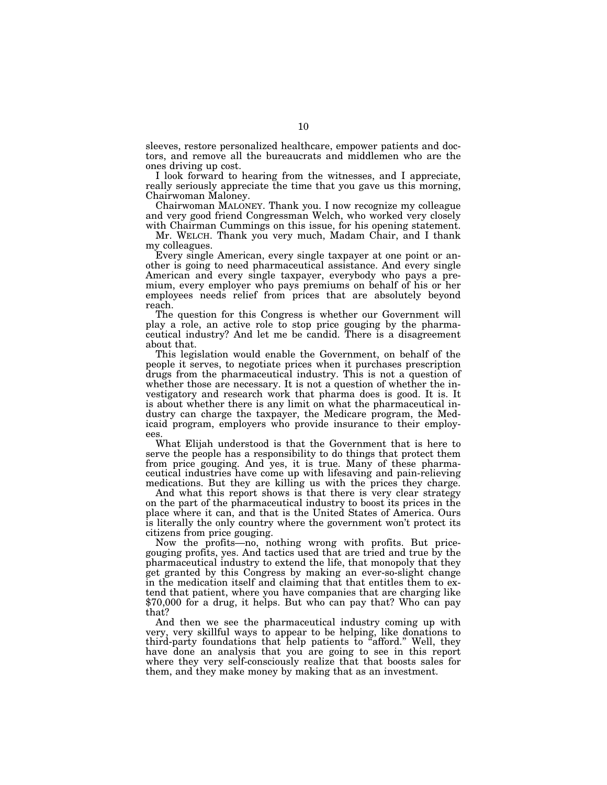sleeves, restore personalized healthcare, empower patients and doctors, and remove all the bureaucrats and middlemen who are the ones driving up cost.

I look forward to hearing from the witnesses, and I appreciate, really seriously appreciate the time that you gave us this morning, Chairwoman Maloney.

Chairwoman MALONEY. Thank you. I now recognize my colleague and very good friend Congressman Welch, who worked very closely with Chairman Cummings on this issue, for his opening statement.

Mr. WELCH. Thank you very much, Madam Chair, and I thank my colleagues.

Every single American, every single taxpayer at one point or another is going to need pharmaceutical assistance. And every single American and every single taxpayer, everybody who pays a premium, every employer who pays premiums on behalf of his or her employees needs relief from prices that are absolutely beyond reach.

The question for this Congress is whether our Government will play a role, an active role to stop price gouging by the pharmaceutical industry? And let me be candid. There is a disagreement about that.

This legislation would enable the Government, on behalf of the people it serves, to negotiate prices when it purchases prescription drugs from the pharmaceutical industry. This is not a question of whether those are necessary. It is not a question of whether the investigatory and research work that pharma does is good. It is. It is about whether there is any limit on what the pharmaceutical industry can charge the taxpayer, the Medicare program, the Medicaid program, employers who provide insurance to their employees.

What Elijah understood is that the Government that is here to serve the people has a responsibility to do things that protect them from price gouging. And yes, it is true. Many of these pharmaceutical industries have come up with lifesaving and pain-relieving medications. But they are killing us with the prices they charge.

And what this report shows is that there is very clear strategy on the part of the pharmaceutical industry to boost its prices in the place where it can, and that is the United States of America. Ours is literally the only country where the government won't protect its citizens from price gouging.

Now the profits—no, nothing wrong with profits. But pricegouging profits, yes. And tactics used that are tried and true by the pharmaceutical industry to extend the life, that monopoly that they get granted by this Congress by making an ever-so-slight change in the medication itself and claiming that that entitles them to extend that patient, where you have companies that are charging like \$70,000 for a drug, it helps. But who can pay that? Who can pay that?

And then we see the pharmaceutical industry coming up with very, very skillful ways to appear to be helping, like donations to third-party foundations that help patients to "afford." Well, they have done an analysis that you are going to see in this report where they very self-consciously realize that that boosts sales for them, and they make money by making that as an investment.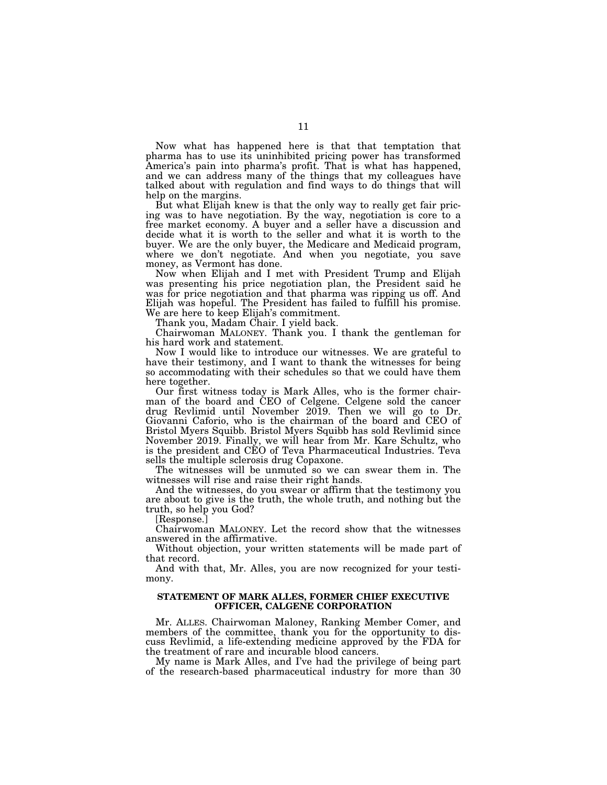Now what has happened here is that that temptation that pharma has to use its uninhibited pricing power has transformed America's pain into pharma's profit. That is what has happened, and we can address many of the things that my colleagues have talked about with regulation and find ways to do things that will help on the margins.

But what Elijah knew is that the only way to really get fair pricing was to have negotiation. By the way, negotiation is core to a free market economy. A buyer and a seller have a discussion and decide what it is worth to the seller and what it is worth to the buyer. We are the only buyer, the Medicare and Medicaid program, where we don't negotiate. And when you negotiate, you save money, as Vermont has done.

Now when Elijah and I met with President Trump and Elijah was presenting his price negotiation plan, the President said he was for price negotiation and that pharma was ripping us off. And Elijah was hopeful. The President has failed to fulfill his promise. We are here to keep Elijah's commitment.

Thank you, Madam Chair. I yield back.

Chairwoman MALONEY. Thank you. I thank the gentleman for his hard work and statement.

Now I would like to introduce our witnesses. We are grateful to have their testimony, and I want to thank the witnesses for being so accommodating with their schedules so that we could have them here together.

Our first witness today is Mark Alles, who is the former chairman of the board and CEO of Celgene. Celgene sold the cancer drug Revlimid until November 2019. Then we will go to Dr. Giovanni Caforio, who is the chairman of the board and CEO of Bristol Myers Squibb. Bristol Myers Squibb has sold Revlimid since November 2019. Finally, we will hear from Mr. Kare Schultz, who is the president and CEO of Teva Pharmaceutical Industries. Teva sells the multiple sclerosis drug Copaxone.

The witnesses will be unmuted so we can swear them in. The witnesses will rise and raise their right hands.

And the witnesses, do you swear or affirm that the testimony you are about to give is the truth, the whole truth, and nothing but the truth, so help you God?

[Response.]

Chairwoman MALONEY. Let the record show that the witnesses answered in the affirmative.

Without objection, your written statements will be made part of that record.

And with that, Mr. Alles, you are now recognized for your testimony.

#### **STATEMENT OF MARK ALLES, FORMER CHIEF EXECUTIVE OFFICER, CALGENE CORPORATION**

Mr. ALLES. Chairwoman Maloney, Ranking Member Comer, and members of the committee, thank you for the opportunity to discuss Revlimid, a life-extending medicine approved by the FDA for the treatment of rare and incurable blood cancers.

My name is Mark Alles, and I've had the privilege of being part of the research-based pharmaceutical industry for more than 30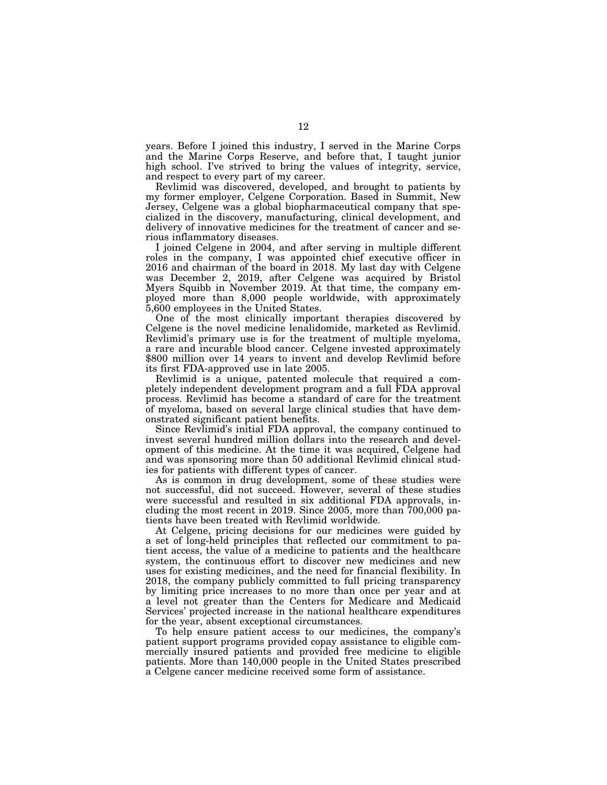years. Before I joined this industry, I served in the Marine Corps and the Marine Corps Reserve, and before that, I taught junior high school. I've strived to bring the values of integrity, service, and respect to every part of my career.

Revlimid was discovered, developed, and brought to patients by my former employer, Celgene Corporation. Based in Summit, New Jersey, Celgene was a global biopharmaceutical company that specialized in the discovery, manufacturing, clinical development, and delivery of innovative medicines for the treatment of cancer and serious inflammatory diseases.

I joined Celgene in 2004, and after serving in multiple different roles in the company, I was appointed chief executive officer in 2016 and chairman of the board in 2018. My last day with Celgene was December 2, 2019, after Celgene was acquired by Bristol Myers Squibb in November 2019. At that time, the company employed more than 8,000 people worldwide, with approximately 5,600 employees in the United States.

One of the most clinically important therapies discovered by Celgene is the novel medicine lenalidomide, marketed as Revlimid. Revlimid's primary use is for the treatment of multiple myeloma, a rare and incurable blood cancer. Celgene invested approximately \$800 million over 14 years to invent and develop Revlimid before its first FDA-approved use in late 2005.

Revlimid is a unique, patented molecule that required a completely independent development program and a full FDA approval process. Revlimid has become a standard of care for the treatment of myeloma, based on several large clinical studies that have demonstrated significant patient benefits.

Since Revlimid's initial FDA approval, the company continued to invest several hundred million dollars into the research and development of this medicine. At the time it was acquired, Celgene had and was sponsoring more than 50 additional Revlimid clinical studies for patients with different types of cancer.

As is common in drug development, some of these studies were not successful, did not succeed. However, several of these studies were successful and resulted in six additional FDA approvals, including the most recent in 2019. Since 2005, more than 700,000 patients have been treated with Revlimid worldwide.

At Celgene, pricing decisions for our medicines were guided by a set of long-held principles that reflected our commitment to patient access, the value of a medicine to patients and the healthcare system, the continuous effort to discover new medicines and new uses for existing medicines, and the need for financial flexibility. In 2018, the company publicly committed to full pricing transparency by limiting price increases to no more than once per year and at a level not greater than the Centers for Medicare and Medicaid Services' projected increase in the national healthcare expenditures for the year, absent exceptional circumstances.

To help ensure patient access to our medicines, the company's patient support programs provided copay assistance to eligible commercially insured patients and provided free medicine to eligible patients. More than 140,000 people in the United States prescribed a Celgene cancer medicine received some form of assistance.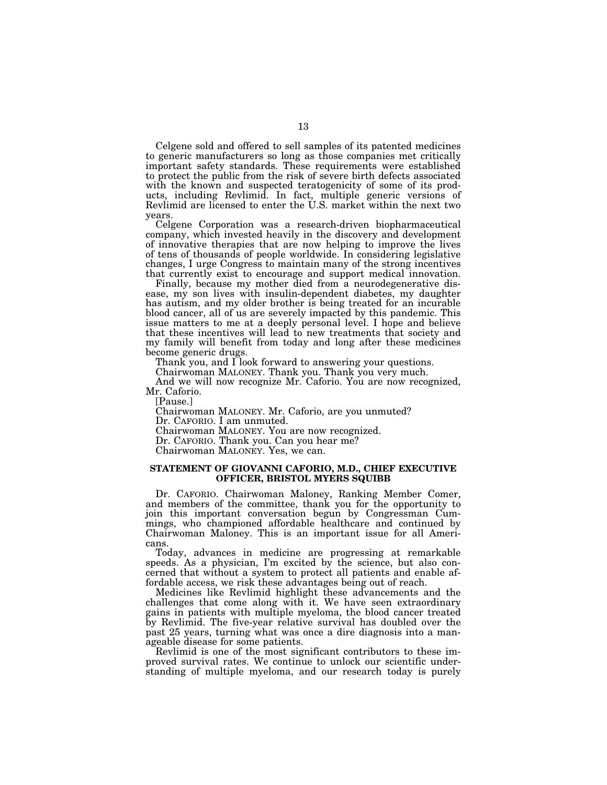Celgene sold and offered to sell samples of its patented medicines to generic manufacturers so long as those companies met critically important safety standards. These requirements were established to protect the public from the risk of severe birth defects associated with the known and suspected teratogenicity of some of its products, including Revlimid. In fact, multiple generic versions of Revlimid are licensed to enter the U.S. market within the next two years.

Celgene Corporation was a research-driven biopharmaceutical company, which invested heavily in the discovery and development of innovative therapies that are now helping to improve the lives of tens of thousands of people worldwide. In considering legislative changes, I urge Congress to maintain many of the strong incentives that currently exist to encourage and support medical innovation.

Finally, because my mother died from a neurodegenerative disease, my son lives with insulin-dependent diabetes, my daughter has autism, and my older brother is being treated for an incurable blood cancer, all of us are severely impacted by this pandemic. This issue matters to me at a deeply personal level. I hope and believe that these incentives will lead to new treatments that society and my family will benefit from today and long after these medicines become generic drugs.

Thank you, and I look forward to answering your questions.

Chairwoman MALONEY. Thank you. Thank you very much.

And we will now recognize Mr. Caforio. You are now recognized, Mr. Caforio.

[Pause.]

Chairwoman MALONEY. Mr. Caforio, are you unmuted? Dr. CAFORIO. I am unmuted.

Chairwoman MALONEY. You are now recognized.

Dr. CAFORIO. Thank you. Can you hear me?

Chairwoman MALONEY. Yes, we can.

#### **STATEMENT OF GIOVANNI CAFORIO, M.D., CHIEF EXECUTIVE OFFICER, BRISTOL MYERS SQUIBB**

Dr. CAFORIO. Chairwoman Maloney, Ranking Member Comer, and members of the committee, thank you for the opportunity to join this important conversation begun by Congressman Cummings, who championed affordable healthcare and continued by Chairwoman Maloney. This is an important issue for all Americans.

Today, advances in medicine are progressing at remarkable speeds. As a physician, I'm excited by the science, but also concerned that without a system to protect all patients and enable affordable access, we risk these advantages being out of reach.

Medicines like Revlimid highlight these advancements and the challenges that come along with it. We have seen extraordinary gains in patients with multiple myeloma, the blood cancer treated by Revlimid. The five-year relative survival has doubled over the past 25 years, turning what was once a dire diagnosis into a manageable disease for some patients.

Revlimid is one of the most significant contributors to these improved survival rates. We continue to unlock our scientific understanding of multiple myeloma, and our research today is purely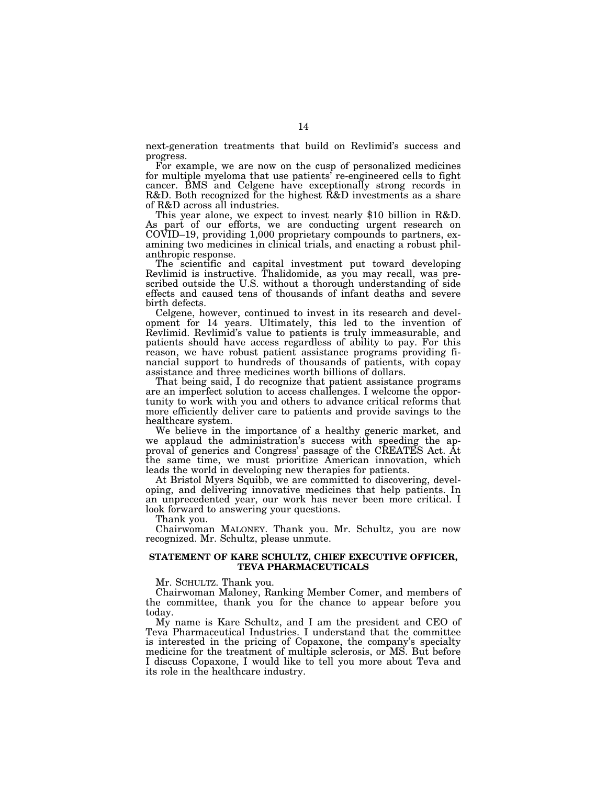next-generation treatments that build on Revlimid's success and progress.

For example, we are now on the cusp of personalized medicines for multiple myeloma that use patients' re-engineered cells to fight cancer. BMS and Celgene have exceptionally strong records in R&D. Both recognized for the highest R&D investments as a share of R&D across all industries.

This year alone, we expect to invest nearly \$10 billion in R&D. As part of our efforts, we are conducting urgent research on COVID–19, providing 1,000 proprietary compounds to partners, examining two medicines in clinical trials, and enacting a robust philanthropic response.

The scientific and capital investment put toward developing Revlimid is instructive. Thalidomide, as you may recall, was prescribed outside the U.S. without a thorough understanding of side effects and caused tens of thousands of infant deaths and severe birth defects.

Celgene, however, continued to invest in its research and development for 14 years. Ultimately, this led to the invention of Revlimid. Revlimid's value to patients is truly immeasurable, and patients should have access regardless of ability to pay. For this reason, we have robust patient assistance programs providing financial support to hundreds of thousands of patients, with copay assistance and three medicines worth billions of dollars.

That being said, I do recognize that patient assistance programs are an imperfect solution to access challenges. I welcome the opportunity to work with you and others to advance critical reforms that more efficiently deliver care to patients and provide savings to the healthcare system.

We believe in the importance of a healthy generic market, and we applaud the administration's success with speeding the approval of generics and Congress' passage of the CREATES Act. At the same time, we must prioritize American innovation, which leads the world in developing new therapies for patients.

At Bristol Myers Squibb, we are committed to discovering, developing, and delivering innovative medicines that help patients. In an unprecedented year, our work has never been more critical. I look forward to answering your questions.

Thank you.

Chairwoman MALONEY. Thank you. Mr. Schultz, you are now recognized. Mr. Schultz, please unmute.

#### **STATEMENT OF KARE SCHULTZ, CHIEF EXECUTIVE OFFICER, TEVA PHARMACEUTICALS**

Mr. SCHULTZ. Thank you.

Chairwoman Maloney, Ranking Member Comer, and members of the committee, thank you for the chance to appear before you today.

My name is Kare Schultz, and I am the president and CEO of Teva Pharmaceutical Industries. I understand that the committee is interested in the pricing of Copaxone, the company's specialty medicine for the treatment of multiple sclerosis, or MS. But before I discuss Copaxone, I would like to tell you more about Teva and its role in the healthcare industry.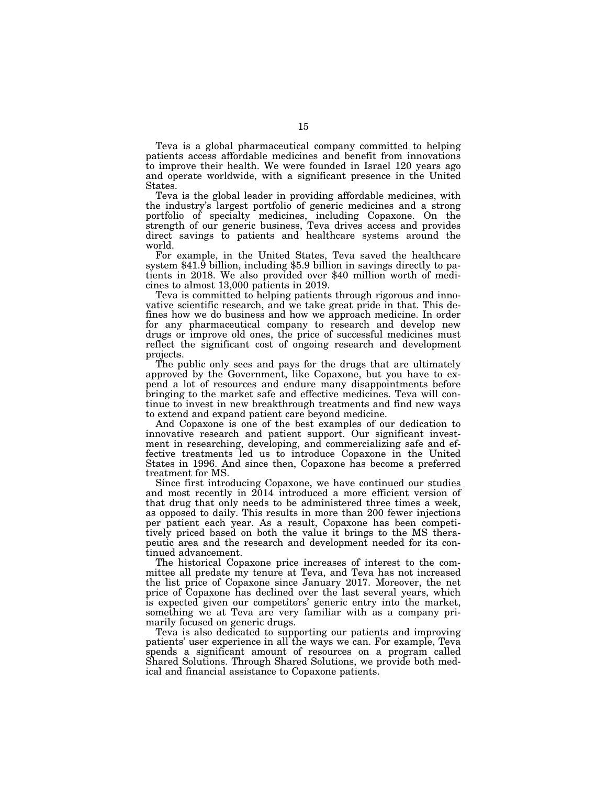Teva is a global pharmaceutical company committed to helping patients access affordable medicines and benefit from innovations to improve their health. We were founded in Israel 120 years ago and operate worldwide, with a significant presence in the United States.

Teva is the global leader in providing affordable medicines, with the industry's largest portfolio of generic medicines and a strong portfolio of specialty medicines, including Copaxone. On the strength of our generic business, Teva drives access and provides direct savings to patients and healthcare systems around the

world.<br>For example, in the United States, Teva saved the healthcare system  $$41.\overline{9}$  billion, including \$5.9 billion in savings directly to patients in 2018. We also provided over \$40 million worth of medicines to almost 13,000 patients in 2019.

Teva is committed to helping patients through rigorous and innovative scientific research, and we take great pride in that. This defines how we do business and how we approach medicine. In order for any pharmaceutical company to research and develop new drugs or improve old ones, the price of successful medicines must reflect the significant cost of ongoing research and development projects.

The public only sees and pays for the drugs that are ultimately approved by the Government, like Copaxone, but you have to expend a lot of resources and endure many disappointments before bringing to the market safe and effective medicines. Teva will continue to invest in new breakthrough treatments and find new ways to extend and expand patient care beyond medicine.

And Copaxone is one of the best examples of our dedication to innovative research and patient support. Our significant investment in researching, developing, and commercializing safe and effective treatments led us to introduce Copaxone in the United States in 1996. And since then, Copaxone has become a preferred treatment for MS.

Since first introducing Copaxone, we have continued our studies and most recently in 2014 introduced a more efficient version of that drug that only needs to be administered three times a week, as opposed to daily. This results in more than 200 fewer injections per patient each year. As a result, Copaxone has been competitively priced based on both the value it brings to the MS therapeutic area and the research and development needed for its continued advancement.

The historical Copaxone price increases of interest to the committee all predate my tenure at Teva, and Teva has not increased the list price of Copaxone since January 2017. Moreover, the net price of Copaxone has declined over the last several years, which is expected given our competitors' generic entry into the market, something we at Teva are very familiar with as a company primarily focused on generic drugs.

Teva is also dedicated to supporting our patients and improving patients' user experience in all the ways we can. For example, Teva spends a significant amount of resources on a program called Shared Solutions. Through Shared Solutions, we provide both medical and financial assistance to Copaxone patients.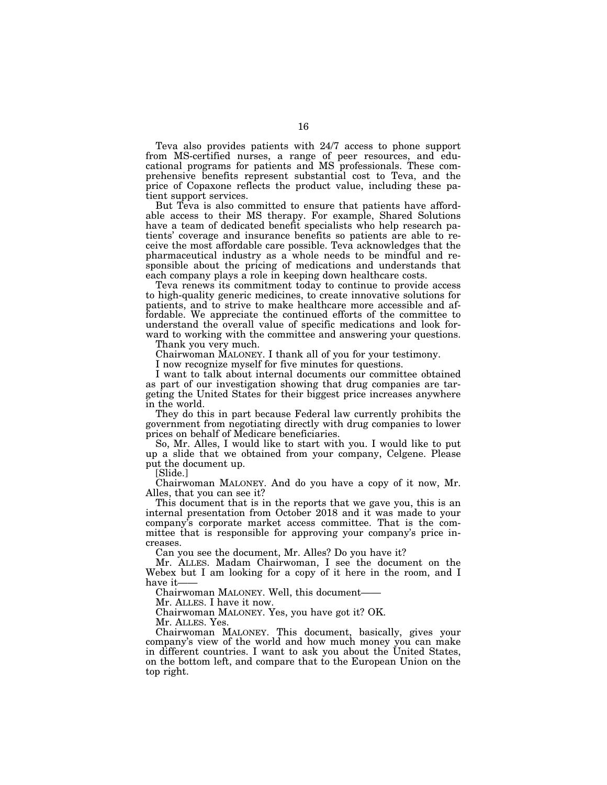Teva also provides patients with 24/7 access to phone support from MS-certified nurses, a range of peer resources, and educational programs for patients and MS professionals. These comprehensive benefits represent substantial cost to Teva, and the price of Copaxone reflects the product value, including these patient support services.

But Teva is also committed to ensure that patients have affordable access to their MS therapy. For example, Shared Solutions have a team of dedicated benefit specialists who help research patients' coverage and insurance benefits so patients are able to receive the most affordable care possible. Teva acknowledges that the pharmaceutical industry as a whole needs to be mindful and responsible about the pricing of medications and understands that each company plays a role in keeping down healthcare costs.

Teva renews its commitment today to continue to provide access to high-quality generic medicines, to create innovative solutions for patients, and to strive to make healthcare more accessible and affordable. We appreciate the continued efforts of the committee to understand the overall value of specific medications and look forward to working with the committee and answering your questions.

Thank you very much.

Chairwoman MALONEY. I thank all of you for your testimony.

I now recognize myself for five minutes for questions.

I want to talk about internal documents our committee obtained as part of our investigation showing that drug companies are targeting the United States for their biggest price increases anywhere in the world.

They do this in part because Federal law currently prohibits the government from negotiating directly with drug companies to lower prices on behalf of Medicare beneficiaries.

So, Mr. Alles, I would like to start with you. I would like to put up a slide that we obtained from your company, Celgene. Please put the document up.

[Slide.]

Chairwoman MALONEY. And do you have a copy of it now, Mr. Alles, that you can see it?

This document that is in the reports that we gave you, this is an internal presentation from October 2018 and it was made to your company's corporate market access committee. That is the committee that is responsible for approving your company's price increases.

Can you see the document, Mr. Alles? Do you have it?

Mr. ALLES. Madam Chairwoman, I see the document on the Webex but I am looking for a copy of it here in the room, and I have it-

Chairwoman MALONEY. Well, this document——

Mr. ALLES. I have it now.

Chairwoman MALONEY. Yes, you have got it? OK.

Mr. ALLES. Yes.

Chairwoman MALONEY. This document, basically, gives your company's view of the world and how much money you can make in different countries. I want to ask you about the United States, on the bottom left, and compare that to the European Union on the top right.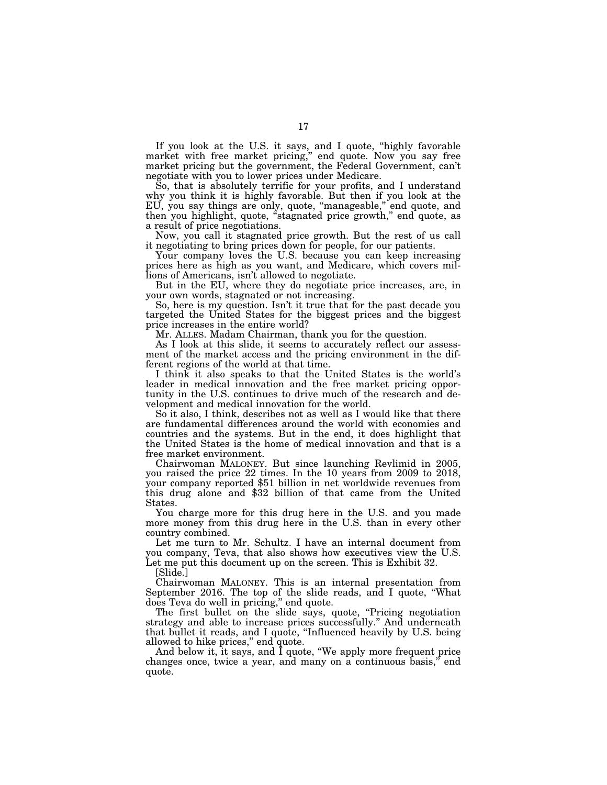If you look at the U.S. it says, and I quote, "highly favorable market with free market pricing,'' end quote. Now you say free market pricing but the government, the Federal Government, can't negotiate with you to lower prices under Medicare.

So, that is absolutely terrific for your profits, and I understand why you think it is highly favorable. But then if you look at the EU, you say things are only, quote, "manageable," end quote, and then you highlight, quote, "stagnated price growth," end quote, as a result of price negotiations.

Now, you call it stagnated price growth. But the rest of us call it negotiating to bring prices down for people, for our patients.

Your company loves the U.S. because you can keep increasing prices here as high as you want, and Medicare, which covers millions of Americans, isn't allowed to negotiate.

But in the EU, where they do negotiate price increases, are, in your own words, stagnated or not increasing.

So, here is my question. Isn't it true that for the past decade you targeted the United States for the biggest prices and the biggest price increases in the entire world?

Mr. ALLES. Madam Chairman, thank you for the question.

As I look at this slide, it seems to accurately reflect our assessment of the market access and the pricing environment in the different regions of the world at that time.

I think it also speaks to that the United States is the world's leader in medical innovation and the free market pricing opportunity in the U.S. continues to drive much of the research and development and medical innovation for the world.

So it also, I think, describes not as well as I would like that there are fundamental differences around the world with economies and countries and the systems. But in the end, it does highlight that the United States is the home of medical innovation and that is a free market environment.

Chairwoman MALONEY. But since launching Revlimid in 2005, you raised the price 22 times. In the 10 years from 2009 to 2018, your company reported \$51 billion in net worldwide revenues from this drug alone and \$32 billion of that came from the United States.

You charge more for this drug here in the U.S. and you made more money from this drug here in the U.S. than in every other country combined.

Let me turn to Mr. Schultz. I have an internal document from you company, Teva, that also shows how executives view the U.S. Let me put this document up on the screen. This is Exhibit 32.

[Slide.]

Chairwoman MALONEY. This is an internal presentation from September 2016. The top of the slide reads, and I quote, ''What does Teva do well in pricing,'' end quote.

The first bullet on the slide says, quote, "Pricing negotiation strategy and able to increase prices successfully.'' And underneath that bullet it reads, and I quote, ''Influenced heavily by U.S. being allowed to hike prices," end quote.

And below it, it says, and I quote, ''We apply more frequent price changes once, twice a year, and many on a continuous basis,'' end quote.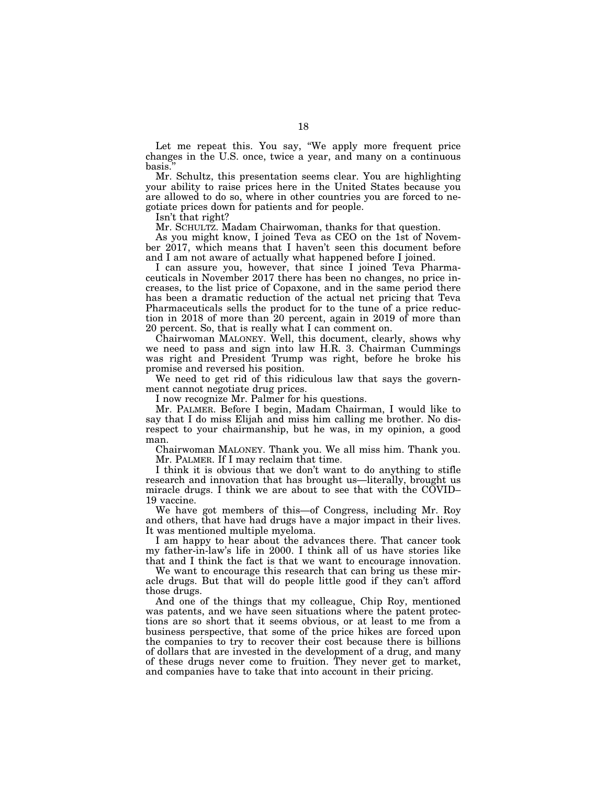Let me repeat this. You say, ''We apply more frequent price changes in the U.S. once, twice a year, and many on a continuous basis.''

Mr. Schultz, this presentation seems clear. You are highlighting your ability to raise prices here in the United States because you are allowed to do so, where in other countries you are forced to negotiate prices down for patients and for people.

Isn't that right?

Mr. SCHULTZ. Madam Chairwoman, thanks for that question.

As you might know, I joined Teva as CEO on the 1st of November 2017, which means that I haven't seen this document before and I am not aware of actually what happened before I joined.

I can assure you, however, that since I joined Teva Pharmaceuticals in November 2017 there has been no changes, no price increases, to the list price of Copaxone, and in the same period there has been a dramatic reduction of the actual net pricing that Teva Pharmaceuticals sells the product for to the tune of a price reduction in 2018 of more than 20 percent, again in 2019 of more than 20 percent. So, that is really what I can comment on.

Chairwoman MALONEY. Well, this document, clearly, shows why we need to pass and sign into law H.R. 3. Chairman Cummings was right and President Trump was right, before he broke his promise and reversed his position.

We need to get rid of this ridiculous law that says the government cannot negotiate drug prices.

I now recognize Mr. Palmer for his questions.

Mr. PALMER. Before I begin, Madam Chairman, I would like to say that I do miss Elijah and miss him calling me brother. No disrespect to your chairmanship, but he was, in my opinion, a good man.

Chairwoman MALONEY. Thank you. We all miss him. Thank you. Mr. PALMER. If I may reclaim that time.

I think it is obvious that we don't want to do anything to stifle research and innovation that has brought us—literally, brought us miracle drugs. I think we are about to see that with the COVID– 19 vaccine.

We have got members of this—of Congress, including Mr. Roy and others, that have had drugs have a major impact in their lives. It was mentioned multiple myeloma.

I am happy to hear about the advances there. That cancer took my father-in-law's life in 2000. I think all of us have stories like that and I think the fact is that we want to encourage innovation.

We want to encourage this research that can bring us these miracle drugs. But that will do people little good if they can't afford those drugs.

And one of the things that my colleague, Chip Roy, mentioned was patents, and we have seen situations where the patent protections are so short that it seems obvious, or at least to me from a business perspective, that some of the price hikes are forced upon the companies to try to recover their cost because there is billions of dollars that are invested in the development of a drug, and many of these drugs never come to fruition. They never get to market, and companies have to take that into account in their pricing.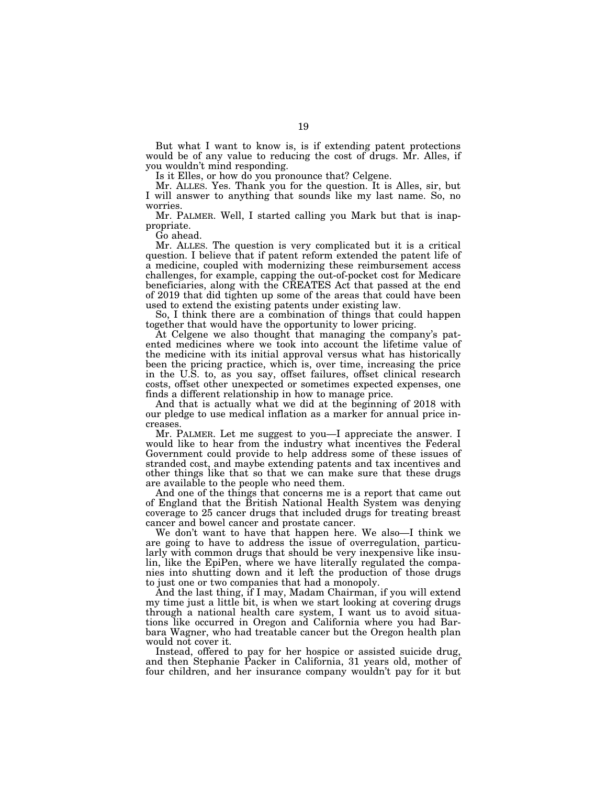But what I want to know is, is if extending patent protections would be of any value to reducing the cost of drugs. Mr. Alles, if you wouldn't mind responding.

Is it Elles, or how do you pronounce that? Celgene.

Mr. ALLES. Yes. Thank you for the question. It is Alles, sir, but I will answer to anything that sounds like my last name. So, no worries.

Mr. PALMER. Well, I started calling you Mark but that is inappropriate.

Go ahead.

Mr. ALLES. The question is very complicated but it is a critical question. I believe that if patent reform extended the patent life of a medicine, coupled with modernizing these reimbursement access challenges, for example, capping the out-of-pocket cost for Medicare beneficiaries, along with the CREATES Act that passed at the end of 2019 that did tighten up some of the areas that could have been used to extend the existing patents under existing law.

So, I think there are a combination of things that could happen together that would have the opportunity to lower pricing.

At Celgene we also thought that managing the company's patented medicines where we took into account the lifetime value of the medicine with its initial approval versus what has historically been the pricing practice, which is, over time, increasing the price in the U.S. to, as you say, offset failures, offset clinical research costs, offset other unexpected or sometimes expected expenses, one finds a different relationship in how to manage price.

And that is actually what we did at the beginning of 2018 with our pledge to use medical inflation as a marker for annual price increases.

Mr. PALMER. Let me suggest to you—I appreciate the answer. I would like to hear from the industry what incentives the Federal Government could provide to help address some of these issues of stranded cost, and maybe extending patents and tax incentives and other things like that so that we can make sure that these drugs are available to the people who need them.

And one of the things that concerns me is a report that came out of England that the British National Health System was denying coverage to 25 cancer drugs that included drugs for treating breast cancer and bowel cancer and prostate cancer.

We don't want to have that happen here. We also—I think we are going to have to address the issue of overregulation, particularly with common drugs that should be very inexpensive like insulin, like the EpiPen, where we have literally regulated the companies into shutting down and it left the production of those drugs to just one or two companies that had a monopoly.

And the last thing, if I may, Madam Chairman, if you will extend my time just a little bit, is when we start looking at covering drugs through a national health care system, I want us to avoid situations like occurred in Oregon and California where you had Barbara Wagner, who had treatable cancer but the Oregon health plan would not cover it.

Instead, offered to pay for her hospice or assisted suicide drug, and then Stephanie Packer in California, 31 years old, mother of four children, and her insurance company wouldn't pay for it but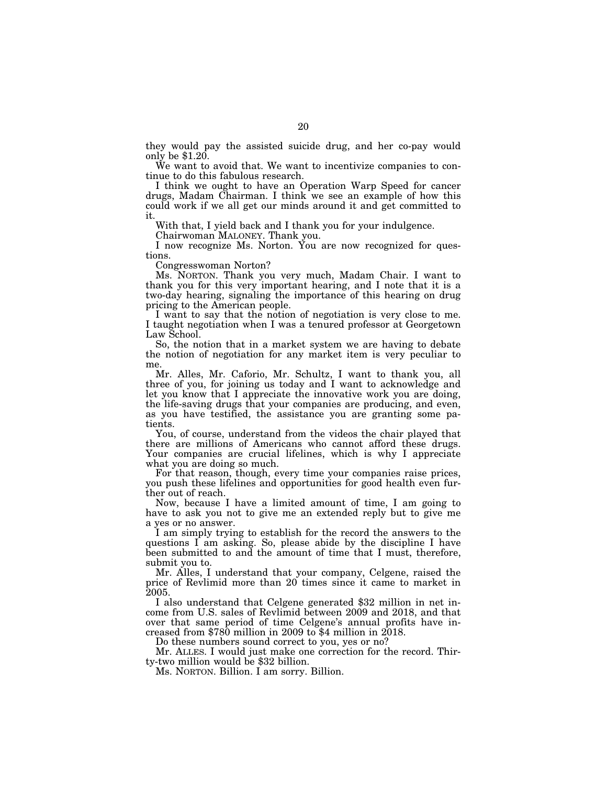they would pay the assisted suicide drug, and her co-pay would only be \$1.20.

We want to avoid that. We want to incentivize companies to continue to do this fabulous research.

I think we ought to have an Operation Warp Speed for cancer drugs, Madam Chairman. I think we see an example of how this could work if we all get our minds around it and get committed to it.

With that, I yield back and I thank you for your indulgence.

Chairwoman MALONEY. Thank you.

I now recognize Ms. Norton. You are now recognized for questions.

Congresswoman Norton?

Ms. NORTON. Thank you very much, Madam Chair. I want to thank you for this very important hearing, and I note that it is a two-day hearing, signaling the importance of this hearing on drug pricing to the American people.

I want to say that the notion of negotiation is very close to me. I taught negotiation when I was a tenured professor at Georgetown Law School.

So, the notion that in a market system we are having to debate the notion of negotiation for any market item is very peculiar to me

Mr. Alles, Mr. Caforio, Mr. Schultz, I want to thank you, all three of you, for joining us today and I want to acknowledge and let you know that I appreciate the innovative work you are doing, the life-saving drugs that your companies are producing, and even, as you have testified, the assistance you are granting some patients.

You, of course, understand from the videos the chair played that there are millions of Americans who cannot afford these drugs. Your companies are crucial lifelines, which is why I appreciate what you are doing so much.

For that reason, though, every time your companies raise prices, you push these lifelines and opportunities for good health even further out of reach.

Now, because I have a limited amount of time, I am going to have to ask you not to give me an extended reply but to give me a yes or no answer.

I am simply trying to establish for the record the answers to the questions I am asking. So, please abide by the discipline I have been submitted to and the amount of time that I must, therefore, submit you to.

Mr. Alles, I understand that your company, Celgene, raised the price of Revlimid more than 20 times since it came to market in 2005.

I also understand that Celgene generated \$32 million in net income from U.S. sales of Revlimid between 2009 and 2018, and that over that same period of time Celgene's annual profits have increased from \$780 million in 2009 to \$4 million in 2018.

Do these numbers sound correct to you, yes or no?

Mr. ALLES. I would just make one correction for the record. Thir-<br>ty-two million would be \$32 billion.

Ms. NORTON. Billion. I am sorry. Billion.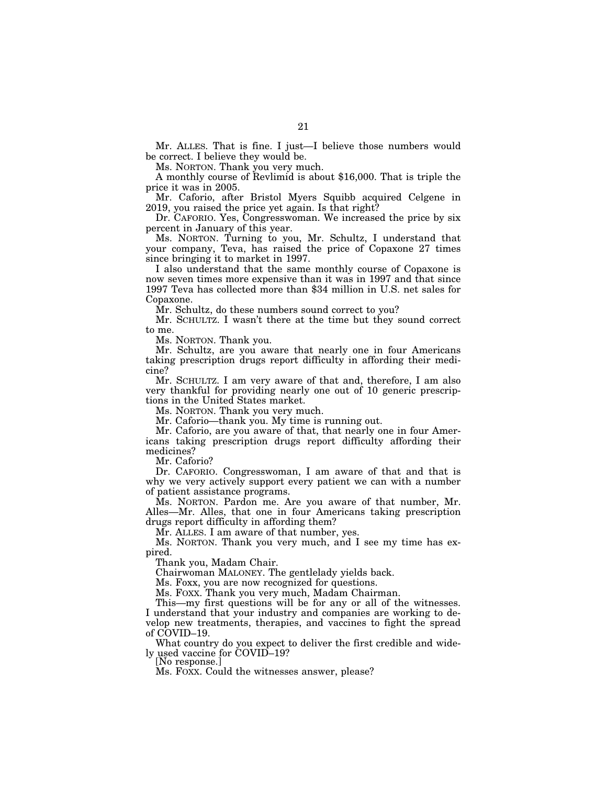Mr. ALLES. That is fine. I just—I believe those numbers would be correct. I believe they would be.

Ms. NORTON. Thank you very much.

A monthly course of Revlimid is about \$16,000. That is triple the price it was in 2005.

Mr. Caforio, after Bristol Myers Squibb acquired Celgene in 2019, you raised the price yet again. Is that right?

Dr. CAFORIO. Yes, Congresswoman. We increased the price by six percent in January of this year.

Ms. NORTON. Turning to you, Mr. Schultz, I understand that your company, Teva, has raised the price of Copaxone 27 times since bringing it to market in 1997.

I also understand that the same monthly course of Copaxone is now seven times more expensive than it was in 1997 and that since 1997 Teva has collected more than \$34 million in U.S. net sales for Copaxone.

Mr. Schultz, do these numbers sound correct to you?

Mr. SCHULTZ. I wasn't there at the time but they sound correct to me.

Ms. NORTON. Thank you.

Mr. Schultz, are you aware that nearly one in four Americans taking prescription drugs report difficulty in affording their medicine?

Mr. SCHULTZ. I am very aware of that and, therefore, I am also very thankful for providing nearly one out of 10 generic prescriptions in the United States market.

Ms. NORTON. Thank you very much.

Mr. Caforio—thank you. My time is running out.

Mr. Caforio, are you aware of that, that nearly one in four Americans taking prescription drugs report difficulty affording their medicines?

Mr. Caforio?

Dr. CAFORIO. Congresswoman, I am aware of that and that is why we very actively support every patient we can with a number of patient assistance programs.

Ms. NORTON. Pardon me. Are you aware of that number, Mr. Alles—Mr. Alles, that one in four Americans taking prescription drugs report difficulty in affording them?

Mr. ALLES. I am aware of that number, yes.

Ms. NORTON. Thank you very much, and I see my time has expired.

Thank you, Madam Chair.

Chairwoman MALONEY. The gentlelady yields back.

Ms. Foxx, you are now recognized for questions.

Ms. FOXX. Thank you very much, Madam Chairman.

This—my first questions will be for any or all of the witnesses. I understand that your industry and companies are working to develop new treatments, therapies, and vaccines to fight the spread of COVID–19.

What country do you expect to deliver the first credible and widely used vaccine for COVID–19? [No response.]

Ms. FOXX. Could the witnesses answer, please?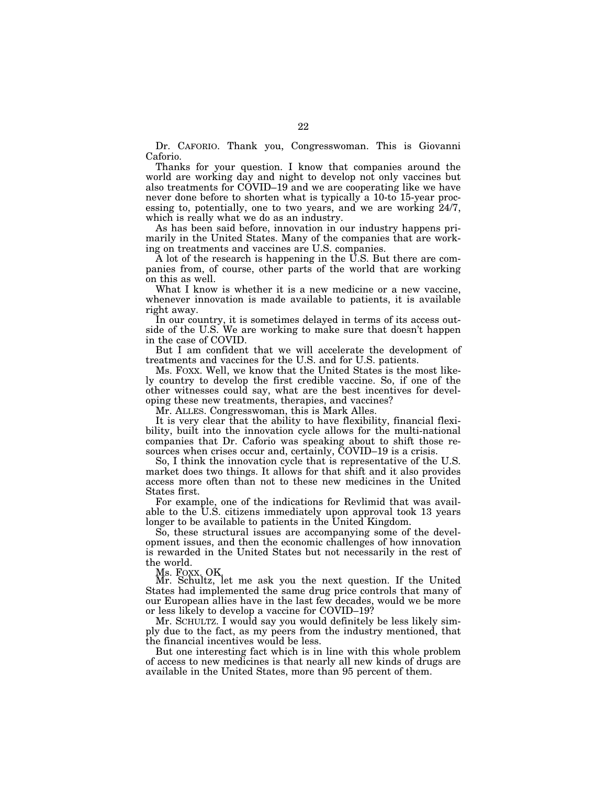Dr. CAFORIO. Thank you, Congresswoman. This is Giovanni Caforio.

Thanks for your question. I know that companies around the world are working day and night to develop not only vaccines but also treatments for COVID-19 and we are cooperating like we have never done before to shorten what is typically a 10-to 15-year processing to, potentially, one to two years, and we are working 24/7, which is really what we do as an industry.

As has been said before, innovation in our industry happens primarily in the United States. Many of the companies that are working on treatments and vaccines are U.S. companies.

A lot of the research is happening in the U.S. But there are companies from, of course, other parts of the world that are working on this as well.

What I know is whether it is a new medicine or a new vaccine, whenever innovation is made available to patients, it is available right away.

In our country, it is sometimes delayed in terms of its access outside of the U.S. We are working to make sure that doesn't happen in the case of COVID.

But I am confident that we will accelerate the development of treatments and vaccines for the U.S. and for U.S. patients.

Ms. FOXX. Well, we know that the United States is the most likely country to develop the first credible vaccine. So, if one of the other witnesses could say, what are the best incentives for developing these new treatments, therapies, and vaccines?

Mr. ALLES. Congresswoman, this is Mark Alles.

It is very clear that the ability to have flexibility, financial flexibility, built into the innovation cycle allows for the multi-national companies that Dr. Caforio was speaking about to shift those resources when crises occur and, certainly, COVID–19 is a crisis.

So, I think the innovation cycle that is representative of the U.S. market does two things. It allows for that shift and it also provides access more often than not to these new medicines in the United States first.

For example, one of the indications for Revlimid that was available to the U.S. citizens immediately upon approval took 13 years longer to be available to patients in the United Kingdom.

So, these structural issues are accompanying some of the development issues, and then the economic challenges of how innovation is rewarded in the United States but not necessarily in the rest of the world.

Ms. FOXX. OK.

Mr. Schultz, let me ask you the next question. If the United States had implemented the same drug price controls that many of our European allies have in the last few decades, would we be more or less likely to develop a vaccine for COVID–19?

Mr. SCHULTZ. I would say you would definitely be less likely simply due to the fact, as my peers from the industry mentioned, that the financial incentives would be less.

But one interesting fact which is in line with this whole problem of access to new medicines is that nearly all new kinds of drugs are available in the United States, more than 95 percent of them.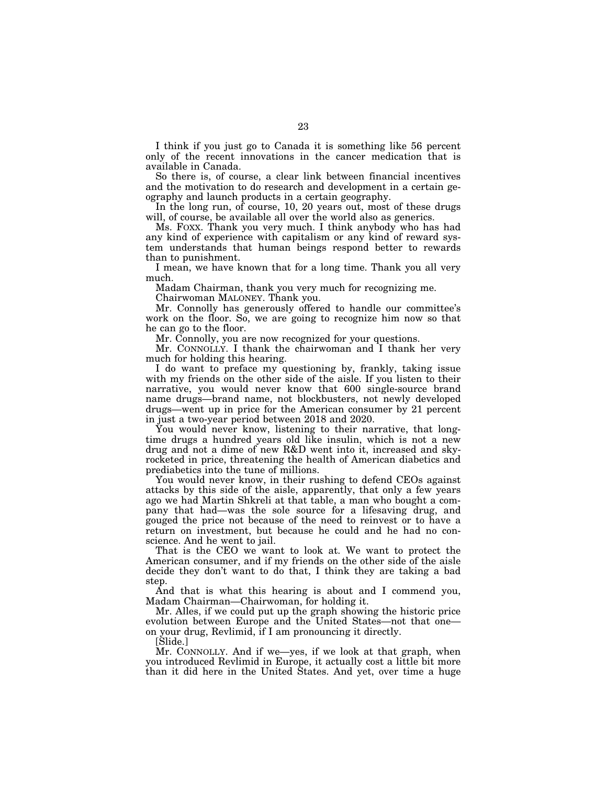I think if you just go to Canada it is something like 56 percent only of the recent innovations in the cancer medication that is available in Canada.

So there is, of course, a clear link between financial incentives and the motivation to do research and development in a certain geography and launch products in a certain geography.

In the long run, of course, 10, 20 years out, most of these drugs will, of course, be available all over the world also as generics.

Ms. FOXX. Thank you very much. I think anybody who has had any kind of experience with capitalism or any kind of reward system understands that human beings respond better to rewards than to punishment.

I mean, we have known that for a long time. Thank you all very much.

Madam Chairman, thank you very much for recognizing me.

Chairwoman MALONEY. Thank you.

Mr. Connolly has generously offered to handle our committee's work on the floor. So, we are going to recognize him now so that he can go to the floor.

Mr. Connolly, you are now recognized for your questions.

Mr. CONNOLLY. I thank the chairwoman and I thank her very much for holding this hearing.

I do want to preface my questioning by, frankly, taking issue with my friends on the other side of the aisle. If you listen to their narrative, you would never know that 600 single-source brand name drugs—brand name, not blockbusters, not newly developed drugs—went up in price for the American consumer by 21 percent in just a two-year period between 2018 and 2020.

You would never know, listening to their narrative, that longtime drugs a hundred years old like insulin, which is not a new drug and not a dime of new R&D went into it, increased and skyrocketed in price, threatening the health of American diabetics and prediabetics into the tune of millions.

You would never know, in their rushing to defend CEOs against attacks by this side of the aisle, apparently, that only a few years ago we had Martin Shkreli at that table, a man who bought a company that had—was the sole source for a lifesaving drug, and gouged the price not because of the need to reinvest or to have a return on investment, but because he could and he had no conscience. And he went to jail.

That is the CEO we want to look at. We want to protect the American consumer, and if my friends on the other side of the aisle decide they don't want to do that, I think they are taking a bad step.

And that is what this hearing is about and I commend you, Madam Chairman—Chairwoman, for holding it.

Mr. Alles, if we could put up the graph showing the historic price evolution between Europe and the United States—not that one on your drug, Revlimid, if I am pronouncing it directly.

[Slide.]

Mr. CONNOLLY. And if we—yes, if we look at that graph, when you introduced Revlimid in Europe, it actually cost a little bit more than it did here in the United States. And yet, over time a huge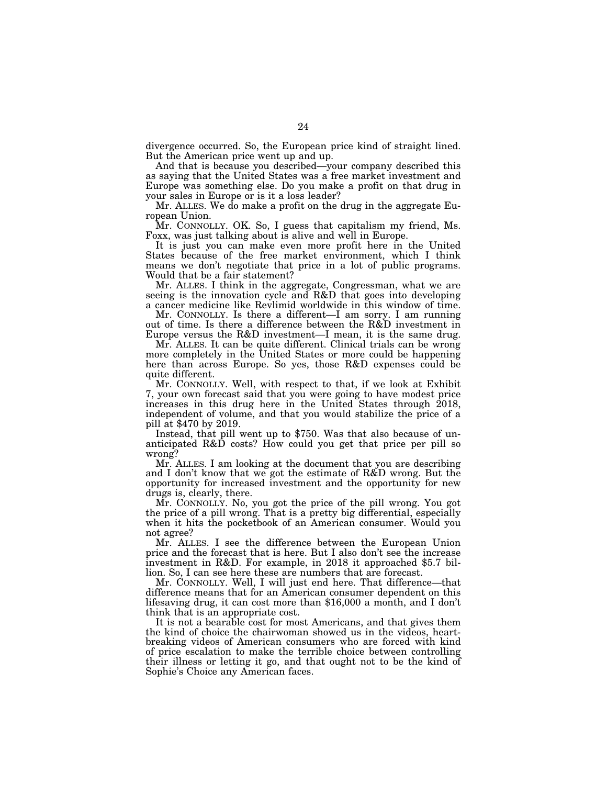divergence occurred. So, the European price kind of straight lined. But the American price went up and up.

And that is because you described—your company described this as saying that the United States was a free market investment and Europe was something else. Do you make a profit on that drug in your sales in Europe or is it a loss leader?

Mr. ALLES. We do make a profit on the drug in the aggregate European Union.

Mr. CONNOLLY. OK. So, I guess that capitalism my friend, Ms. Foxx, was just talking about is alive and well in Europe.

It is just you can make even more profit here in the United States because of the free market environment, which I think means we don't negotiate that price in a lot of public programs. Would that be a fair statement?

Mr. ALLES. I think in the aggregate, Congressman, what we are seeing is the innovation cycle and R&D that goes into developing a cancer medicine like Revlimid worldwide in this window of time.

Mr. CONNOLLY. Is there a different—I am sorry. I am running out of time. Is there a difference between the R&D investment in Europe versus the R&D investment—I mean, it is the same drug.

Mr. ALLES. It can be quite different. Clinical trials can be wrong more completely in the United States or more could be happening here than across Europe. So yes, those R&D expenses could be quite different.

Mr. CONNOLLY. Well, with respect to that, if we look at Exhibit 7, your own forecast said that you were going to have modest price increases in this drug here in the United States through 2018, independent of volume, and that you would stabilize the price of a

Instead, that pill went up to \$750. Was that also because of unanticipated R&D costs? How could you get that price per pill so wrong?

Mr. ALLES. I am looking at the document that you are describing and I don't know that we got the estimate of R&D wrong. But the opportunity for increased investment and the opportunity for new drugs is, clearly, there.

Mr. CONNOLLY. No, you got the price of the pill wrong. You got the price of a pill wrong. That is a pretty big differential, especially when it hits the pocketbook of an American consumer. Would you not agree?

Mr. ALLES. I see the difference between the European Union price and the forecast that is here. But I also don't see the increase investment in R&D. For example, in 2018 it approached \$5.7 billion. So, I can see here these are numbers that are forecast.

Mr. CONNOLLY. Well, I will just end here. That difference—that difference means that for an American consumer dependent on this lifesaving drug, it can cost more than \$16,000 a month, and I don't think that is an appropriate cost.

It is not a bearable cost for most Americans, and that gives them the kind of choice the chairwoman showed us in the videos, heartbreaking videos of American consumers who are forced with kind of price escalation to make the terrible choice between controlling their illness or letting it go, and that ought not to be the kind of Sophie's Choice any American faces.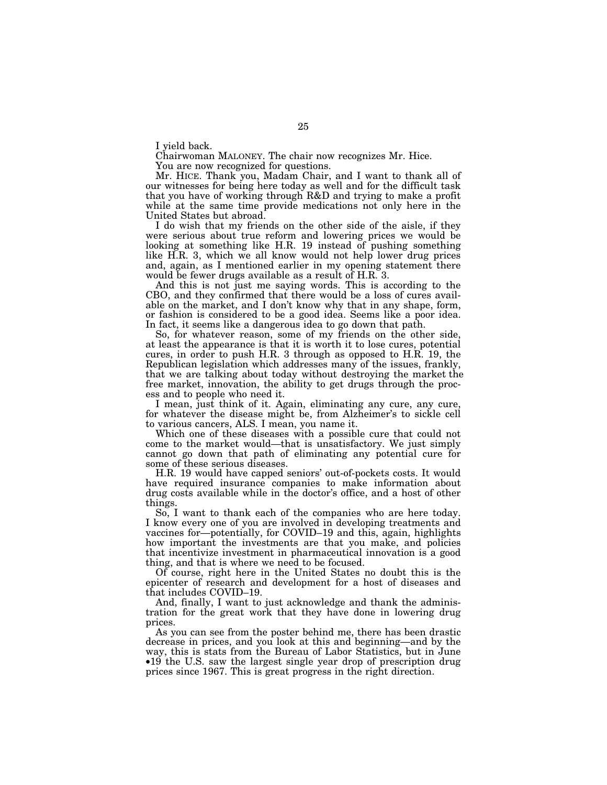I yield back.

Chairwoman MALONEY. The chair now recognizes Mr. Hice.

You are now recognized for questions.

Mr. HICE. Thank you, Madam Chair, and I want to thank all of our witnesses for being here today as well and for the difficult task that you have of working through R&D and trying to make a profit while at the same time provide medications not only here in the United States but abroad.

I do wish that my friends on the other side of the aisle, if they were serious about true reform and lowering prices we would be looking at something like H.R. 19 instead of pushing something like H.R. 3, which we all know would not help lower drug prices and, again, as I mentioned earlier in my opening statement there would be fewer drugs available as a result of H.R. 3.

And this is not just me saying words. This is according to the CBO, and they confirmed that there would be a loss of cures available on the market, and I don't know why that in any shape, form, or fashion is considered to be a good idea. Seems like a poor idea. In fact, it seems like a dangerous idea to go down that path.

So, for whatever reason, some of my friends on the other side, at least the appearance is that it is worth it to lose cures, potential cures, in order to push H.R. 3 through as opposed to H.R. 19, the Republican legislation which addresses many of the issues, frankly, that we are talking about today without destroying the market the free market, innovation, the ability to get drugs through the process and to people who need it.

I mean, just think of it. Again, eliminating any cure, any cure, for whatever the disease might be, from Alzheimer's to sickle cell to various cancers, ALS. I mean, you name it.

Which one of these diseases with a possible cure that could not come to the market would—that is unsatisfactory. We just simply cannot go down that path of eliminating any potential cure for some of these serious diseases.

H.R. 19 would have capped seniors' out-of-pockets costs. It would have required insurance companies to make information about drug costs available while in the doctor's office, and a host of other things.

So, I want to thank each of the companies who are here today. I know every one of you are involved in developing treatments and vaccines for—potentially, for COVID–19 and this, again, highlights how important the investments are that you make, and policies that incentivize investment in pharmaceutical innovation is a good thing, and that is where we need to be focused.

Of course, right here in the United States no doubt this is the epicenter of research and development for a host of diseases and that includes COVID–19.

And, finally, I want to just acknowledge and thank the administration for the great work that they have done in lowering drug prices.

As you can see from the poster behind me, there has been drastic decrease in prices, and you look at this and beginning—and by the way, this is stats from the Bureau of Labor Statistics, but in June •19 the U.S. saw the largest single year drop of prescription drug prices since 1967. This is great progress in the right direction.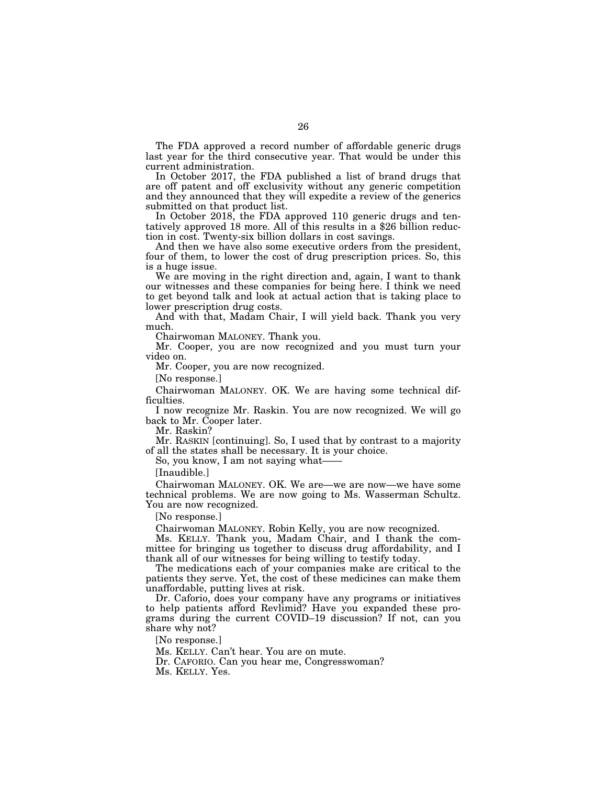The FDA approved a record number of affordable generic drugs last year for the third consecutive year. That would be under this current administration.

In October 2017, the FDA published a list of brand drugs that are off patent and off exclusivity without any generic competition and they announced that they will expedite a review of the generics submitted on that product list.

In October 2018, the FDA approved 110 generic drugs and tentatively approved 18 more. All of this results in a \$26 billion reduction in cost. Twenty-six billion dollars in cost savings.

And then we have also some executive orders from the president, four of them, to lower the cost of drug prescription prices. So, this is a huge issue.

We are moving in the right direction and, again, I want to thank our witnesses and these companies for being here. I think we need to get beyond talk and look at actual action that is taking place to lower prescription drug costs.

And with that, Madam Chair, I will yield back. Thank you very much.

Chairwoman MALONEY. Thank you.

Mr. Cooper, you are now recognized and you must turn your video on.

Mr. Cooper, you are now recognized.

[No response.]

Chairwoman MALONEY. OK. We are having some technical difficulties.

I now recognize Mr. Raskin. You are now recognized. We will go back to Mr. Cooper later.

Mr. Raskin?

Mr. RASKIN [continuing]. So, I used that by contrast to a majority of all the states shall be necessary. It is your choice.

So, you know, I am not saying what——

[Inaudible.]

Chairwoman MALONEY. OK. We are—we are now—we have some technical problems. We are now going to Ms. Wasserman Schultz. You are now recognized.

[No response.]

Chairwoman MALONEY. Robin Kelly, you are now recognized.

Ms. KELLY. Thank you, Madam Chair, and I thank the committee for bringing us together to discuss drug affordability, and I thank all of our witnesses for being willing to testify today.

The medications each of your companies make are critical to the patients they serve. Yet, the cost of these medicines can make them unaffordable, putting lives at risk.

Dr. Caforio, does your company have any programs or initiatives to help patients afford Revlimid? Have you expanded these programs during the current COVID–19 discussion? If not, can you share why not?

[No response.]

Ms. KELLY. Can't hear. You are on mute.

Dr. CAFORIO. Can you hear me, Congresswoman?

Ms. KELLY. Yes.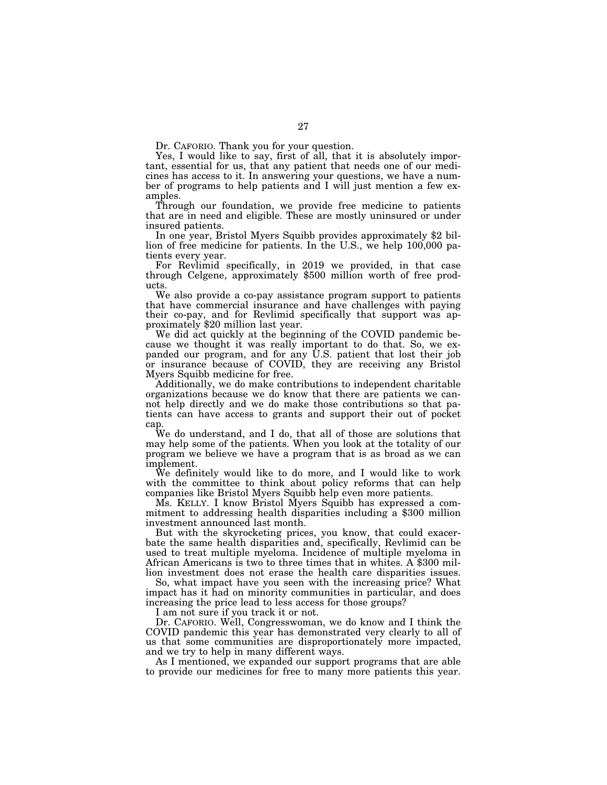Dr. CAFORIO. Thank you for your question.

Yes, I would like to say, first of all, that it is absolutely important, essential for us, that any patient that needs one of our medicines has access to it. In answering your questions, we have a number of programs to help patients and I will just mention a few examples.

Through our foundation, we provide free medicine to patients that are in need and eligible. These are mostly uninsured or under insured patients. In one year, Bristol Myers Squibb provides approximately \$2 bil-

lion of free medicine for patients. In the U.S., we help 100,000 patients every year.<br>For Revlimid specifically, in 2019 we provided, in that case

through Celgene, approximately \$500 million worth of free products.

We also provide a co-pay assistance program support to patients that have commercial insurance and have challenges with paying their co-pay, and for Revlimid specifically that support was approximately \$20 million last year.

We did act quickly at the beginning of the COVID pandemic because we thought it was really important to do that. So, we expanded our program, and for any U.S. patient that lost their job or insurance because of COVID, they are receiving any Bristol Myers Squibb medicine for free.

Additionally, we do make contributions to independent charitable organizations because we do know that there are patients we cannot help directly and we do make those contributions so that patients can have access to grants and support their out of pocket cap.

We do understand, and I do, that all of those are solutions that may help some of the patients. When you look at the totality of our program we believe we have a program that is as broad as we can implement.

We definitely would like to do more, and I would like to work with the committee to think about policy reforms that can help companies like Bristol Myers Squibb help even more patients.

mitment to addressing health disparities including a \$300 million investment announced last month.

But with the skyrocketing prices, you know, that could exacerbate the same health disparities and, specifically, Revlimid can be used to treat multiple myeloma. Incidence of multiple myeloma in African Americans is two to three times that in whites. A \$300 million investment does not erase the health care disparities issues.

So, what impact have you seen with the increasing price? What impact has it had on minority communities in particular, and does increasing the price lead to less access for those groups?

I am not sure if you track it or not.

Dr. CAFORIO. Well, Congresswoman, we do know and I think the COVID pandemic this year has demonstrated very clearly to all of us that some communities are disproportionately more impacted, and we try to help in many different ways.

As I mentioned, we expanded our support programs that are able to provide our medicines for free to many more patients this year.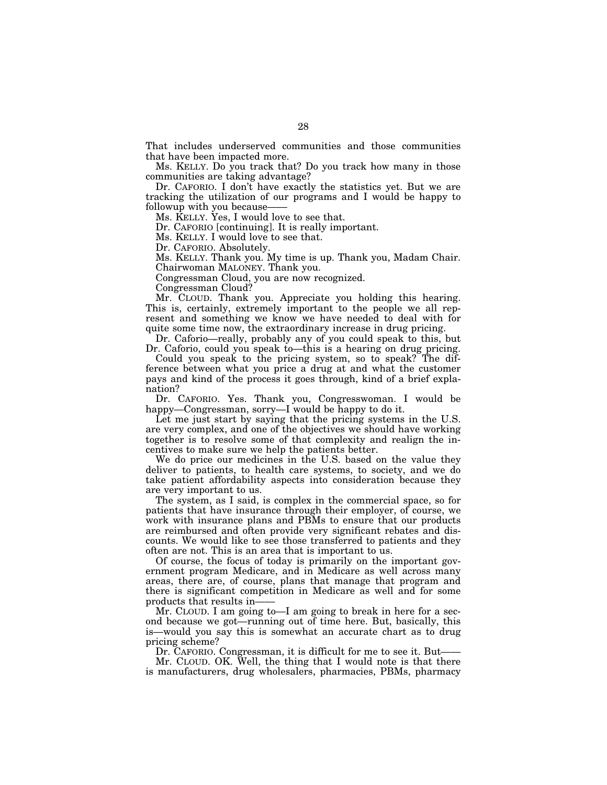That includes underserved communities and those communities that have been impacted more.

Ms. KELLY. Do you track that? Do you track how many in those communities are taking advantage?

Dr. CAFORIO. I don't have exactly the statistics yet. But we are tracking the utilization of our programs and I would be happy to followup with you because-

Ms. KELLY. Yes, I would love to see that.

Dr. CAFORIO [continuing]. It is really important.

Ms. KELLY. I would love to see that.

Dr. CAFORIO. Absolutely.

Ms. KELLY. Thank you. My time is up. Thank you, Madam Chair.

Chairwoman MALONEY. Thank you. Congressman Cloud, you are now recognized.

Congressman Cloud?

Mr. CLOUD. Thank you. Appreciate you holding this hearing. This is, certainly, extremely important to the people we all represent and something we know we have needed to deal with for quite some time now, the extraordinary increase in drug pricing.

Dr. Caforio—really, probably any of you could speak to this, but Dr. Caforio, could you speak to—this is a hearing on drug pricing.

Could you speak to the pricing system, so to speak? The difference between what you price a drug at and what the customer pays and kind of the process it goes through, kind of a brief explanation?

Dr. CAFORIO. Yes. Thank you, Congresswoman. I would be happy—Congressman, sorry—I would be happy to do it.

Let me just start by saying that the pricing systems in the U.S. are very complex, and one of the objectives we should have working together is to resolve some of that complexity and realign the incentives to make sure we help the patients better.

We do price our medicines in the U.S. based on the value they deliver to patients, to health care systems, to society, and we do take patient affordability aspects into consideration because they are very important to us.

The system, as I said, is complex in the commercial space, so for patients that have insurance through their employer, of course, we work with insurance plans and PBMs to ensure that our products are reimbursed and often provide very significant rebates and discounts. We would like to see those transferred to patients and they often are not. This is an area that is important to us.

Of course, the focus of today is primarily on the important government program Medicare, and in Medicare as well across many areas, there are, of course, plans that manage that program and there is significant competition in Medicare as well and for some products that results in——

Mr. CLOUD. I am going to—I am going to break in here for a second because we got—running out of time here. But, basically, this is—would you say this is somewhat an accurate chart as to drug pricing scheme?

Dr. CAFORIO. Congressman, it is difficult for me to see it. But—

Mr. CLOUD. OK. Well, the thing that I would note is that there is manufacturers, drug wholesalers, pharmacies, PBMs, pharmacy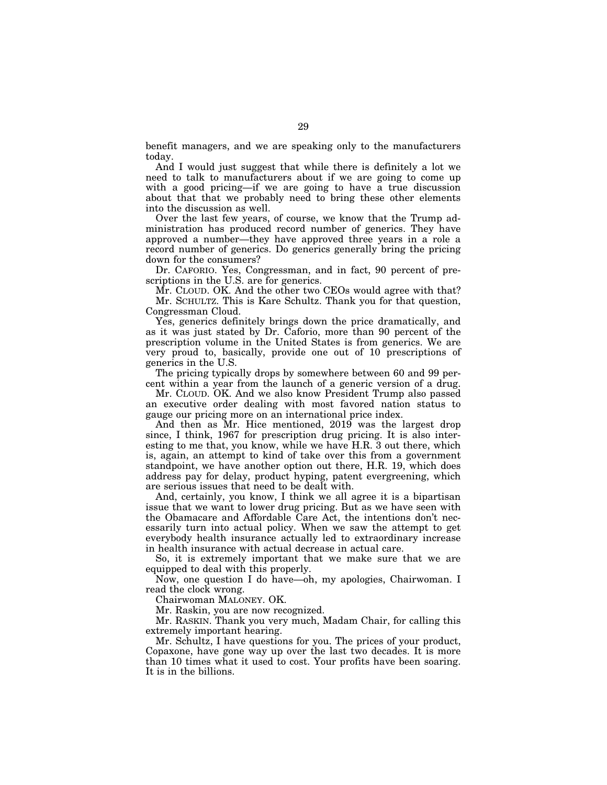benefit managers, and we are speaking only to the manufacturers today.

And I would just suggest that while there is definitely a lot we need to talk to manufacturers about if we are going to come up with a good pricing—if we are going to have a true discussion about that that we probably need to bring these other elements into the discussion as well.

Over the last few years, of course, we know that the Trump administration has produced record number of generics. They have approved a number—they have approved three years in a role a record number of generics. Do generics generally bring the pricing down for the consumers?

Dr. CAFORIO. Yes, Congressman, and in fact, 90 percent of prescriptions in the U.S. are for generics.

Mr. CLOUD. OK. And the other two CEOs would agree with that? Mr. SCHULTZ. This is Kare Schultz. Thank you for that question, Congressman Cloud.

Yes, generics definitely brings down the price dramatically, and as it was just stated by Dr. Caforio, more than 90 percent of the prescription volume in the United States is from generics. We are very proud to, basically, provide one out of 10 prescriptions of generics in the U.S.

The pricing typically drops by somewhere between 60 and 99 percent within a year from the launch of a generic version of a drug.

Mr. CLOUD. OK. And we also know President Trump also passed an executive order dealing with most favored nation status to gauge our pricing more on an international price index.

And then as Mr. Hice mentioned, 2019 was the largest drop since, I think, 1967 for prescription drug pricing. It is also interesting to me that, you know, while we have H.R. 3 out there, which is, again, an attempt to kind of take over this from a government standpoint, we have another option out there, H.R. 19, which does address pay for delay, product hyping, patent evergreening, which are serious issues that need to be dealt with.

And, certainly, you know, I think we all agree it is a bipartisan issue that we want to lower drug pricing. But as we have seen with the Obamacare and Affordable Care Act, the intentions don't necessarily turn into actual policy. When we saw the attempt to get everybody health insurance actually led to extraordinary increase in health insurance with actual decrease in actual care.

So, it is extremely important that we make sure that we are equipped to deal with this properly.

Now, one question I do have—oh, my apologies, Chairwoman. I read the clock wrong.

Chairwoman MALONEY. OK.

Mr. Raskin, you are now recognized.

Mr. RASKIN. Thank you very much, Madam Chair, for calling this extremely important hearing.

Mr. Schultz, I have questions for you. The prices of your product, Copaxone, have gone way up over the last two decades. It is more than 10 times what it used to cost. Your profits have been soaring. It is in the billions.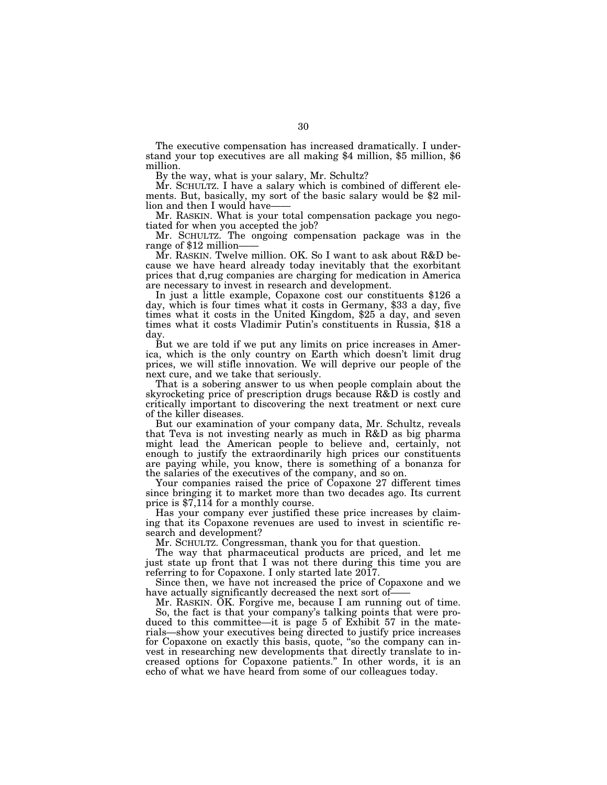The executive compensation has increased dramatically. I under-<br>stand your top executives are all making \$4 million, \$5 million, \$6 million.

By the way, what is your salary, Mr. Schultz?<br>Mr. SCHULTZ. I have a salary which is combined of different elements. But, basically, my sort of the basic salary would be \$2 million and then I would have-

Mr. RASKIN. What is your total compensation package you negotiated for when you accepted the job?

Mr. SCHULTZ. The ongoing compensation package was in the range of \$12 million——

Mr. RASKIN. Twelve million. OK. So I want to ask about R&D because we have heard already today inevitably that the exorbitant prices that d,rug companies are charging for medication in America are necessary to invest in research and development.

In just a little example, Copaxone cost our constituents \$126 a day, which is four times what it costs in Germany, \$33 a day, five times what it costs in the United Kingdom, \$25 a day, and seven times what it costs Vladimir Putin's constituents in Russia, \$18 a day.

But we are told if we put any limits on price increases in America, which is the only country on Earth which doesn't limit drug prices, we will stifle innovation. We will deprive our people of the next cure, and we take that seriously.

That is a sobering answer to us when people complain about the skyrocketing price of prescription drugs because R&D is costly and critically important to discovering the next treatment or next cure of the killer diseases.

But our examination of your company data, Mr. Schultz, reveals that Teva is not investing nearly as much in R&D as big pharma might lead the American people to believe and, certainly, not enough to justify the extraordinarily high prices our constituents are paying while, you know, there is something of a bonanza for the salaries of the executives of the company, and so on.

Your companies raised the price of Copaxone 27 different times since bringing it to market more than two decades ago. Its current price is \$7,114 for a monthly course.

Has your company ever justified these price increases by claiming that its Copaxone revenues are used to invest in scientific research and development?

Mr. SCHULTZ. Congressman, thank you for that question.

The way that pharmaceutical products are priced, and let me just state up front that I was not there during this time you are referring to for Copaxone. I only started late 2017.

Since then, we have not increased the price of Copaxone and we have actually significantly decreased the next sort of-

Mr. RASKIN. OK. Forgive me, because I am running out of time. So, the fact is that your company's talking points that were produced to this committee—it is page 5 of Exhibit 57 in the materials—show your executives being directed to justify price increases for Copaxone on exactly this basis, quote, ''so the company can invest in researching new developments that directly translate to increased options for Copaxone patients.'' In other words, it is an echo of what we have heard from some of our colleagues today.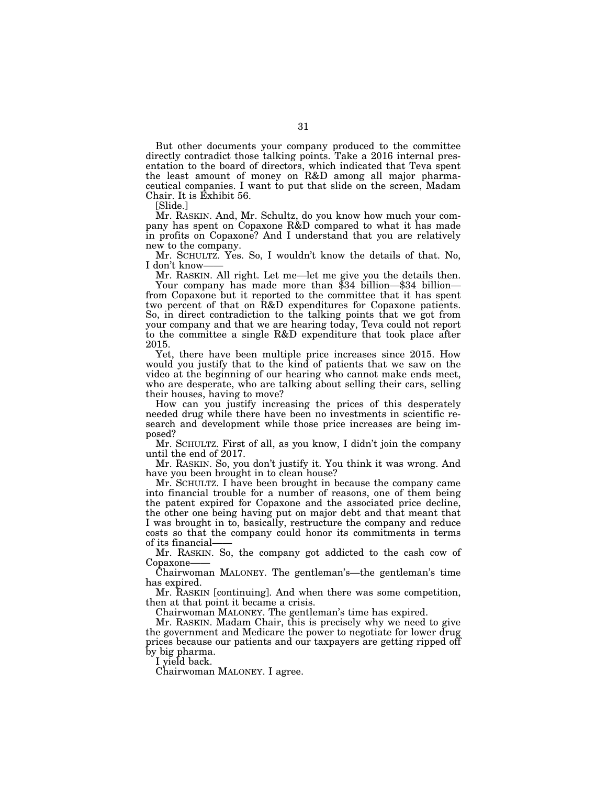But other documents your company produced to the committee directly contradict those talking points. Take a 2016 internal presentation to the board of directors, which indicated that Teva spent the least amount of money on R&D among all major pharmaceutical companies. I want to put that slide on the screen, Madam Chair. It is Exhibit 56.

[Slide.]

Mr. RASKIN. And, Mr. Schultz, do you know how much your company has spent on Copaxone R&D compared to what it has made in profits on Copaxone? And I understand that you are relatively new to the company.

Mr. SCHULTZ. Yes. So, I wouldn't know the details of that. No, I don't know-

Mr. RASKIN. All right. Let me—let me give you the details then. Your company has made more than \$34 billion—\$34 billion from Copaxone but it reported to the committee that it has spent two percent of that on R&D expenditures for Copaxone patients. So, in direct contradiction to the talking points that we got from your company and that we are hearing today, Teva could not report to the committee a single R&D expenditure that took place after 2015.

Yet, there have been multiple price increases since 2015. How would you justify that to the kind of patients that we saw on the video at the beginning of our hearing who cannot make ends meet, who are desperate, who are talking about selling their cars, selling their houses, having to move?

How can you justify increasing the prices of this desperately needed drug while there have been no investments in scientific research and development while those price increases are being imposed?

Mr. SCHULTZ. First of all, as you know, I didn't join the company until the end of 2017.

Mr. RASKIN. So, you don't justify it. You think it was wrong. And have you been brought in to clean house?

Mr. SCHULTZ. I have been brought in because the company came into financial trouble for a number of reasons, one of them being the patent expired for Copaxone and the associated price decline, the other one being having put on major debt and that meant that I was brought in to, basically, restructure the company and reduce costs so that the company could honor its commitments in terms of its financial——

Mr. RASKIN. So, the company got addicted to the cash cow of Copaxone-

Chairwoman MALONEY. The gentleman's—the gentleman's time has expired.

Mr. RASKIN [continuing]. And when there was some competition, then at that point it became a crisis.

Chairwoman MALONEY. The gentleman's time has expired.

Mr. RASKIN. Madam Chair, this is precisely why we need to give the government and Medicare the power to negotiate for lower drug prices because our patients and our taxpayers are getting ripped off by big pharma.

I yield back.

Chairwoman MALONEY. I agree.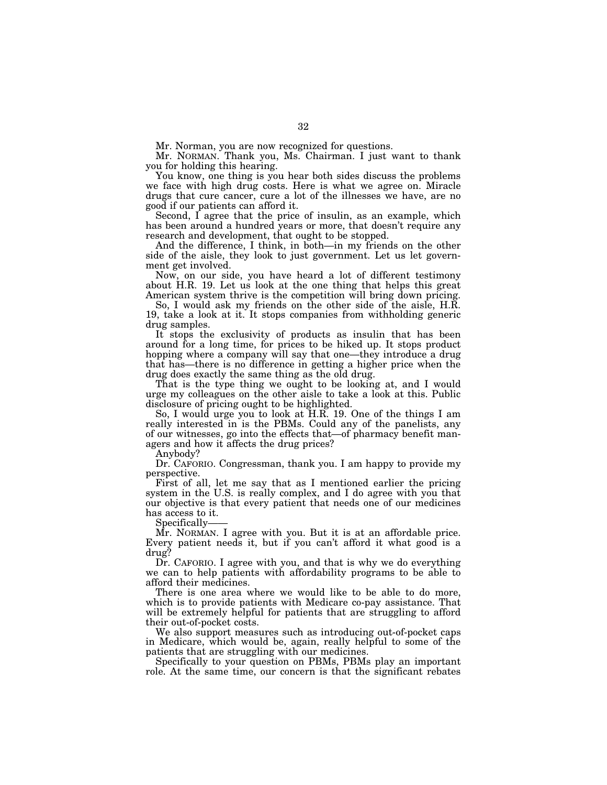Mr. Norman, you are now recognized for questions.

Mr. NORMAN. Thank you, Ms. Chairman. I just want to thank you for holding this hearing.

You know, one thing is you hear both sides discuss the problems we face with high drug costs. Here is what we agree on. Miracle drugs that cure cancer, cure a lot of the illnesses we have, are no good if our patients can afford it.

Second, I agree that the price of insulin, as an example, which has been around a hundred years or more, that doesn't require any research and development, that ought to be stopped.

And the difference, I think, in both—in my friends on the other side of the aisle, they look to just government. Let us let government get involved.

Now, on our side, you have heard a lot of different testimony about H.R. 19. Let us look at the one thing that helps this great American system thrive is the competition will bring down pricing.

So, I would ask my friends on the other side of the aisle, H.R. 19, take a look at it. It stops companies from withholding generic drug samples.

It stops the exclusivity of products as insulin that has been around for a long time, for prices to be hiked up. It stops product hopping where a company will say that one—they introduce a drug that has—there is no difference in getting a higher price when the drug does exactly the same thing as the old drug.

That is the type thing we ought to be looking at, and I would urge my colleagues on the other aisle to take a look at this. Public disclosure of pricing ought to be highlighted.

So, I would urge you to look at H.R. 19. One of the things I am really interested in is the PBMs. Could any of the panelists, any of our witnesses, go into the effects that—of pharmacy benefit managers and how it affects the drug prices?

Anybody?

Dr. CAFORIO. Congressman, thank you. I am happy to provide my perspective.

First of all, let me say that as I mentioned earlier the pricing system in the U.S. is really complex, and I do agree with you that our objective is that every patient that needs one of our medicines has access to it.

Specifically——

Mr. NORMAN. I agree with you. But it is at an affordable price. Every patient needs it, but if you can't afford it what good is a drug?

Dr. CAFORIO. I agree with you, and that is why we do everything we can to help patients with affordability programs to be able to afford their medicines.

There is one area where we would like to be able to do more, which is to provide patients with Medicare co-pay assistance. That will be extremely helpful for patients that are struggling to afford their out-of-pocket costs.

We also support measures such as introducing out-of-pocket caps in Medicare, which would be, again, really helpful to some of the patients that are struggling with our medicines.

Specifically to your question on PBMs, PBMs play an important role. At the same time, our concern is that the significant rebates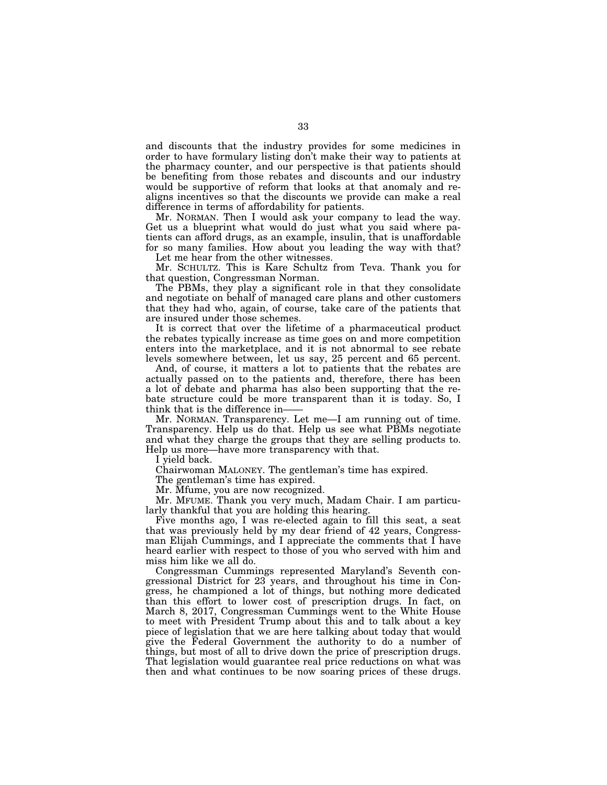and discounts that the industry provides for some medicines in order to have formulary listing don't make their way to patients at the pharmacy counter, and our perspective is that patients should be benefiting from those rebates and discounts and our industry would be supportive of reform that looks at that anomaly and realigns incentives so that the discounts we provide can make a real difference in terms of affordability for patients.

Mr. NORMAN. Then I would ask your company to lead the way. Get us a blueprint what would do just what you said where patients can afford drugs, as an example, insulin, that is unaffordable for so many families. How about you leading the way with that? Let me hear from the other witnesses.

Mr. SCHULTZ. This is Kare Schultz from Teva. Thank you for that question, Congressman Norman.

The PBMs, they play a significant role in that they consolidate and negotiate on behalf of managed care plans and other customers that they had who, again, of course, take care of the patients that are insured under those schemes.

It is correct that over the lifetime of a pharmaceutical product the rebates typically increase as time goes on and more competition enters into the marketplace, and it is not abnormal to see rebate levels somewhere between, let us say, 25 percent and 65 percent.

And, of course, it matters a lot to patients that the rebates are actually passed on to the patients and, therefore, there has been a lot of debate and pharma has also been supporting that the rebate structure could be more transparent than it is today. So, I think that is the difference in——

Mr. NORMAN. Transparency. Let me—I am running out of time. Transparency. Help us do that. Help us see what PBMs negotiate and what they charge the groups that they are selling products to. Help us more—have more transparency with that.

I yield back.

Chairwoman MALONEY. The gentleman's time has expired.

The gentleman's time has expired.

Mr. Mfume, you are now recognized.

Mr. MFUME. Thank you very much, Madam Chair. I am particularly thankful that you are holding this hearing.

Five months ago, I was re-elected again to fill this seat, a seat that was previously held by my dear friend of 42 years, Congressman Elijah Cummings, and I appreciate the comments that I have heard earlier with respect to those of you who served with him and miss him like we all do.

Congressman Cummings represented Maryland's Seventh congressional District for 23 years, and throughout his time in Congress, he championed a lot of things, but nothing more dedicated than this effort to lower cost of prescription drugs. In fact, on March 8, 2017, Congressman Cummings went to the White House to meet with President Trump about this and to talk about a key piece of legislation that we are here talking about today that would give the Federal Government the authority to do a number of things, but most of all to drive down the price of prescription drugs. That legislation would guarantee real price reductions on what was then and what continues to be now soaring prices of these drugs.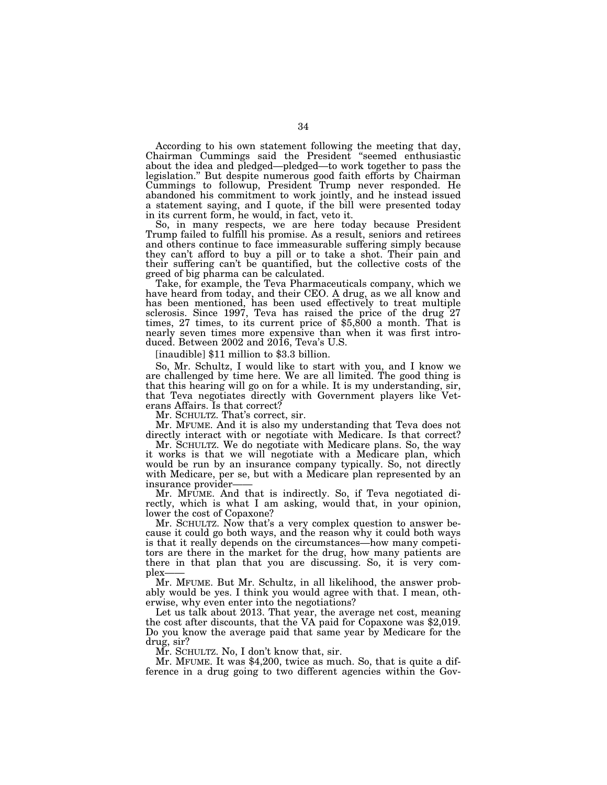According to his own statement following the meeting that day, Chairman Cummings said the President ''seemed enthusiastic about the idea and pledged—pledged—to work together to pass the legislation.'' But despite numerous good faith efforts by Chairman Cummings to followup, President Trump never responded. He abandoned his commitment to work jointly, and he instead issued a statement saying, and I quote, if the bill were presented today in its current form, he would, in fact, veto it.

So, in many respects, we are here today because President Trump failed to fulfill his promise. As a result, seniors and retirees and others continue to face immeasurable suffering simply because they can't afford to buy a pill or to take a shot. Their pain and their suffering can't be quantified, but the collective costs of the greed of big pharma can be calculated.

Take, for example, the Teva Pharmaceuticals company, which we have heard from today, and their CEO. A drug, as we all know and has been mentioned, has been used effectively to treat multiple sclerosis. Since 1997, Teva has raised the price of the drug 27 times, 27 times, to its current price of \$5,800 a month. That is nearly seven times more expensive than when it was first introduced. Between 2002 and 2016, Teva's U.S.

[inaudible] \$11 million to \$3.3 billion.

So, Mr. Schultz, I would like to start with you, and I know we are challenged by time here. We are all limited. The good thing is that this hearing will go on for a while. It is my understanding, sir, that Teva negotiates directly with Government players like Veterans Affairs. Is that correct?

Mr. SCHULTZ. That's correct, sir.

Mr. MFUME. And it is also my understanding that Teva does not directly interact with or negotiate with Medicare. Is that correct?

Mr. SCHULTZ. We do negotiate with Medicare plans. So, the way it works is that we will negotiate with a Medicare plan, which would be run by an insurance company typically. So, not directly with Medicare, per se, but with a Medicare plan represented by an insurance provider——

Mr. MFUME. And that is indirectly. So, if Teva negotiated directly, which is what I am asking, would that, in your opinion, lower the cost of Copaxone?

Mr. SCHULTZ. Now that's a very complex question to answer because it could go both ways, and the reason why it could both ways is that it really depends on the circumstances—how many competitors are there in the market for the drug, how many patients are there in that plan that you are discussing. So, it is very complex-

Mr. MFUME. But Mr. Schultz, in all likelihood, the answer probably would be yes. I think you would agree with that. I mean, otherwise, why even enter into the negotiations?

Let us talk about 2013. That year, the average net cost, meaning the cost after discounts, that the VA paid for Copaxone was \$2,019. Do you know the average paid that same year by Medicare for the drug, sir?

Mr. SCHULTZ. No, I don't know that, sir.

Mr. MFUME. It was \$4,200, twice as much. So, that is quite a difference in a drug going to two different agencies within the Gov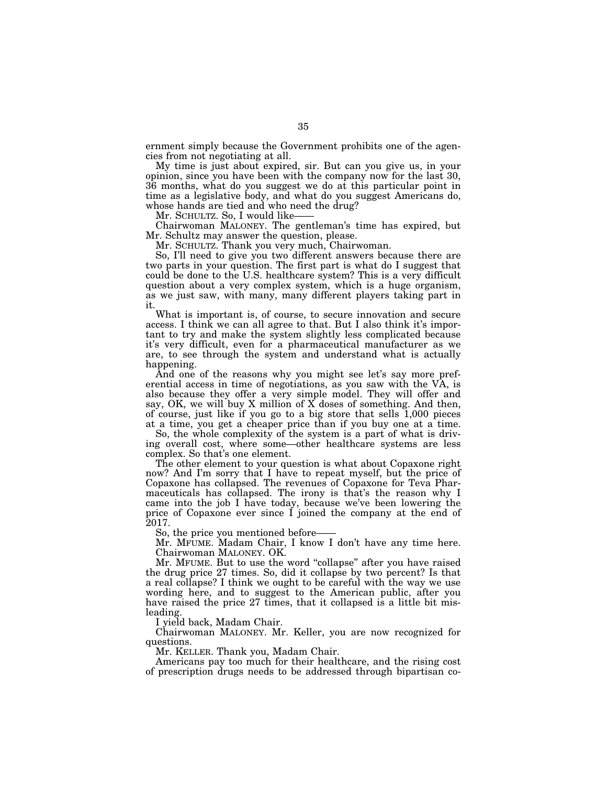ernment simply because the Government prohibits one of the agencies from not negotiating at all.

My time is just about expired, sir. But can you give us, in your opinion, since you have been with the company now for the last 30, 36 months, what do you suggest we do at this particular point in time as a legislative body, and what do you suggest Americans do, whose hands are tied and who need the drug?

Mr. SCHULTZ. So, I would like-

Chairwoman MALONEY. The gentleman's time has expired, but Mr. Schultz may answer the question, please.

Mr. SCHULTZ. Thank you very much, Chairwoman.

So, I'll need to give you two different answers because there are two parts in your question. The first part is what do I suggest that could be done to the U.S. healthcare system? This is a very difficult question about a very complex system, which is a huge organism, as we just saw, with many, many different players taking part in it.

What is important is, of course, to secure innovation and secure access. I think we can all agree to that. But I also think it's important to try and make the system slightly less complicated because it's very difficult, even for a pharmaceutical manufacturer as we are, to see through the system and understand what is actually happening.

And one of the reasons why you might see let's say more preferential access in time of negotiations, as you saw with the VA, is also because they offer a very simple model. They will offer and say, OK, we will buy X million of X doses of something. And then, of course, just like if you go to a big store that sells 1,000 pieces at a time, you get a cheaper price than if you buy one at a time.

So, the whole complexity of the system is a part of what is driving overall cost, where some—other healthcare systems are less complex. So that's one element.

The other element to your question is what about Copaxone right now? And I'm sorry that I have to repeat myself, but the price of Copaxone has collapsed. The revenues of Copaxone for Teva Pharmaceuticals has collapsed. The irony is that's the reason why I came into the job I have today, because we've been lowering the price of Copaxone ever since I joined the company at the end of 2017.

So, the price you mentioned before-

Mr. MFUME. Madam Chair, I know I don't have any time here. Chairwoman MALONEY. OK.

Mr. MFUME. But to use the word ''collapse'' after you have raised the drug price 27 times. So, did it collapse by two percent? Is that a real collapse? I think we ought to be careful with the way we use wording here, and to suggest to the American public, after you have raised the price 27 times, that it collapsed is a little bit misleading.

I yield back, Madam Chair.

Chairwoman MALONEY. Mr. Keller, you are now recognized for questions.

Mr. KELLER. Thank you, Madam Chair.

Americans pay too much for their healthcare, and the rising cost of prescription drugs needs to be addressed through bipartisan co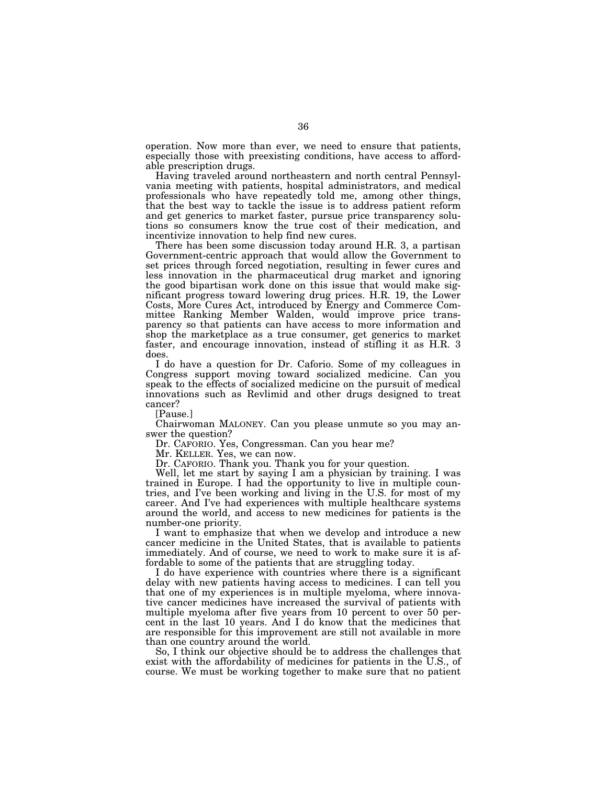operation. Now more than ever, we need to ensure that patients, especially those with preexisting conditions, have access to affordable prescription drugs.

Having traveled around northeastern and north central Pennsylvania meeting with patients, hospital administrators, and medical professionals who have repeatedly told me, among other things, that the best way to tackle the issue is to address patient reform and get generics to market faster, pursue price transparency solutions so consumers know the true cost of their medication, and incentivize innovation to help find new cures.

There has been some discussion today around H.R. 3, a partisan Government-centric approach that would allow the Government to set prices through forced negotiation, resulting in fewer cures and less innovation in the pharmaceutical drug market and ignoring the good bipartisan work done on this issue that would make significant progress toward lowering drug prices. H.R. 19, the Lower Costs, More Cures Act, introduced by Energy and Commerce Committee Ranking Member Walden, would improve price transparency so that patients can have access to more information and shop the marketplace as a true consumer, get generics to market faster, and encourage innovation, instead of stifling it as H.R. 3 does.

I do have a question for Dr. Caforio. Some of my colleagues in Congress support moving toward socialized medicine. Can you speak to the effects of socialized medicine on the pursuit of medical innovations such as Revlimid and other drugs designed to treat cancer?

[Pause.]

Chairwoman MALONEY. Can you please unmute so you may answer the question?

Dr. CAFORIO. Yes, Congressman. Can you hear me?

Mr. KELLER. Yes, we can now.

Dr. CAFORIO. Thank you. Thank you for your question.

Well, let me start by saying I am a physician by training. I was trained in Europe. I had the opportunity to live in multiple countries, and I've been working and living in the U.S. for most of my career. And I've had experiences with multiple healthcare systems around the world, and access to new medicines for patients is the number-one priority.

I want to emphasize that when we develop and introduce a new cancer medicine in the United States, that is available to patients immediately. And of course, we need to work to make sure it is affordable to some of the patients that are struggling today.

I do have experience with countries where there is a significant delay with new patients having access to medicines. I can tell you that one of my experiences is in multiple myeloma, where innovative cancer medicines have increased the survival of patients with multiple myeloma after five years from 10 percent to over 50 percent in the last 10 years. And I do know that the medicines that are responsible for this improvement are still not available in more than one country around the world.

So, I think our objective should be to address the challenges that exist with the affordability of medicines for patients in the U.S., of course. We must be working together to make sure that no patient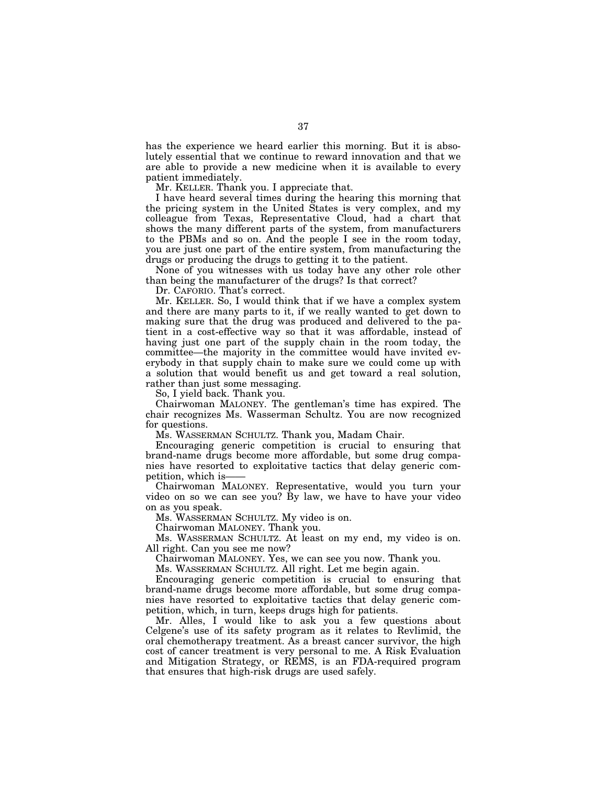has the experience we heard earlier this morning. But it is absolutely essential that we continue to reward innovation and that we are able to provide a new medicine when it is available to every patient immediately.

Mr. KELLER. Thank you. I appreciate that.

I have heard several times during the hearing this morning that the pricing system in the United States is very complex, and my colleague from Texas, Representative Cloud, had a chart that shows the many different parts of the system, from manufacturers to the PBMs and so on. And the people I see in the room today, you are just one part of the entire system, from manufacturing the drugs or producing the drugs to getting it to the patient.

None of you witnesses with us today have any other role other than being the manufacturer of the drugs? Is that correct?

Dr. CAFORIO. That's correct.

Mr. KELLER. So, I would think that if we have a complex system and there are many parts to it, if we really wanted to get down to making sure that the drug was produced and delivered to the patient in a cost-effective way so that it was affordable, instead of having just one part of the supply chain in the room today, the committee—the majority in the committee would have invited everybody in that supply chain to make sure we could come up with a solution that would benefit us and get toward a real solution, rather than just some messaging.

So, I yield back. Thank you.

Chairwoman MALONEY. The gentleman's time has expired. The chair recognizes Ms. Wasserman Schultz. You are now recognized for questions.

Ms. WASSERMAN SCHULTZ. Thank you, Madam Chair.

Encouraging generic competition is crucial to ensuring that brand-name drugs become more affordable, but some drug companies have resorted to exploitative tactics that delay generic competition, which is——

Chairwoman MALONEY. Representative, would you turn your video on so we can see you? By law, we have to have your video on as you speak.

Ms. WASSERMAN SCHULTZ. My video is on.

Chairwoman MALONEY. Thank you.

Ms. WASSERMAN SCHULTZ. At least on my end, my video is on. All right. Can you see me now?

Chairwoman MALONEY. Yes, we can see you now. Thank you.

Ms. WASSERMAN SCHULTZ. All right. Let me begin again.

Encouraging generic competition is crucial to ensuring that brand-name drugs become more affordable, but some drug companies have resorted to exploitative tactics that delay generic competition, which, in turn, keeps drugs high for patients.

Mr. Alles, I would like to ask you a few questions about Celgene's use of its safety program as it relates to Revlimid, the oral chemotherapy treatment. As a breast cancer survivor, the high cost of cancer treatment is very personal to me. A Risk Evaluation and Mitigation Strategy, or REMS, is an FDA-required program that ensures that high-risk drugs are used safely.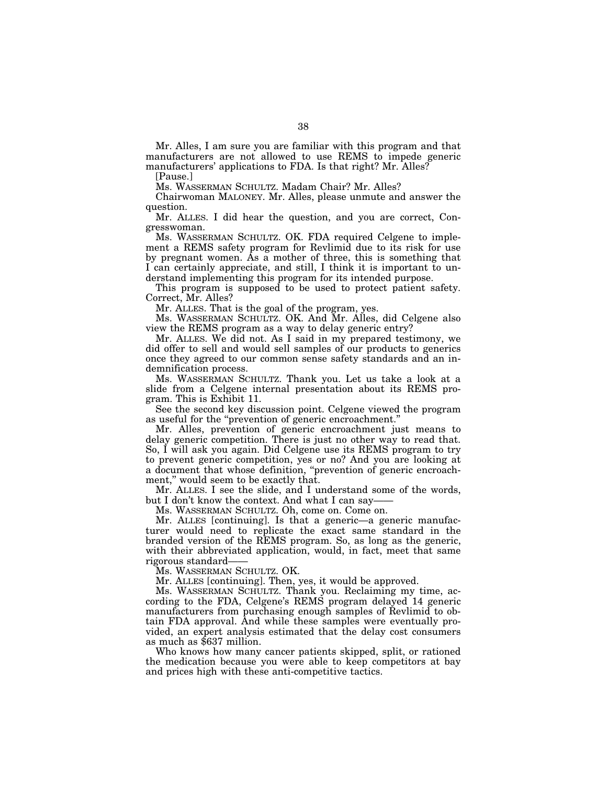Mr. Alles, I am sure you are familiar with this program and that manufacturers are not allowed to use REMS to impede generic manufacturers' applications to FDA. Is that right? Mr. Alles?

[Pause.]

Ms. WASSERMAN SCHULTZ. Madam Chair? Mr. Alles?

Chairwoman MALONEY. Mr. Alles, please unmute and answer the question.

Mr. ALLES. I did hear the question, and you are correct, Congresswoman.

Ms. WASSERMAN SCHULTZ. OK. FDA required Celgene to implement a REMS safety program for Revlimid due to its risk for use by pregnant women. As a mother of three, this is something that I can certainly appreciate, and still, I think it is important to understand implementing this program for its intended purpose.

This program is supposed to be used to protect patient safety. Correct, Mr. Alles?

Mr. ALLES. That is the goal of the program, yes.

Ms. WASSERMAN SCHULTZ. OK. And Mr. Alles, did Celgene also view the REMS program as a way to delay generic entry?

Mr. ALLES. We did not. As I said in my prepared testimony, we did offer to sell and would sell samples of our products to generics once they agreed to our common sense safety standards and an indemnification process.

Ms. WASSERMAN SCHULTZ. Thank you. Let us take a look at a slide from a Celgene internal presentation about its REMS program. This is Exhibit 11.

See the second key discussion point. Celgene viewed the program as useful for the ''prevention of generic encroachment.''

Mr. Alles, prevention of generic encroachment just means to delay generic competition. There is just no other way to read that. So, I will ask you again. Did Celgene use its REMS program to try to prevent generic competition, yes or no? And you are looking at a document that whose definition, ''prevention of generic encroachment," would seem to be exactly that.

Mr. ALLES. I see the slide, and I understand some of the words, but I don't know the context. And what I can say-

Ms. WASSERMAN SCHULTZ. Oh, come on. Come on.

Mr. ALLES [continuing]. Is that a generic—a generic manufacturer would need to replicate the exact same standard in the branded version of the REMS program. So, as long as the generic, with their abbreviated application, would, in fact, meet that same rigorous standard——

Ms. WASSERMAN SCHULTZ. OK.

Mr. ALLES [continuing]. Then, yes, it would be approved.

Ms. WASSERMAN SCHULTZ. Thank you. Reclaiming my time, according to the FDA, Celgene's REMS program delayed 14 generic manufacturers from purchasing enough samples of Revlimid to obtain FDA approval. And while these samples were eventually provided, an expert analysis estimated that the delay cost consumers as much as \$637 million.

Who knows how many cancer patients skipped, split, or rationed the medication because you were able to keep competitors at bay and prices high with these anti-competitive tactics.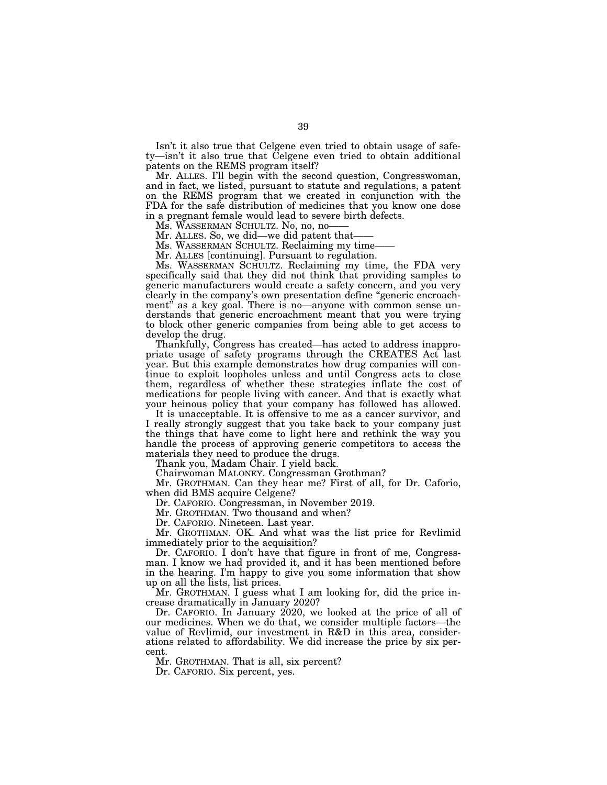Isn't it also true that Celgene even tried to obtain usage of safety—isn't it also true that Celgene even tried to obtain additional patents on the REMS program itself?

Mr. ALLES. I'll begin with the second question, Congresswoman, and in fact, we listed, pursuant to statute and regulations, a patent on the REMS program that we created in conjunction with the FDA for the safe distribution of medicines that you know one dose in a pregnant female would lead to severe birth defects.

Ms. WASSERMAN SCHULTZ. No, no, no-

Mr. ALLES. So, we did—we did patent that-

Ms. WASSERMAN SCHULTZ. Reclaiming my time-

Mr. ALLES [continuing]. Pursuant to regulation.

Ms. WASSERMAN SCHULTZ. Reclaiming my time, the FDA very specifically said that they did not think that providing samples to generic manufacturers would create a safety concern, and you very clearly in the company's own presentation define ''generic encroachment'' as a key goal. There is no—anyone with common sense understands that generic encroachment meant that you were trying to block other generic companies from being able to get access to develop the drug.

Thankfully, Congress has created—has acted to address inappropriate usage of safety programs through the CREATES Act last year. But this example demonstrates how drug companies will continue to exploit loopholes unless and until Congress acts to close them, regardless of whether these strategies inflate the cost of medications for people living with cancer. And that is exactly what your heinous policy that your company has followed has allowed.

It is unacceptable. It is offensive to me as a cancer survivor, and I really strongly suggest that you take back to your company just the things that have come to light here and rethink the way you handle the process of approving generic competitors to access the materials they need to produce the drugs.

Thank you, Madam Chair. I yield back.

Chairwoman MALONEY. Congressman Grothman?

Mr. GROTHMAN. Can they hear me? First of all, for Dr. Caforio, when did BMS acquire Celgene?

Dr. CAFORIO. Congressman, in November 2019.

Mr. GROTHMAN. Two thousand and when?

Dr. CAFORIO. Nineteen. Last year.

Mr. GROTHMAN. OK. And what was the list price for Revlimid immediately prior to the acquisition?

Dr. CAFORIO. I don't have that figure in front of me, Congressman. I know we had provided it, and it has been mentioned before in the hearing. I'm happy to give you some information that show up on all the lists, list prices.

Mr. GROTHMAN. I guess what I am looking for, did the price increase dramatically in January 2020?

Dr. CAFORIO. In January 2020, we looked at the price of all of our medicines. When we do that, we consider multiple factors—the value of Revlimid, our investment in R&D in this area, considerations related to affordability. We did increase the price by six percent.

Mr. GROTHMAN. That is all, six percent?

Dr. CAFORIO. Six percent, yes.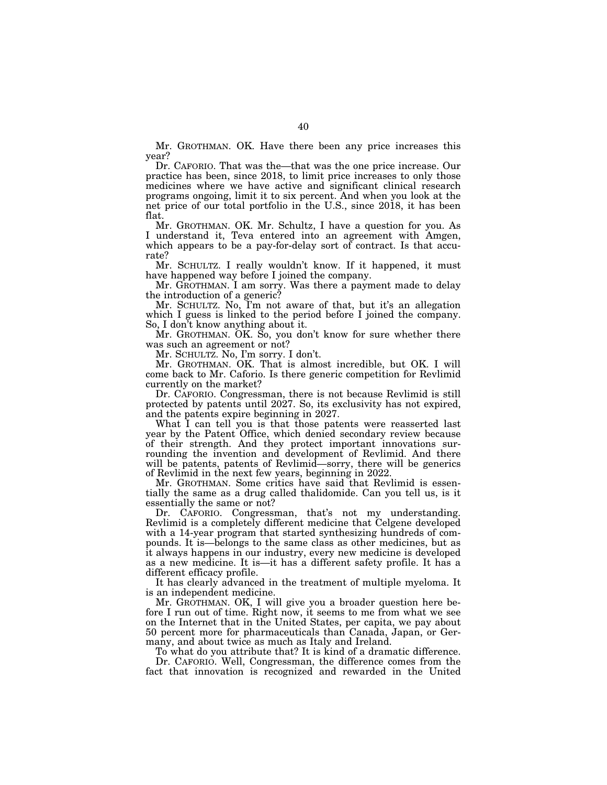Mr. GROTHMAN. OK. Have there been any price increases this year?

Dr. CAFORIO. That was the—that was the one price increase. Our practice has been, since 2018, to limit price increases to only those medicines where we have active and significant clinical research programs ongoing, limit it to six percent. And when you look at the net price of our total portfolio in the U.S., since 2018, it has been flat.

Mr. GROTHMAN. OK. Mr. Schultz, I have a question for you. As I understand it, Teva entered into an agreement with Amgen, which appears to be a pay-for-delay sort of contract. Is that accurate?

Mr. SCHULTZ. I really wouldn't know. If it happened, it must have happened way before I joined the company.

Mr. GROTHMAN. I am sorry. Was there a payment made to delay the introduction of a generic?

Mr. SCHULTZ. No, I'm not aware of that, but it's an allegation which I guess is linked to the period before I joined the company. So, I don't know anything about it.

Mr. GROTHMAN. OK. So, you don't know for sure whether there was such an agreement or not?

Mr. SCHULTZ. No, I'm sorry. I don't.

Mr. GROTHMAN. OK. That is almost incredible, but OK. I will come back to Mr. Caforio. Is there generic competition for Revlimid currently on the market?

Dr. CAFORIO. Congressman, there is not because Revlimid is still protected by patents until 2027. So, its exclusivity has not expired, and the patents expire beginning in 2027.

What I can tell you is that those patents were reasserted last year by the Patent Office, which denied secondary review because of their strength. And they protect important innovations surrounding the invention and development of Revlimid. And there will be patents, patents of Revlimid—sorry, there will be generics of Revlimid in the next few years, beginning in 2022.

Mr. GROTHMAN. Some critics have said that Revlimid is essentially the same as a drug called thalidomide. Can you tell us, is it essentially the same or not?

Dr. CAFORIO. Congressman, that's not my understanding. Revlimid is a completely different medicine that Celgene developed with a 14-year program that started synthesizing hundreds of compounds. It is—belongs to the same class as other medicines, but as it always happens in our industry, every new medicine is developed as a new medicine. It is—it has a different safety profile. It has a different efficacy profile.

It has clearly advanced in the treatment of multiple myeloma. It is an independent medicine.

Mr. GROTHMAN. OK, I will give you a broader question here before I run out of time. Right now, it seems to me from what we see on the Internet that in the United States, per capita, we pay about 50 percent more for pharmaceuticals than Canada, Japan, or Germany, and about twice as much as Italy and Ireland.

To what do you attribute that? It is kind of a dramatic difference. Dr. CAFORIO. Well, Congressman, the difference comes from the fact that innovation is recognized and rewarded in the United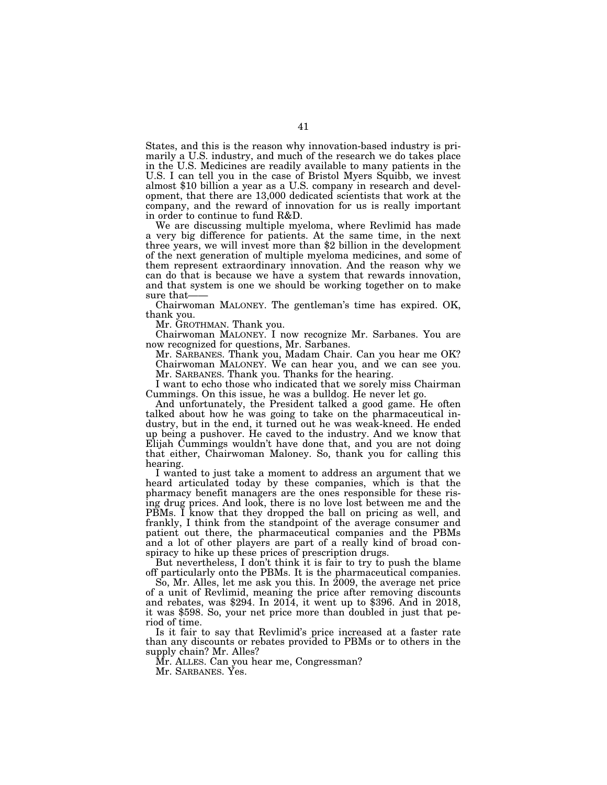States, and this is the reason why innovation-based industry is primarily a U.S. industry, and much of the research we do takes place in the U.S. Medicines are readily available to many patients in the U.S. I can tell you in the case of Bristol Myers Squibb, we invest almost \$10 billion a year as a U.S. company in research and development, that there are 13,000 dedicated scientists that work at the company, and the reward of innovation for us is really important in order to continue to fund R&D.

We are discussing multiple myeloma, where Revlimid has made a very big difference for patients. At the same time, in the next three years, we will invest more than \$2 billion in the development of the next generation of multiple myeloma medicines, and some of them represent extraordinary innovation. And the reason why we can do that is because we have a system that rewards innovation, and that system is one we should be working together on to make sure that-

Chairwoman MALONEY. The gentleman's time has expired. OK, thank you.

Mr. GROTHMAN. Thank you.

Chairwoman MALONEY. I now recognize Mr. Sarbanes. You are now recognized for questions, Mr. Sarbanes.

Mr. SARBANES. Thank you, Madam Chair. Can you hear me OK? Chairwoman MALONEY. We can hear you, and we can see you. Mr. SARBANES. Thank you. Thanks for the hearing.

I want to echo those who indicated that we sorely miss Chairman Cummings. On this issue, he was a bulldog. He never let go.

And unfortunately, the President talked a good game. He often talked about how he was going to take on the pharmaceutical industry, but in the end, it turned out he was weak-kneed. He ended up being a pushover. He caved to the industry. And we know that Elijah Cummings wouldn't have done that, and you are not doing that either, Chairwoman Maloney. So, thank you for calling this hearing.

I wanted to just take a moment to address an argument that we heard articulated today by these companies, which is that the pharmacy benefit managers are the ones responsible for these rising drug prices. And look, there is no love lost between me and the PBMs. I know that they dropped the ball on pricing as well, and frankly, I think from the standpoint of the average consumer and patient out there, the pharmaceutical companies and the PBMs and a lot of other players are part of a really kind of broad conspiracy to hike up these prices of prescription drugs.

But nevertheless, I don't think it is fair to try to push the blame off particularly onto the PBMs. It is the pharmaceutical companies.

So, Mr. Alles, let me ask you this. In 2009, the average net price of a unit of Revlimid, meaning the price after removing discounts and rebates, was \$294. In 2014, it went up to \$396. And in 2018, it was \$598. So, your net price more than doubled in just that period of time.

Is it fair to say that Revlimid's price increased at a faster rate than any discounts or rebates provided to PBMs or to others in the supply chain? Mr. Alles?

Mr. ALLES. Can you hear me, Congressman?

Mr. SARBANES. Yes.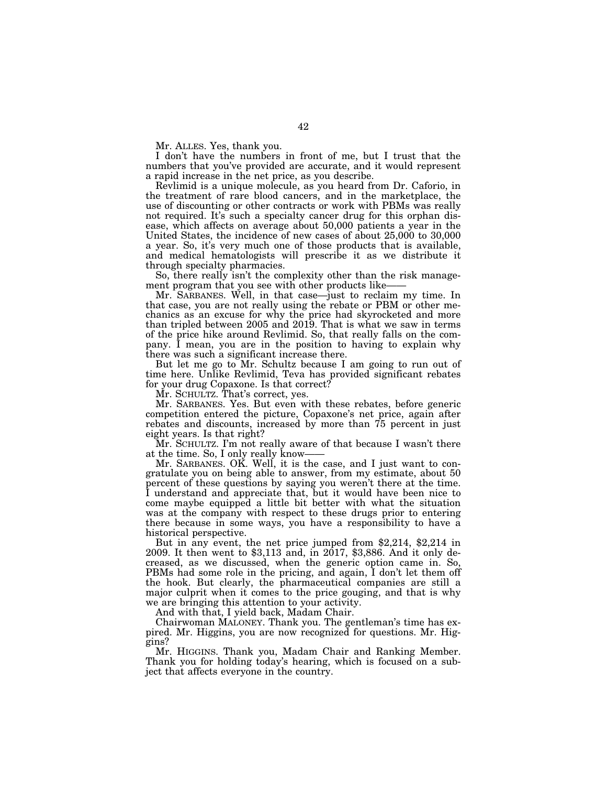Mr. ALLES. Yes, thank you.

I don't have the numbers in front of me, but I trust that the numbers that you've provided are accurate, and it would represent a rapid increase in the net price, as you describe.

Revlimid is a unique molecule, as you heard from Dr. Caforio, in the treatment of rare blood cancers, and in the marketplace, the use of discounting or other contracts or work with PBMs was really not required. It's such a specialty cancer drug for this orphan disease, which affects on average about 50,000 patients a year in the United States, the incidence of new cases of about 25,000 to 30,000 a year. So, it's very much one of those products that is available, and medical hematologists will prescribe it as we distribute it through specialty pharmacies.

So, there really isn't the complexity other than the risk management program that you see with other products like-

Mr. SARBANES. Well, in that case—just to reclaim my time. In that case, you are not really using the rebate or PBM or other mechanics as an excuse for why the price had skyrocketed and more than tripled between 2005 and 2019. That is what we saw in terms of the price hike around Revlimid. So, that really falls on the company. I mean, you are in the position to having to explain why there was such a significant increase there.

But let me go to Mr. Schultz because I am going to run out of time here. Unlike Revlimid, Teva has provided significant rebates for your drug Copaxone. Is that correct?

Mr. SCHULTZ. That's correct, yes.

Mr. SARBANES. Yes. But even with these rebates, before generic competition entered the picture, Copaxone's net price, again after rebates and discounts, increased by more than 75 percent in just eight years. Is that right?

Mr. SCHULTZ. I'm not really aware of that because I wasn't there at the time. So, I only really know-

Mr. SARBANES. OK. Well, it is the case, and I just want to congratulate you on being able to answer, from my estimate, about 50 percent of these questions by saying you weren't there at the time. I understand and appreciate that, but it would have been nice to come maybe equipped a little bit better with what the situation was at the company with respect to these drugs prior to entering there because in some ways, you have a responsibility to have a

historical perspective.<br>But in any event, the net price jumped from \$2,214, \$2,214 in 2009. It then went to \$3,113 and, in 2017, \$3,886. And it only decreased, as we discussed, when the generic option came in. So, PBMs had some role in the pricing, and again, I don't let them off the hook. But clearly, the pharmaceutical companies are still a major culprit when it comes to the price gouging, and that is why we are bringing this attention to your activity.

And with that, I yield back, Madam Chair.

Chairwoman MALONEY. Thank you. The gentleman's time has expired. Mr. Higgins, you are now recognized for questions. Mr. Higgins?

Mr. HIGGINS. Thank you, Madam Chair and Ranking Member. Thank you for holding today's hearing, which is focused on a subject that affects everyone in the country.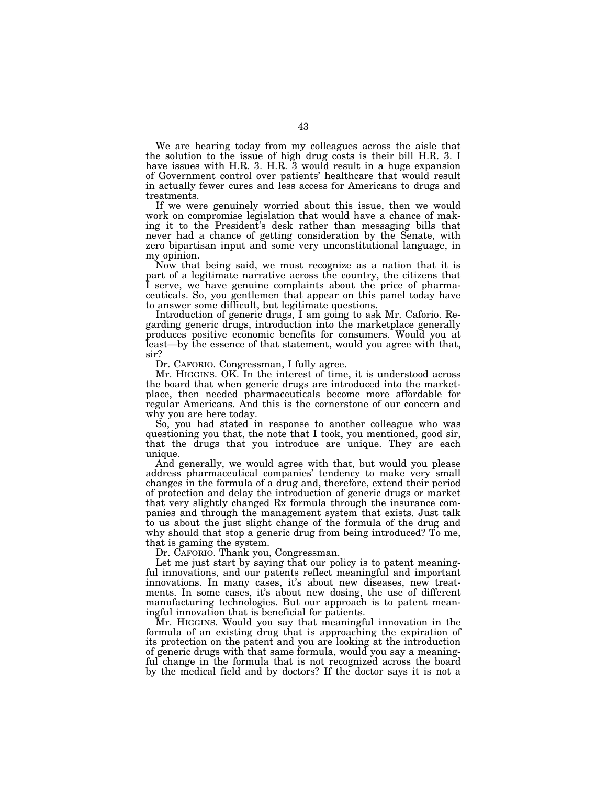We are hearing today from my colleagues across the aisle that the solution to the issue of high drug costs is their bill H.R. 3. I have issues with H.R. 3. H.R. 3 would result in a huge expansion of Government control over patients' healthcare that would result in actually fewer cures and less access for Americans to drugs and treatments.

If we were genuinely worried about this issue, then we would work on compromise legislation that would have a chance of making it to the President's desk rather than messaging bills that never had a chance of getting consideration by the Senate, with zero bipartisan input and some very unconstitutional language, in my opinion.

Now that being said, we must recognize as a nation that it is part of a legitimate narrative across the country, the citizens that I serve, we have genuine complaints about the price of pharmaceuticals. So, you gentlemen that appear on this panel today have to answer some difficult, but legitimate questions.

Introduction of generic drugs, I am going to ask Mr. Caforio. Regarding generic drugs, introduction into the marketplace generally produces positive economic benefits for consumers. Would you at least—by the essence of that statement, would you agree with that, sir?

Dr. CAFORIO. Congressman, I fully agree.

Mr. HIGGINS. OK. In the interest of time, it is understood across the board that when generic drugs are introduced into the marketplace, then needed pharmaceuticals become more affordable for regular Americans. And this is the cornerstone of our concern and why you are here today.

So, you had stated in response to another colleague who was questioning you that, the note that I took, you mentioned, good sir, that the drugs that you introduce are unique. They are each unique.

And generally, we would agree with that, but would you please address pharmaceutical companies' tendency to make very small changes in the formula of a drug and, therefore, extend their period of protection and delay the introduction of generic drugs or market that very slightly changed Rx formula through the insurance companies and through the management system that exists. Just talk to us about the just slight change of the formula of the drug and why should that stop a generic drug from being introduced? To me, that is gaming the system.

Dr. CAFORIO. Thank you, Congressman.

Let me just start by saying that our policy is to patent meaningful innovations, and our patents reflect meaningful and important innovations. In many cases, it's about new diseases, new treatments. In some cases, it's about new dosing, the use of different manufacturing technologies. But our approach is to patent meaningful innovation that is beneficial for patients.

Mr. HIGGINS. Would you say that meaningful innovation in the formula of an existing drug that is approaching the expiration of its protection on the patent and you are looking at the introduction of generic drugs with that same formula, would you say a meaningful change in the formula that is not recognized across the board by the medical field and by doctors? If the doctor says it is not a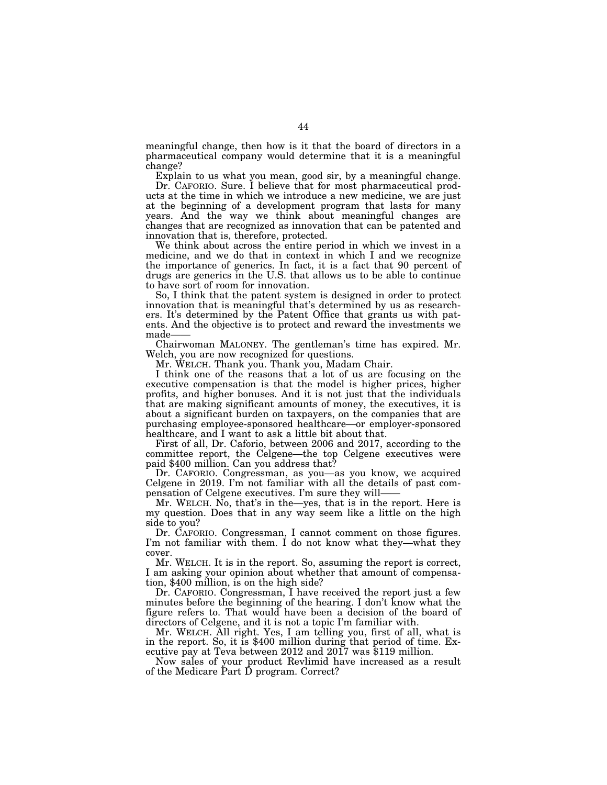meaningful change, then how is it that the board of directors in a pharmaceutical company would determine that it is a meaningful change?

Explain to us what you mean, good sir, by a meaningful change. Dr. CAFORIO. Sure. I believe that for most pharmaceutical products at the time in which we introduce a new medicine, we are just at the beginning of a development program that lasts for many years. And the way we think about meaningful changes are changes that are recognized as innovation that can be patented and innovation that is, therefore, protected.

We think about across the entire period in which we invest in a medicine, and we do that in context in which I and we recognize the importance of generics. In fact, it is a fact that 90 percent of drugs are generics in the U.S. that allows us to be able to continue to have sort of room for innovation.

So, I think that the patent system is designed in order to protect innovation that is meaningful that's determined by us as researchers. It's determined by the Patent Office that grants us with patents. And the objective is to protect and reward the investments we made-

Chairwoman MALONEY. The gentleman's time has expired. Mr. Welch, you are now recognized for questions.

Mr. WELCH. Thank you. Thank you, Madam Chair.

I think one of the reasons that a lot of us are focusing on the executive compensation is that the model is higher prices, higher profits, and higher bonuses. And it is not just that the individuals that are making significant amounts of money, the executives, it is about a significant burden on taxpayers, on the companies that are purchasing employee-sponsored healthcare—or employer-sponsored healthcare, and I want to ask a little bit about that.

First of all, Dr. Caforio, between 2006 and 2017, according to the committee report, the Celgene—the top Celgene executives were paid \$400 million. Can you address that?

Dr. CAFORIO. Congressman, as you—as you know, we acquired Celgene in 2019. I'm not familiar with all the details of past compensation of Celgene executives. I'm sure they will——

Mr. WELCH. No, that's in the—yes, that is in the report. Here is my question. Does that in any way seem like a little on the high side to you?

Dr. CAFORIO. Congressman, I cannot comment on those figures. I'm not familiar with them. I do not know what they—what they cover.

Mr. WELCH. It is in the report. So, assuming the report is correct, I am asking your opinion about whether that amount of compensation, \$400 million, is on the high side?

Dr. CAFORIO. Congressman, I have received the report just a few minutes before the beginning of the hearing. I don't know what the figure refers to. That would have been a decision of the board of directors of Celgene, and it is not a topic I'm familiar with.

Mr. WELCH. All right. Yes, I am telling you, first of all, what is in the report. So, it is \$400 million during that period of time. Executive pay at Teva between 2012 and 2017 was \$119 million.

Now sales of your product Revlimid have increased as a result of the Medicare Part D program. Correct?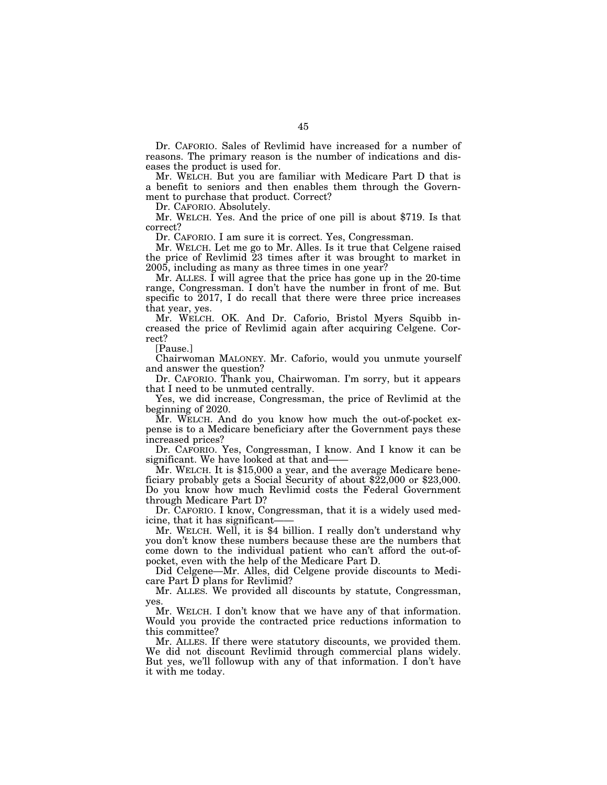Dr. CAFORIO. Sales of Revlimid have increased for a number of reasons. The primary reason is the number of indications and diseases the product is used for.

Mr. WELCH. But you are familiar with Medicare Part D that is a benefit to seniors and then enables them through the Government to purchase that product. Correct?

Dr. CAFORIO. Absolutely.

Mr. WELCH. Yes. And the price of one pill is about \$719. Is that correct?

Dr. CAFORIO. I am sure it is correct. Yes, Congressman.

Mr. WELCH. Let me go to Mr. Alles. Is it true that Celgene raised the price of Revlimid 23 times after it was brought to market in 2005, including as many as three times in one year?

Mr. ALLES. I will agree that the price has gone up in the 20-time range, Congressman. I don't have the number in front of me. But specific to 2017, I do recall that there were three price increases that year, yes.

Mr. WELCH. OK. And Dr. Caforio, Bristol Myers Squibb increased the price of Revlimid again after acquiring Celgene. Correct?

[Pause.]

Chairwoman MALONEY. Mr. Caforio, would you unmute yourself and answer the question?

Dr. CAFORIO. Thank you, Chairwoman. I'm sorry, but it appears that I need to be unmuted centrally.

Yes, we did increase, Congressman, the price of Revlimid at the beginning of 2020.

Mr. WELCH. And do you know how much the out-of-pocket expense is to a Medicare beneficiary after the Government pays these increased prices?

Dr. CAFORIO. Yes, Congressman, I know. And I know it can be significant. We have looked at that and——

Mr. WELCH. It is \$15,000 a year, and the average Medicare beneficiary probably gets a Social Security of about \$22,000 or \$23,000. Do you know how much Revlimid costs the Federal Government through Medicare Part D?

Dr. CAFORIO. I know, Congressman, that it is a widely used medicine, that it has significant-

Mr. WELCH. Well, it is \$4 billion. I really don't understand why you don't know these numbers because these are the numbers that come down to the individual patient who can't afford the out-ofpocket, even with the help of the Medicare Part D.

Did Celgene—Mr. Alles, did Celgene provide discounts to Medicare Part D plans for Revlimid?

Mr. ALLES. We provided all discounts by statute, Congressman, yes.

Mr. WELCH. I don't know that we have any of that information. Would you provide the contracted price reductions information to this committee?

Mr. ALLES. If there were statutory discounts, we provided them. We did not discount Revlimid through commercial plans widely. But yes, we'll followup with any of that information. I don't have it with me today.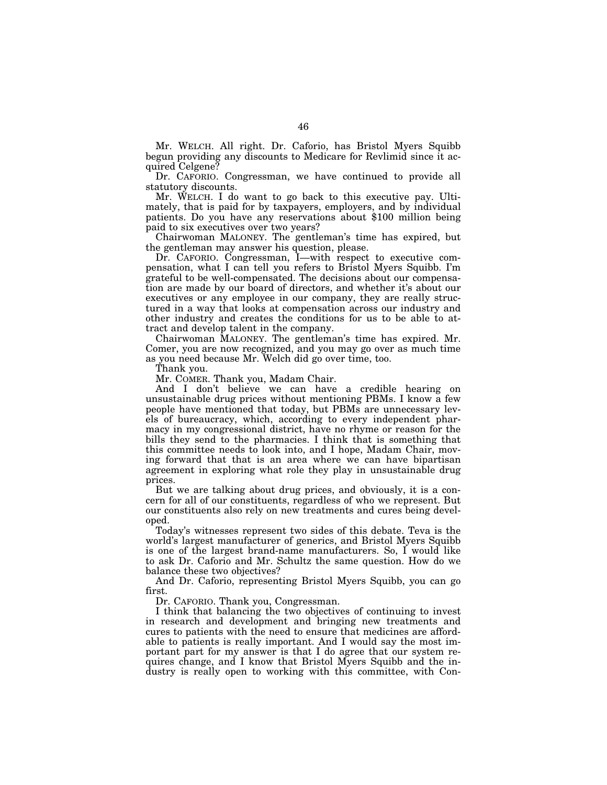Mr. WELCH. All right. Dr. Caforio, has Bristol Myers Squibb begun providing any discounts to Medicare for Revlimid since it acquired Celgene?

Dr. CAFORIO. Congressman, we have continued to provide all statutory discounts.

Mr. WELCH. I do want to go back to this executive pay. Ultimately, that is paid for by taxpayers, employers, and by individual patients. Do you have any reservations about \$100 million being paid to six executives over two years?

Chairwoman MALONEY. The gentleman's time has expired, but the gentleman may answer his question, please.

Dr. CAFORIO. Congressman, I—with respect to executive compensation, what I can tell you refers to Bristol Myers Squibb. I'm grateful to be well-compensated. The decisions about our compensation are made by our board of directors, and whether it's about our executives or any employee in our company, they are really structured in a way that looks at compensation across our industry and other industry and creates the conditions for us to be able to attract and develop talent in the company.

Chairwoman MALONEY. The gentleman's time has expired. Mr. Comer, you are now recognized, and you may go over as much time as you need because Mr. Welch did go over time, too.

Thank you.

Mr. COMER. Thank you, Madam Chair.

And I don't believe we can have a credible hearing on unsustainable drug prices without mentioning PBMs. I know a few people have mentioned that today, but PBMs are unnecessary levels of bureaucracy, which, according to every independent pharmacy in my congressional district, have no rhyme or reason for the bills they send to the pharmacies. I think that is something that this committee needs to look into, and I hope, Madam Chair, moving forward that that is an area where we can have bipartisan agreement in exploring what role they play in unsustainable drug prices.

But we are talking about drug prices, and obviously, it is a concern for all of our constituents, regardless of who we represent. But our constituents also rely on new treatments and cures being developed.

Today's witnesses represent two sides of this debate. Teva is the world's largest manufacturer of generics, and Bristol Myers Squibb is one of the largest brand-name manufacturers. So, I would like to ask Dr. Caforio and Mr. Schultz the same question. How do we balance these two objectives?

And Dr. Caforio, representing Bristol Myers Squibb, you can go first.

Dr. CAFORIO. Thank you, Congressman.

I think that balancing the two objectives of continuing to invest in research and development and bringing new treatments and cures to patients with the need to ensure that medicines are affordable to patients is really important. And I would say the most important part for my answer is that I do agree that our system requires change, and I know that Bristol Myers Squibb and the industry is really open to working with this committee, with Con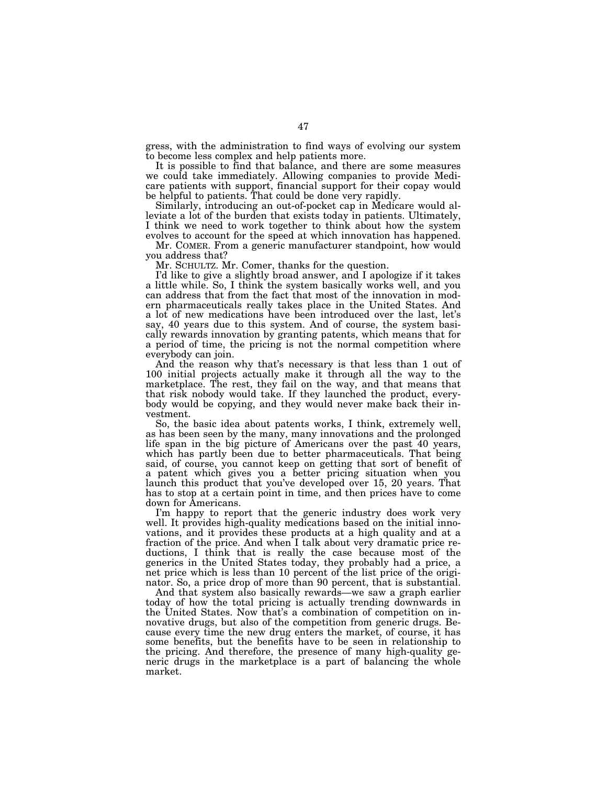gress, with the administration to find ways of evolving our system to become less complex and help patients more.

It is possible to find that balance, and there are some measures we could take immediately. Allowing companies to provide Medicare patients with support, financial support for their copay would be helpful to patients. That could be done very rapidly.

Similarly, introducing an out-of-pocket cap in Medicare would alleviate a lot of the burden that exists today in patients. Ultimately, I think we need to work together to think about how the system evolves to account for the speed at which innovation has happened.

Mr. COMER. From a generic manufacturer standpoint, how would you address that?

Mr. SCHULTZ. Mr. Comer, thanks for the question.

I'd like to give a slightly broad answer, and I apologize if it takes a little while. So, I think the system basically works well, and you can address that from the fact that most of the innovation in modern pharmaceuticals really takes place in the United States. And a lot of new medications have been introduced over the last, let's say, 40 years due to this system. And of course, the system basically rewards innovation by granting patents, which means that for a period of time, the pricing is not the normal competition where everybody can join.

And the reason why that's necessary is that less than 1 out of 100 initial projects actually make it through all the way to the marketplace. The rest, they fail on the way, and that means that that risk nobody would take. If they launched the product, everybody would be copying, and they would never make back their investment.

So, the basic idea about patents works, I think, extremely well, as has been seen by the many, many innovations and the prolonged life span in the big picture of Americans over the past 40 years, which has partly been due to better pharmaceuticals. That being said, of course, you cannot keep on getting that sort of benefit of a patent which gives you a better pricing situation when you launch this product that you've developed over 15, 20 years. That has to stop at a certain point in time, and then prices have to come down for Americans.

I'm happy to report that the generic industry does work very well. It provides high-quality medications based on the initial innovations, and it provides these products at a high quality and at a fraction of the price. And when I talk about very dramatic price reductions, I think that is really the case because most of the generics in the United States today, they probably had a price, a net price which is less than 10 percent of the list price of the originator. So, a price drop of more than 90 percent, that is substantial.

And that system also basically rewards—we saw a graph earlier today of how the total pricing is actually trending downwards in the United States. Now that's a combination of competition on innovative drugs, but also of the competition from generic drugs. Because every time the new drug enters the market, of course, it has some benefits, but the benefits have to be seen in relationship to the pricing. And therefore, the presence of many high-quality generic drugs in the marketplace is a part of balancing the whole market.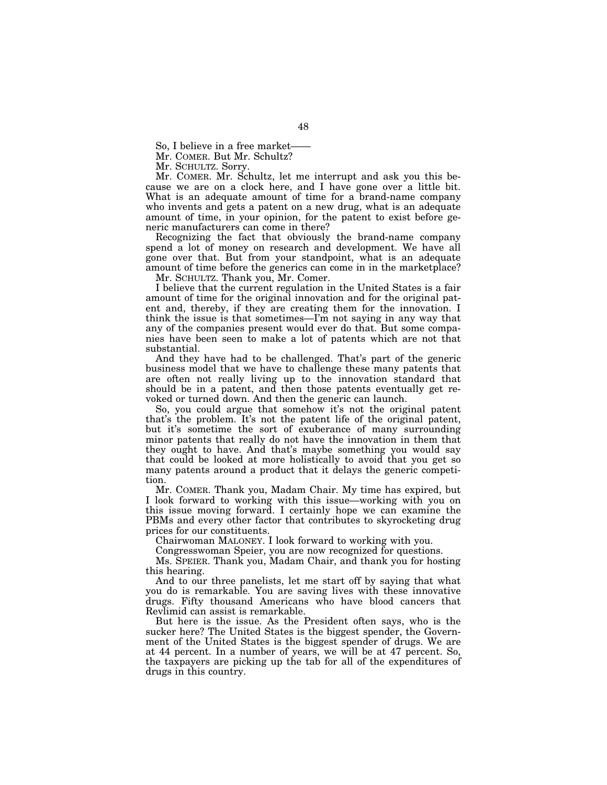So, I believe in a free market-

Mr. COMER. But Mr. Schultz?

Mr. SCHULTZ. Sorry.

Mr. COMER. Mr. Schultz, let me interrupt and ask you this because we are on a clock here, and I have gone over a little bit. What is an adequate amount of time for a brand-name company who invents and gets a patent on a new drug, what is an adequate amount of time, in your opinion, for the patent to exist before generic manufacturers can come in there?

Recognizing the fact that obviously the brand-name company spend a lot of money on research and development. We have all gone over that. But from your standpoint, what is an adequate amount of time before the generics can come in in the marketplace?

Mr. SCHULTZ. Thank you, Mr. Comer.

I believe that the current regulation in the United States is a fair amount of time for the original innovation and for the original patent and, thereby, if they are creating them for the innovation. I think the issue is that sometimes—I'm not saying in any way that any of the companies present would ever do that. But some companies have been seen to make a lot of patents which are not that substantial.

And they have had to be challenged. That's part of the generic business model that we have to challenge these many patents that are often not really living up to the innovation standard that should be in a patent, and then those patents eventually get revoked or turned down. And then the generic can launch.

So, you could argue that somehow it's not the original patent that's the problem. It's not the patent life of the original patent, but it's sometime the sort of exuberance of many surrounding minor patents that really do not have the innovation in them that they ought to have. And that's maybe something you would say that could be looked at more holistically to avoid that you get so many patents around a product that it delays the generic competition.

Mr. COMER. Thank you, Madam Chair. My time has expired, but I look forward to working with this issue—working with you on this issue moving forward. I certainly hope we can examine the PBMs and every other factor that contributes to skyrocketing drug prices for our constituents.

Chairwoman MALONEY. I look forward to working with you.

Congresswoman Speier, you are now recognized for questions.

Ms. SPEIER. Thank you, Madam Chair, and thank you for hosting this hearing.

And to our three panelists, let me start off by saying that what you do is remarkable. You are saving lives with these innovative drugs. Fifty thousand Americans who have blood cancers that Revlimid can assist is remarkable.

But here is the issue. As the President often says, who is the sucker here? The United States is the biggest spender, the Government of the United States is the biggest spender of drugs. We are at 44 percent. In a number of years, we will be at 47 percent. So, the taxpayers are picking up the tab for all of the expenditures of drugs in this country.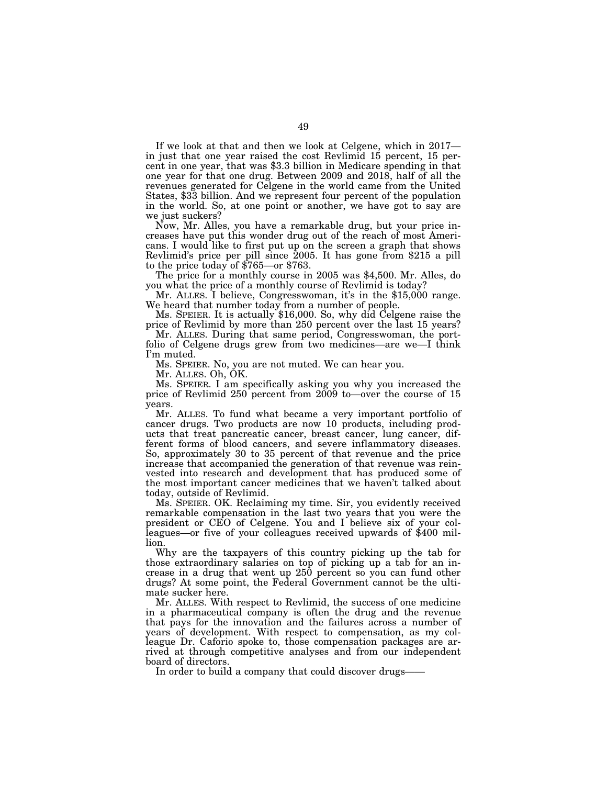If we look at that and then we look at Celgene, which in 2017 in just that one year raised the cost Revlimid 15 percent, 15 percent in one year, that was \$3.3 billion in Medicare spending in that one year for that one drug. Between 2009 and 2018, half of all the revenues generated for Celgene in the world came from the United States, \$33 billion. And we represent four percent of the population in the world. So, at one point or another, we have got to say are we just suckers?

Now, Mr. Alles, you have a remarkable drug, but your price increases have put this wonder drug out of the reach of most Americans. I would like to first put up on the screen a graph that shows Revlimid's price per pill since 2005. It has gone from \$215 a pill

to the price today of \$765—or \$763. The price for a monthly course in 2005 was \$4,500. Mr. Alles, do you what the price of a monthly course of Revlimid is today?

Mr. ALLES. I believe, Congresswoman, it's in the \$15,000 range. We heard that number today from a number of people.

Ms. SPEIER. It is actually \$16,000. So, why did Celgene raise the price of Revlimid by more than 250 percent over the last 15 years?

Mr. ALLES. During that same period, Congresswoman, the portfolio of Celgene drugs grew from two medicines—are we—I think I'm muted.

Ms. SPEIER. No, you are not muted. We can hear you.

Mr. ALLES. Oh, OK.

Ms. SPEIER. I am specifically asking you why you increased the price of Revlimid 250 percent from 2009 to—over the course of 15 years.

Mr. ALLES. To fund what became a very important portfolio of cancer drugs. Two products are now 10 products, including products that treat pancreatic cancer, breast cancer, lung cancer, different forms of blood cancers, and severe inflammatory diseases. So, approximately 30 to 35 percent of that revenue and the price increase that accompanied the generation of that revenue was reinvested into research and development that has produced some of the most important cancer medicines that we haven't talked about today, outside of Revlimid.

Ms. SPEIER. OK. Reclaiming my time. Sir, you evidently received remarkable compensation in the last two years that you were the president or CEO of Celgene. You and I believe six of your colleagues—or five of your colleagues received upwards of \$400 million.

Why are the taxpayers of this country picking up the tab for those extraordinary salaries on top of picking up a tab for an increase in a drug that went up 250 percent so you can fund other drugs? At some point, the Federal Government cannot be the ultimate sucker here.

Mr. ALLES. With respect to Revlimid, the success of one medicine in a pharmaceutical company is often the drug and the revenue that pays for the innovation and the failures across a number of years of development. With respect to compensation, as my colleague Dr. Caforio spoke to, those compensation packages are arrived at through competitive analyses and from our independent board of directors.

In order to build a company that could discover drugs——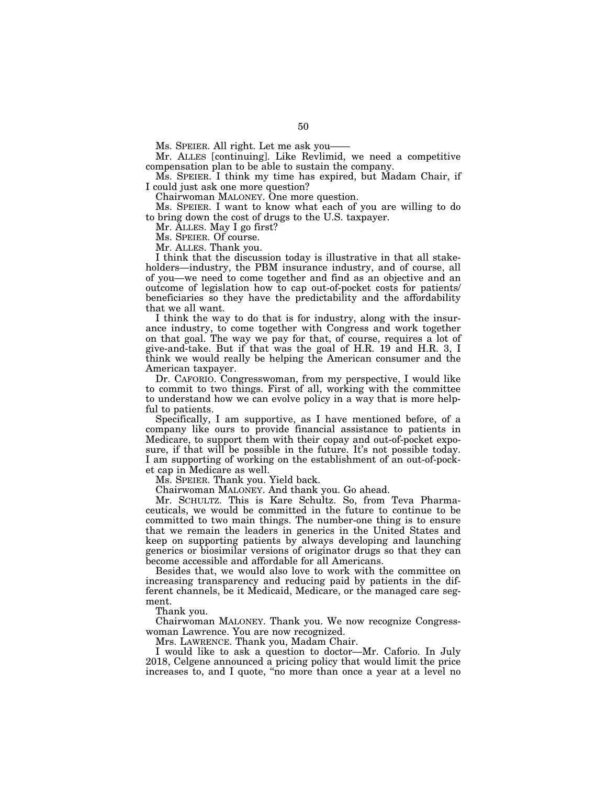Ms. SPEIER. All right. Let me ask you-

Mr. ALLES [continuing]. Like Revlimid, we need a competitive compensation plan to be able to sustain the company.

Ms. SPEIER. I think my time has expired, but Madam Chair, if I could just ask one more question?

Chairwoman MALONEY. One more question.

Ms. SPEIER. I want to know what each of you are willing to do to bring down the cost of drugs to the U.S. taxpayer.

Mr. ALLES. May I go first?

Ms. SPEIER. Of course.

Mr. ALLES. Thank you.

I think that the discussion today is illustrative in that all stakeholders—industry, the PBM insurance industry, and of course, all of you—we need to come together and find as an objective and an outcome of legislation how to cap out-of-pocket costs for patients/ beneficiaries so they have the predictability and the affordability that we all want.

I think the way to do that is for industry, along with the insurance industry, to come together with Congress and work together on that goal. The way we pay for that, of course, requires a lot of give-and-take. But if that was the goal of H.R. 19 and H.R. 3, I think we would really be helping the American consumer and the American taxpayer.

Dr. CAFORIO. Congresswoman, from my perspective, I would like to commit to two things. First of all, working with the committee to understand how we can evolve policy in a way that is more helpful to patients.

Specifically, I am supportive, as I have mentioned before, of a company like ours to provide financial assistance to patients in Medicare, to support them with their copay and out-of-pocket exposure, if that will be possible in the future. It's not possible today. I am supporting of working on the establishment of an out-of-pocket cap in Medicare as well.

Ms. SPEIER. Thank you. Yield back.

Chairwoman MALONEY. And thank you. Go ahead.

Mr. SCHULTZ. This is Kare Schultz. So, from Teva Pharmaceuticals, we would be committed in the future to continue to be committed to two main things. The number-one thing is to ensure that we remain the leaders in generics in the United States and keep on supporting patients by always developing and launching generics or biosimilar versions of originator drugs so that they can become accessible and affordable for all Americans.

Besides that, we would also love to work with the committee on increasing transparency and reducing paid by patients in the different channels, be it Medicaid, Medicare, or the managed care segment.

Thank you.

Chairwoman MALONEY. Thank you. We now recognize Congresswoman Lawrence. You are now recognized.

Mrs. LAWRENCE. Thank you, Madam Chair.

I would like to ask a question to doctor—Mr. Caforio. In July 2018, Celgene announced a pricing policy that would limit the price increases to, and I quote, ''no more than once a year at a level no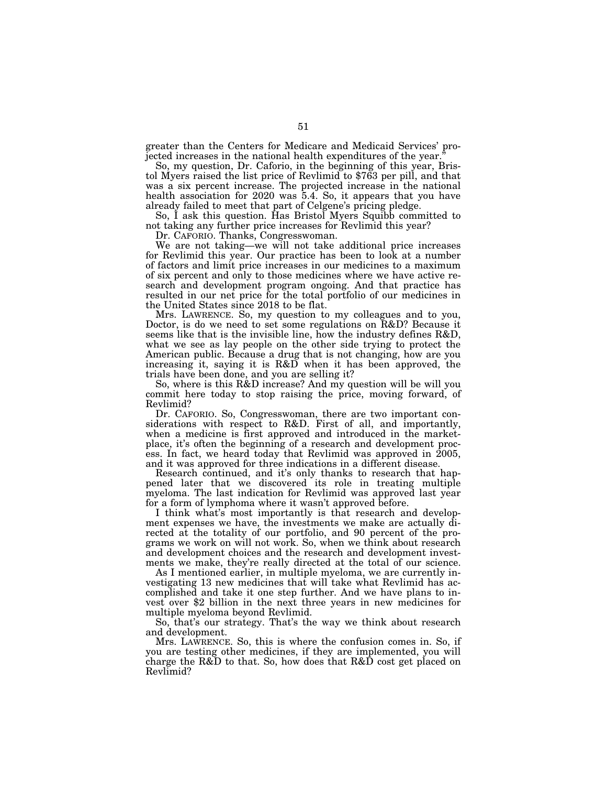greater than the Centers for Medicare and Medicaid Services' projected increases in the national health expenditures of the year.

So, my question, Dr. Caforio, in the beginning of this year, Bris- tol Myers raised the list price of Revlimid to \$763 per pill, and that was a six percent increase. The projected increase in the national health association for 2020 was 5.4. So, it appears that you have already failed to meet that part of Celgene's pricing pledge.

So, I ask this question. Has Bristol Myers Squibb committed to not taking any further price increases for Revlimid this year?

Dr. CAFORIO. Thanks, Congresswoman.

We are not taking—we will not take additional price increases for Revlimid this year. Our practice has been to look at a number of factors and limit price increases in our medicines to a maximum of six percent and only to those medicines where we have active research and development program ongoing. And that practice has resulted in our net price for the total portfolio of our medicines in the United States since 2018 to be flat.

Mrs. LAWRENCE. So, my question to my colleagues and to you, Doctor, is do we need to set some regulations on R&D? Because it seems like that is the invisible line, how the industry defines R&D, what we see as lay people on the other side trying to protect the American public. Because a drug that is not changing, how are you increasing it, saying it is R&D when it has been approved, the trials have been done, and you are selling it?

So, where is this R&D increase? And my question will be will you commit here today to stop raising the price, moving forward, of Revlimid?

Dr. CAFORIO. So, Congresswoman, there are two important considerations with respect to R&D. First of all, and importantly, when a medicine is first approved and introduced in the marketplace, it's often the beginning of a research and development process. In fact, we heard today that Revlimid was approved in 2005, and it was approved for three indications in a different disease.

Research continued, and it's only thanks to research that happened later that we discovered its role in treating multiple myeloma. The last indication for Revlimid was approved last year for a form of lymphoma where it wasn't approved before.

I think what's most importantly is that research and development expenses we have, the investments we make are actually directed at the totality of our portfolio, and 90 percent of the programs we work on will not work. So, when we think about research and development choices and the research and development investments we make, they're really directed at the total of our science.

As I mentioned earlier, in multiple myeloma, we are currently investigating 13 new medicines that will take what Revlimid has accomplished and take it one step further. And we have plans to invest over \$2 billion in the next three years in new medicines for multiple myeloma beyond Revlimid.

So, that's our strategy. That's the way we think about research and development.

Mrs. LAWRENCE. So, this is where the confusion comes in. So, if you are testing other medicines, if they are implemented, you will charge the R&D to that. So, how does that R&D cost get placed on Revlimid?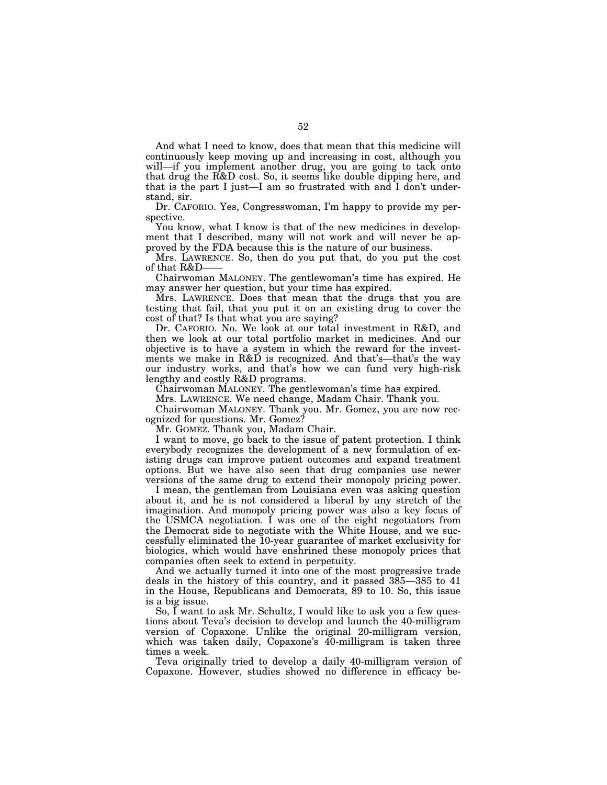And what I need to know, does that mean that this medicine will continuously keep moving up and increasing in cost, although you will—if you implement another drug, you are going to tack onto that drug the R&D cost. So, it seems like double dipping here, and that is the part I just—I am so frustrated with and I don't understand, sir.

Dr. CAFORIO. Yes, Congresswoman, I'm happy to provide my perspective.

You know, what I know is that of the new medicines in development that I described, many will not work and will never be approved by the FDA because this is the nature of our business.

Mrs. LAWRENCE. So, then do you put that, do you put the cost of that R&D——

Chairwoman MALONEY. The gentlewoman's time has expired. He may answer her question, but your time has expired.

Mrs. LAWRENCE. Does that mean that the drugs that you are testing that fail, that you put it on an existing drug to cover the cost of that? Is that what you are saying?

Dr. CAFORIO. No. We look at our total investment in R&D, and then we look at our total portfolio market in medicines. And our objective is to have a system in which the reward for the investments we make in R&D is recognized. And that's—that's the way our industry works, and that's how we can fund very high-risk lengthy and costly R&D programs.

Chairwoman MALONEY. The gentlewoman's time has expired.

Mrs. LAWRENCE. We need change, Madam Chair. Thank you.

Chairwoman MALONEY. Thank you. Mr. Gomez, you are now recognized for questions. Mr. Gomez?

Mr. GOMEZ. Thank you, Madam Chair.

I want to move, go back to the issue of patent protection. I think everybody recognizes the development of a new formulation of existing drugs can improve patient outcomes and expand treatment options. But we have also seen that drug companies use newer versions of the same drug to extend their monopoly pricing power.

I mean, the gentleman from Louisiana even was asking question about it, and he is not considered a liberal by any stretch of the imagination. And monopoly pricing power was also a key focus of the USMCA negotiation. I was one of the eight negotiators from the Democrat side to negotiate with the White House, and we successfully eliminated the 10-year guarantee of market exclusivity for biologics, which would have enshrined these monopoly prices that companies often seek to extend in perpetuity.

And we actually turned it into one of the most progressive trade deals in the history of this country, and it passed 385—385 to 41 in the House, Republicans and Democrats, 89 to 10. So, this issue is a big issue.

So, I want to ask Mr. Schultz, I would like to ask you a few questions about Teva's decision to develop and launch the 40-milligram version of Copaxone. Unlike the original 20-milligram version, which was taken daily, Copaxone's 40-milligram is taken three times a week.

Teva originally tried to develop a daily 40-milligram version of Copaxone. However, studies showed no difference in efficacy be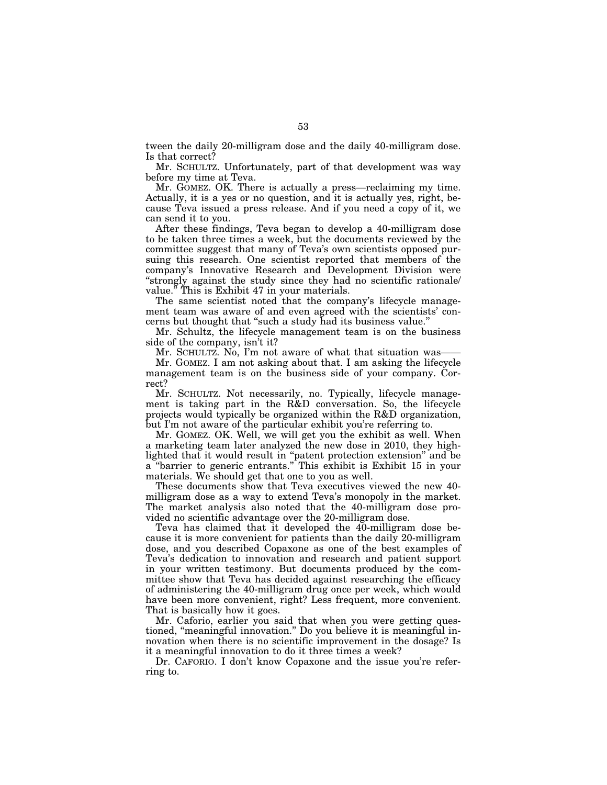tween the daily 20-milligram dose and the daily 40-milligram dose. Is that correct?

Mr. SCHULTZ. Unfortunately, part of that development was way before my time at Teva.

Mr. GOMEZ. OK. There is actually a press—reclaiming my time. Actually, it is a yes or no question, and it is actually yes, right, because Teva issued a press release. And if you need a copy of it, we can send it to you.

After these findings, Teva began to develop a 40-milligram dose to be taken three times a week, but the documents reviewed by the committee suggest that many of Teva's own scientists opposed pursuing this research. One scientist reported that members of the company's Innovative Research and Development Division were ''strongly against the study since they had no scientific rationale/ value.'' This is Exhibit 47 in your materials.

The same scientist noted that the company's lifecycle management team was aware of and even agreed with the scientists' concerns but thought that ''such a study had its business value.''

Mr. Schultz, the lifecycle management team is on the business side of the company, isn't it?

Mr. SCHULTZ. No, I'm not aware of what that situation was-Mr. GOMEZ. I am not asking about that. I am asking the lifecycle management team is on the business side of your company. Cor-

rect? Mr. SCHULTZ. Not necessarily, no. Typically, lifecycle management is taking part in the R&D conversation. So, the lifecycle projects would typically be organized within the R&D organization, but I'm not aware of the particular exhibit you're referring to.

Mr. GOMEZ. OK. Well, we will get you the exhibit as well. When a marketing team later analyzed the new dose in 2010, they highlighted that it would result in ''patent protection extension'' and be a ''barrier to generic entrants.'' This exhibit is Exhibit 15 in your materials. We should get that one to you as well.

These documents show that Teva executives viewed the new 40 milligram dose as a way to extend Teva's monopoly in the market. The market analysis also noted that the 40-milligram dose provided no scientific advantage over the 20-milligram dose.

Teva has claimed that it developed the 40-milligram dose because it is more convenient for patients than the daily 20-milligram dose, and you described Copaxone as one of the best examples of Teva's dedication to innovation and research and patient support in your written testimony. But documents produced by the committee show that Teva has decided against researching the efficacy of administering the 40-milligram drug once per week, which would have been more convenient, right? Less frequent, more convenient. That is basically how it goes.

Mr. Caforio, earlier you said that when you were getting questioned, "meaningful innovation." Do you believe it is meaningful innovation when there is no scientific improvement in the dosage? Is it a meaningful innovation to do it three times a week?

Dr. CAFORIO. I don't know Copaxone and the issue you're referring to.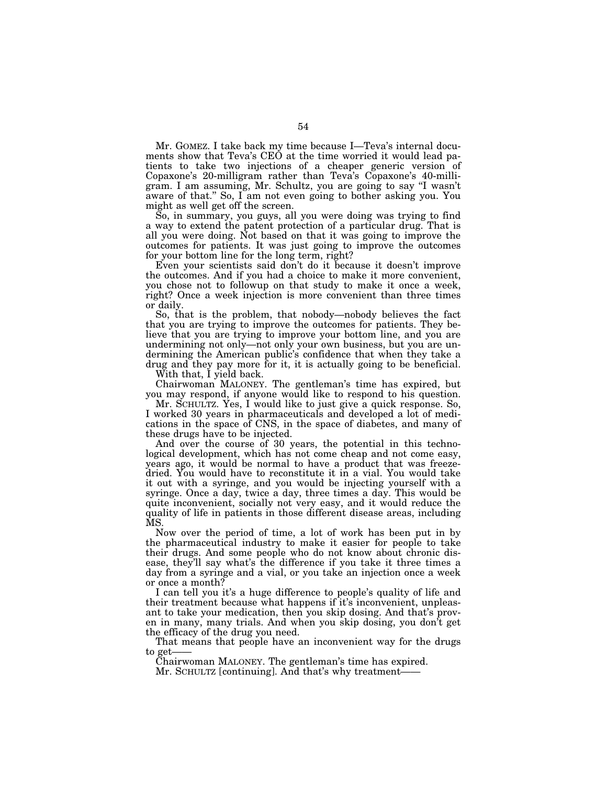Mr. GOMEZ. I take back my time because I—Teva's internal documents show that Teva's CEO at the time worried it would lead patients to take two injections of a cheaper generic version of Copaxone's 20-milligram rather than Teva's Copaxone's 40-milligram. I am assuming, Mr. Schultz, you are going to say ''I wasn't aware of that.'' So, I am not even going to bother asking you. You might as well get off the screen.

So, in summary, you guys, all you were doing was trying to find a way to extend the patent protection of a particular drug. That is all you were doing. Not based on that it was going to improve the outcomes for patients. It was just going to improve the outcomes for your bottom line for the long term, right?

Even your scientists said don't do it because it doesn't improve the outcomes. And if you had a choice to make it more convenient, you chose not to followup on that study to make it once a week, right? Once a week injection is more convenient than three times or daily.

So, that is the problem, that nobody—nobody believes the fact that you are trying to improve the outcomes for patients. They believe that you are trying to improve your bottom line, and you are undermining not only—not only your own business, but you are undermining the American public's confidence that when they take a drug and they pay more for it, it is actually going to be beneficial.

With that, I yield back.

Chairwoman MALONEY. The gentleman's time has expired, but you may respond, if anyone would like to respond to his question.

Mr. SCHULTZ. Yes, I would like to just give a quick response. So, I worked 30 years in pharmaceuticals and developed a lot of medications in the space of CNS, in the space of diabetes, and many of these drugs have to be injected.

And over the course of 30 years, the potential in this technological development, which has not come cheap and not come easy, years ago, it would be normal to have a product that was freezedried. You would have to reconstitute it in a vial. You would take it out with a syringe, and you would be injecting yourself with a syringe. Once a day, twice a day, three times a day. This would be quite inconvenient, socially not very easy, and it would reduce the quality of life in patients in those different disease areas, including MS.

Now over the period of time, a lot of work has been put in by the pharmaceutical industry to make it easier for people to take their drugs. And some people who do not know about chronic disease, they'll say what's the difference if you take it three times a day from a syringe and a vial, or you take an injection once a week or once a month?

I can tell you it's a huge difference to people's quality of life and their treatment because what happens if it's inconvenient, unpleasant to take your medication, then you skip dosing. And that's proven in many, many trials. And when you skip dosing, you don't get the efficacy of the drug you need.

That means that people have an inconvenient way for the drugs to get-

Chairwoman MALONEY. The gentleman's time has expired. Mr. SCHULTZ [continuing]. And that's why treatment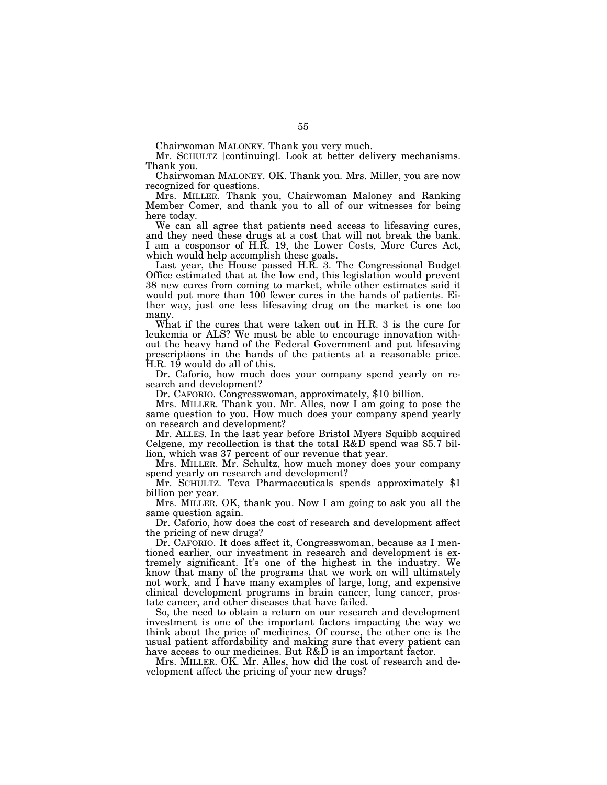Chairwoman MALONEY. Thank you very much.

Mr. SCHULTZ [continuing]. Look at better delivery mechanisms. Thank you.

Chairwoman MALONEY. OK. Thank you. Mrs. Miller, you are now recognized for questions.

Mrs. MILLER. Thank you, Chairwoman Maloney and Ranking Member Comer, and thank you to all of our witnesses for being here today.

We can all agree that patients need access to lifesaving cures, and they need these drugs at a cost that will not break the bank. I am a cosponsor of H.R. 19, the Lower Costs, More Cures Act, which would help accomplish these goals.

Last year, the House passed H.R. 3. The Congressional Budget Office estimated that at the low end, this legislation would prevent 38 new cures from coming to market, while other estimates said it would put more than 100 fewer cures in the hands of patients. Either way, just one less lifesaving drug on the market is one too many.

What if the cures that were taken out in H.R. 3 is the cure for leukemia or ALS? We must be able to encourage innovation without the heavy hand of the Federal Government and put lifesaving prescriptions in the hands of the patients at a reasonable price. H.R. 19 would do all of this.

Dr. Caforio, how much does your company spend yearly on research and development?

Dr. CAFORIO. Congresswoman, approximately, \$10 billion.

Mrs. MILLER. Thank you. Mr. Alles, now I am going to pose the same question to you. How much does your company spend yearly on research and development?

Mr. ALLES. In the last year before Bristol Myers Squibb acquired Celgene, my recollection is that the total R&D spend was \$5.7 billion, which was 37 percent of our revenue that year.

Mrs. MILLER. Mr. Schultz, how much money does your company spend yearly on research and development?

Mr. SCHULTZ. Teva Pharmaceuticals spends approximately \$1 billion per year.

Mrs. MILLER. OK, thank you. Now I am going to ask you all the same question again.

Dr. Caforio, how does the cost of research and development affect the pricing of new drugs?

Dr. CAFORIO. It does affect it, Congresswoman, because as I mentioned earlier, our investment in research and development is extremely significant. It's one of the highest in the industry. We know that many of the programs that we work on will ultimately not work, and I have many examples of large, long, and expensive clinical development programs in brain cancer, lung cancer, prostate cancer, and other diseases that have failed.

So, the need to obtain a return on our research and development investment is one of the important factors impacting the way we think about the price of medicines. Of course, the other one is the usual patient affordability and making sure that every patient can have access to our medicines. But R&D is an important factor.

Mrs. MILLER. OK. Mr. Alles, how did the cost of research and development affect the pricing of your new drugs?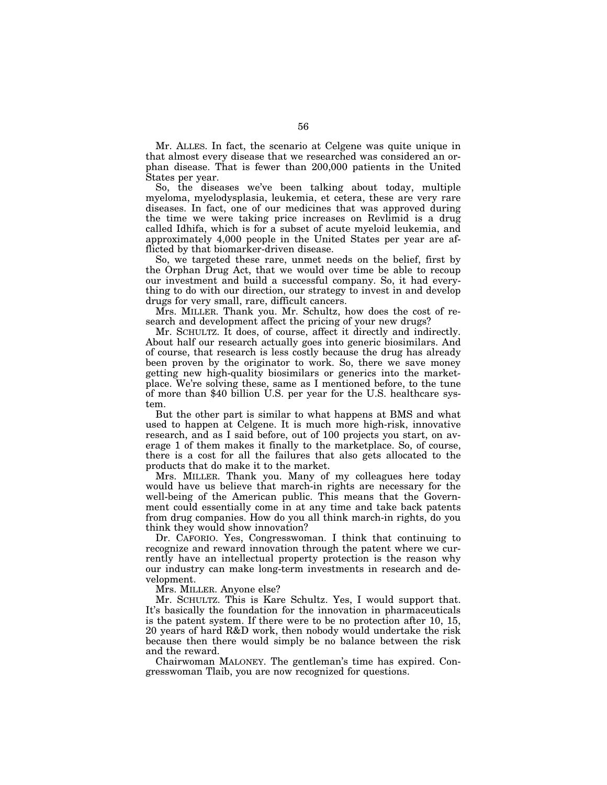Mr. ALLES. In fact, the scenario at Celgene was quite unique in that almost every disease that we researched was considered an orphan disease. That is fewer than 200,000 patients in the United States per year.

So, the diseases we've been talking about today, multiple myeloma, myelodysplasia, leukemia, et cetera, these are very rare diseases. In fact, one of our medicines that was approved during the time we were taking price increases on Revlimid is a drug called Idhifa, which is for a subset of acute myeloid leukemia, and approximately 4,000 people in the United States per year are afflicted by that biomarker-driven disease.

So, we targeted these rare, unmet needs on the belief, first by the Orphan Drug Act, that we would over time be able to recoup our investment and build a successful company. So, it had everything to do with our direction, our strategy to invest in and develop drugs for very small, rare, difficult cancers.

Mrs. MILLER. Thank you. Mr. Schultz, how does the cost of research and development affect the pricing of your new drugs?

Mr. SCHULTZ. It does, of course, affect it directly and indirectly. About half our research actually goes into generic biosimilars. And of course, that research is less costly because the drug has already been proven by the originator to work. So, there we save money getting new high-quality biosimilars or generics into the marketplace. We're solving these, same as I mentioned before, to the tune of more than \$40 billion U.S. per year for the U.S. healthcare system.

But the other part is similar to what happens at BMS and what used to happen at Celgene. It is much more high-risk, innovative research, and as I said before, out of 100 projects you start, on average 1 of them makes it finally to the marketplace. So, of course, there is a cost for all the failures that also gets allocated to the products that do make it to the market.

Mrs. MILLER. Thank you. Many of my colleagues here today would have us believe that march-in rights are necessary for the well-being of the American public. This means that the Government could essentially come in at any time and take back patents from drug companies. How do you all think march-in rights, do you think they would show innovation?

Dr. CAFORIO. Yes, Congresswoman. I think that continuing to recognize and reward innovation through the patent where we currently have an intellectual property protection is the reason why our industry can make long-term investments in research and development.

Mrs. MILLER. Anyone else?

Mr. SCHULTZ. This is Kare Schultz. Yes, I would support that. It's basically the foundation for the innovation in pharmaceuticals is the patent system. If there were to be no protection after 10, 15, 20 years of hard R&D work, then nobody would undertake the risk because then there would simply be no balance between the risk and the reward.

Chairwoman MALONEY. The gentleman's time has expired. Congresswoman Tlaib, you are now recognized for questions.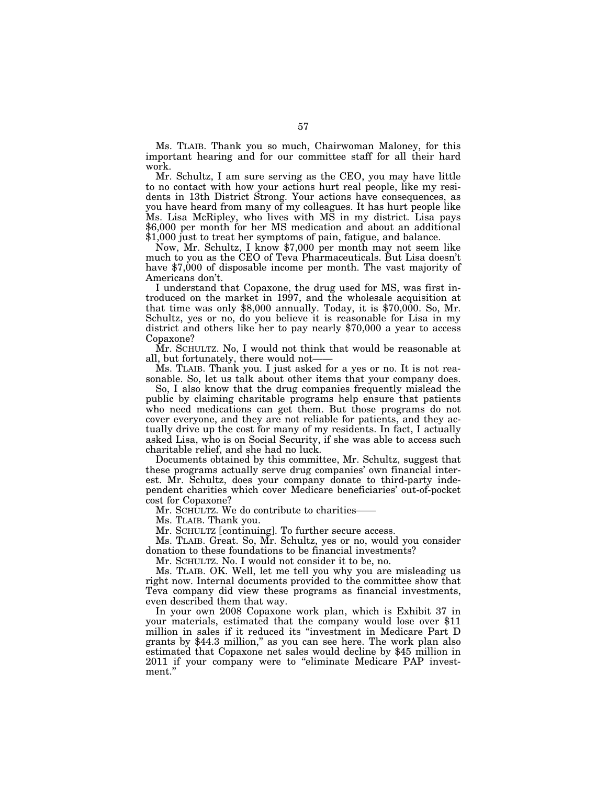Ms. TLAIB. Thank you so much, Chairwoman Maloney, for this important hearing and for our committee staff for all their hard work.

Mr. Schultz, I am sure serving as the CEO, you may have little to no contact with how your actions hurt real people, like my residents in 13th District Strong. Your actions have consequences, as you have heard from many of my colleagues. It has hurt people like Ms. Lisa McRipley, who lives with MS in my district. Lisa pays \$6,000 per month for her MS medication and about an additional \$1,000 just to treat her symptoms of pain, fatigue, and balance.

Now, Mr. Schultz, I know \$7,000 per month may not seem like much to you as the CEO of Teva Pharmaceuticals. But Lisa doesn't have \$7,000 of disposable income per month. The vast majority of Americans don't.

I understand that Copaxone, the drug used for MS, was first introduced on the market in 1997, and the wholesale acquisition at that time was only \$8,000 annually. Today, it is \$70,000. So, Mr. Schultz, yes or no, do you believe it is reasonable for Lisa in my district and others like her to pay nearly \$70,000 a year to access Copaxone?

Mr. SCHULTZ. No, I would not think that would be reasonable at all, but fortunately, there would not-

Ms. TLAIB. Thank you. I just asked for a yes or no. It is not reasonable. So, let us talk about other items that your company does.

So, I also know that the drug companies frequently mislead the public by claiming charitable programs help ensure that patients who need medications can get them. But those programs do not cover everyone, and they are not reliable for patients, and they actually drive up the cost for many of my residents. In fact, I actually asked Lisa, who is on Social Security, if she was able to access such charitable relief, and she had no luck.

Documents obtained by this committee, Mr. Schultz, suggest that these programs actually serve drug companies' own financial interest. Mr. Schultz, does your company donate to third-party independent charities which cover Medicare beneficiaries' out-of-pocket cost for Copaxone?

Mr. SCHULTZ. We do contribute to charities-

Ms. TLAIB. Thank you.

Mr. SCHULTZ [continuing]. To further secure access.

Ms. TLAIB. Great. So, Mr. Schultz, yes or no, would you consider donation to these foundations to be financial investments?

Mr. SCHULTZ. No. I would not consider it to be, no.

Ms. TLAIB. OK. Well, let me tell you why you are misleading us right now. Internal documents provided to the committee show that Teva company did view these programs as financial investments, even described them that way.

In your own 2008 Copaxone work plan, which is Exhibit 37 in your materials, estimated that the company would lose over \$11 million in sales if it reduced its ''investment in Medicare Part D grants by \$44.3 million,'' as you can see here. The work plan also estimated that Copaxone net sales would decline by \$45 million in 2011 if your company were to "eliminate Medicare PAP investment.''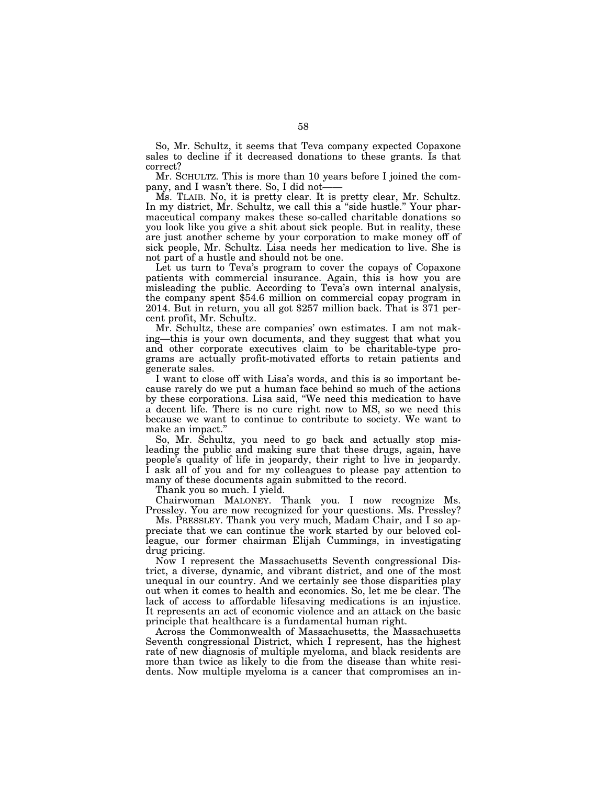So, Mr. Schultz, it seems that Teva company expected Copaxone sales to decline if it decreased donations to these grants. Is that correct?

Mr. SCHULTZ. This is more than 10 years before I joined the company, and I wasn't there. So, I did not——

Ms. TLAIB. No, it is pretty clear. It is pretty clear, Mr. Schultz. In my district, Mr. Schultz, we call this a "side hustle." Your pharmaceutical company makes these so-called charitable donations so you look like you give a shit about sick people. But in reality, these are just another scheme by your corporation to make money off of sick people, Mr. Schultz. Lisa needs her medication to live. She is not part of a hustle and should not be one.

Let us turn to Teva's program to cover the copays of Copaxone patients with commercial insurance. Again, this is how you are misleading the public. According to Teva's own internal analysis, the company spent \$54.6 million on commercial copay program in 2014. But in return, you all got \$257 million back. That is 371 percent profit, Mr. Schultz.

Mr. Schultz, these are companies' own estimates. I am not making—this is your own documents, and they suggest that what you and other corporate executives claim to be charitable-type programs are actually profit-motivated efforts to retain patients and generate sales.

I want to close off with Lisa's words, and this is so important because rarely do we put a human face behind so much of the actions by these corporations. Lisa said, ''We need this medication to have a decent life. There is no cure right now to MS, so we need this because we want to continue to contribute to society. We want to make an impact.''

So, Mr. Schultz, you need to go back and actually stop misleading the public and making sure that these drugs, again, have people's quality of life in jeopardy, their right to live in jeopardy. I ask all of you and for my colleagues to please pay attention to many of these documents again submitted to the record.

Thank you so much. I yield.

Chairwoman MALONEY. Thank you. I now recognize Ms. Pressley. You are now recognized for your questions. Ms. Pressley?

Ms. PRESSLEY. Thank you very much, Madam Chair, and I so appreciate that we can continue the work started by our beloved colleague, our former chairman Elijah Cummings, in investigating drug pricing.

Now I represent the Massachusetts Seventh congressional District, a diverse, dynamic, and vibrant district, and one of the most unequal in our country. And we certainly see those disparities play out when it comes to health and economics. So, let me be clear. The lack of access to affordable lifesaving medications is an injustice. It represents an act of economic violence and an attack on the basic principle that healthcare is a fundamental human right.

Across the Commonwealth of Massachusetts, the Massachusetts Seventh congressional District, which I represent, has the highest rate of new diagnosis of multiple myeloma, and black residents are more than twice as likely to die from the disease than white residents. Now multiple myeloma is a cancer that compromises an in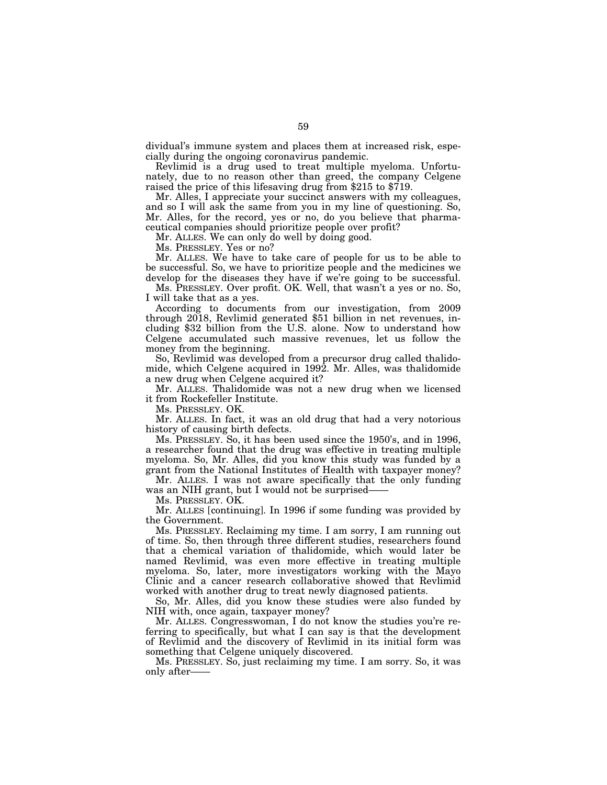dividual's immune system and places them at increased risk, especially during the ongoing coronavirus pandemic.

Revlimid is a drug used to treat multiple myeloma. Unfortunately, due to no reason other than greed, the company Celgene raised the price of this lifesaving drug from \$215 to \$719.

Mr. Alles, I appreciate your succinct answers with my colleagues, and so I will ask the same from you in my line of questioning. So, Mr. Alles, for the record, yes or no, do you believe that pharmaceutical companies should prioritize people over profit?

Mr. ALLES. We can only do well by doing good.

Ms. PRESSLEY. Yes or no?

Mr. ALLES. We have to take care of people for us to be able to be successful. So, we have to prioritize people and the medicines we develop for the diseases they have if we're going to be successful.

Ms. PRESSLEY. Over profit. OK. Well, that wasn't a yes or no. So, I will take that as a yes.

According to documents from our investigation, from 2009 through 2018, Revlimid generated \$51 billion in net revenues, including \$32 billion from the U.S. alone. Now to understand how Celgene accumulated such massive revenues, let us follow the money from the beginning.

So, Revlimid was developed from a precursor drug called thalidomide, which Celgene acquired in 1992. Mr. Alles, was thalidomide a new drug when Celgene acquired it?

Mr. ALLES. Thalidomide was not a new drug when we licensed it from Rockefeller Institute.

Ms. PRESSLEY. OK.

Mr. ALLES. In fact, it was an old drug that had a very notorious history of causing birth defects.

Ms. PRESSLEY. So, it has been used since the 1950's, and in 1996, a researcher found that the drug was effective in treating multiple myeloma. So, Mr. Alles, did you know this study was funded by a grant from the National Institutes of Health with taxpayer money?

Mr. ALLES. I was not aware specifically that the only funding was an NIH grant, but I would not be surprised-

Ms. PRESSLEY. OK.

Mr. ALLES [continuing]. In 1996 if some funding was provided by the Government.

Ms. PRESSLEY. Reclaiming my time. I am sorry, I am running out of time. So, then through three different studies, researchers found that a chemical variation of thalidomide, which would later be named Revlimid, was even more effective in treating multiple myeloma. So, later, more investigators working with the Mayo Clinic and a cancer research collaborative showed that Revlimid worked with another drug to treat newly diagnosed patients.

So, Mr. Alles, did you know these studies were also funded by NIH with, once again, taxpayer money?

Mr. ALLES. Congresswoman, I do not know the studies you're referring to specifically, but what I can say is that the development of Revlimid and the discovery of Revlimid in its initial form was something that Celgene uniquely discovered.

Ms. PRESSLEY. So, just reclaiming my time. I am sorry. So, it was only after——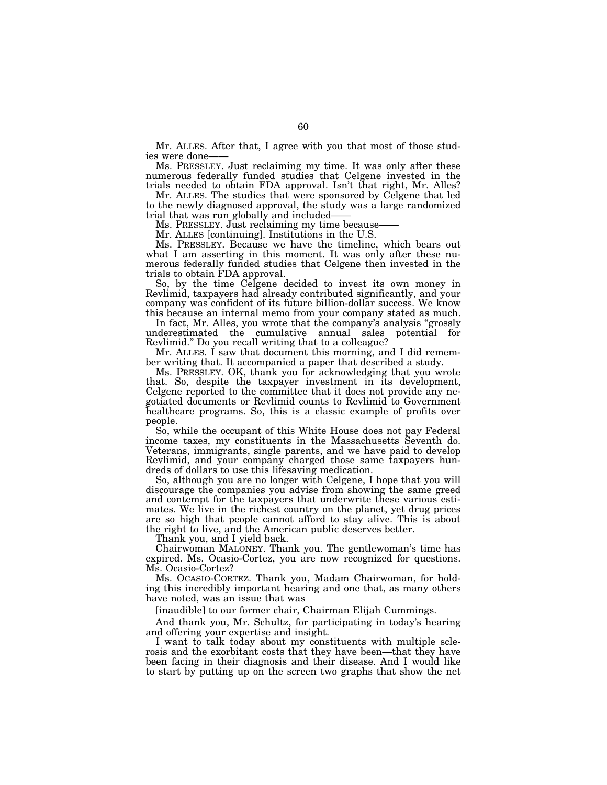Mr. ALLES. After that, I agree with you that most of those studies were done-

Ms. PRESSLEY. Just reclaiming my time. It was only after these numerous federally funded studies that Celgene invested in the trials needed to obtain FDA approval. Isn't that right, Mr. Alles?

Mr. ALLES. The studies that were sponsored by Celgene that led to the newly diagnosed approval, the study was a large randomized trial that was run globally and included——

Ms. PRESSLEY. Just reclaiming my time because-

Mr. ALLES [continuing]. Institutions in the U.S.

Ms. PRESSLEY. Because we have the timeline, which bears out what I am asserting in this moment. It was only after these numerous federally funded studies that Celgene then invested in the trials to obtain FDA approval.

So, by the time Celgene decided to invest its own money in Revlimid, taxpayers had already contributed significantly, and your company was confident of its future billion-dollar success. We know this because an internal memo from your company stated as much.

In fact, Mr. Alles, you wrote that the company's analysis "grossly" underestimated the cumulative annual sales potential for Revlimid.'' Do you recall writing that to a colleague?

Mr. ALLES. I saw that document this morning, and I did remember writing that. It accompanied a paper that described a study.

Ms. PRESSLEY. OK, thank you for acknowledging that you wrote that. So, despite the taxpayer investment in its development, Celgene reported to the committee that it does not provide any negotiated documents or Revlimid counts to Revlimid to Government healthcare programs. So, this is a classic example of profits over people.

So, while the occupant of this White House does not pay Federal income taxes, my constituents in the Massachusetts Seventh do. Veterans, immigrants, single parents, and we have paid to develop Revlimid, and your company charged those same taxpayers hundreds of dollars to use this lifesaving medication.

So, although you are no longer with Celgene, I hope that you will discourage the companies you advise from showing the same greed and contempt for the taxpayers that underwrite these various estimates. We live in the richest country on the planet, yet drug prices are so high that people cannot afford to stay alive. This is about the right to live, and the American public deserves better.

Thank you, and I yield back.

Chairwoman MALONEY. Thank you. The gentlewoman's time has expired. Ms. Ocasio-Cortez, you are now recognized for questions. Ms. Ocasio-Cortez?

Ms. OCASIO-CORTEZ. Thank you, Madam Chairwoman, for holding this incredibly important hearing and one that, as many others have noted, was an issue that was

[inaudible] to our former chair, Chairman Elijah Cummings.

And thank you, Mr. Schultz, for participating in today's hearing and offering your expertise and insight.

I want to talk today about my constituents with multiple sclerosis and the exorbitant costs that they have been—that they have been facing in their diagnosis and their disease. And I would like to start by putting up on the screen two graphs that show the net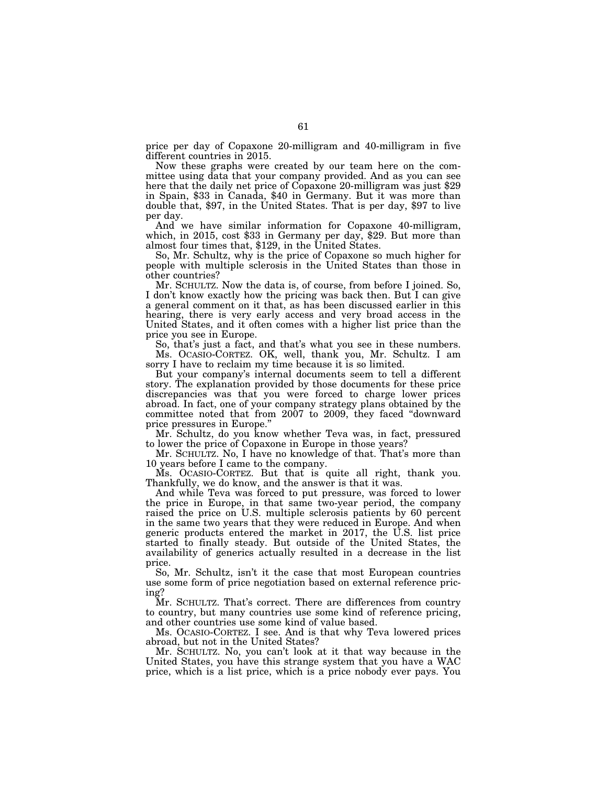price per day of Copaxone 20-milligram and 40-milligram in five different countries in 2015.

Now these graphs were created by our team here on the committee using data that your company provided. And as you can see here that the daily net price of Copaxone 20-milligram was just \$29 in Spain, \$33 in Canada, \$40 in Germany. But it was more than double that, \$97, in the United States. That is per day, \$97 to live per day.<br>And we have similar information for Copaxone 40-milligram,

which, in 2015, cost \$33 in Germany per day, \$29. But more than almost four times that, \$129, in the United States.

So, Mr. Schultz, why is the price of Copaxone so much higher for people with multiple sclerosis in the United States than those in other countries?

Mr. SCHULTZ. Now the data is, of course, from before I joined. So, I don't know exactly how the pricing was back then. But I can give a general comment on it that, as has been discussed earlier in this hearing, there is very early access and very broad access in the United States, and it often comes with a higher list price than the price you see in Europe.

So, that's just a fact, and that's what you see in these numbers. Ms. OCASIO-CORTEZ. OK, well, thank you, Mr. Schultz. I am sorry I have to reclaim my time because it is so limited.

But your company's internal documents seem to tell a different story. The explanation provided by those documents for these price discrepancies was that you were forced to charge lower prices abroad. In fact, one of your company strategy plans obtained by the committee noted that from 2007 to 2009, they faced ''downward price pressures in Europe.''

Mr. Schultz, do you know whether Teva was, in fact, pressured to lower the price of Copaxone in Europe in those years?

Mr. SCHULTZ. No, I have no knowledge of that. That's more than 10 years before I came to the company.

Ms. OCASIO-CORTEZ. But that is quite all right, thank you. Thankfully, we do know, and the answer is that it was.

And while Teva was forced to put pressure, was forced to lower the price in Europe, in that same two-year period, the company raised the price on U.S. multiple sclerosis patients by 60 percent in the same two years that they were reduced in Europe. And when generic products entered the market in 2017, the U.S. list price started to finally steady. But outside of the United States, the availability of generics actually resulted in a decrease in the list price.

So, Mr. Schultz, isn't it the case that most European countries use some form of price negotiation based on external reference pricing?

Mr. SCHULTZ. That's correct. There are differences from country to country, but many countries use some kind of reference pricing, and other countries use some kind of value based.

Ms. OCASIO-CORTEZ. I see. And is that why Teva lowered prices abroad, but not in the United States?

Mr. SCHULTZ. No, you can't look at it that way because in the United States, you have this strange system that you have a WAC price, which is a list price, which is a price nobody ever pays. You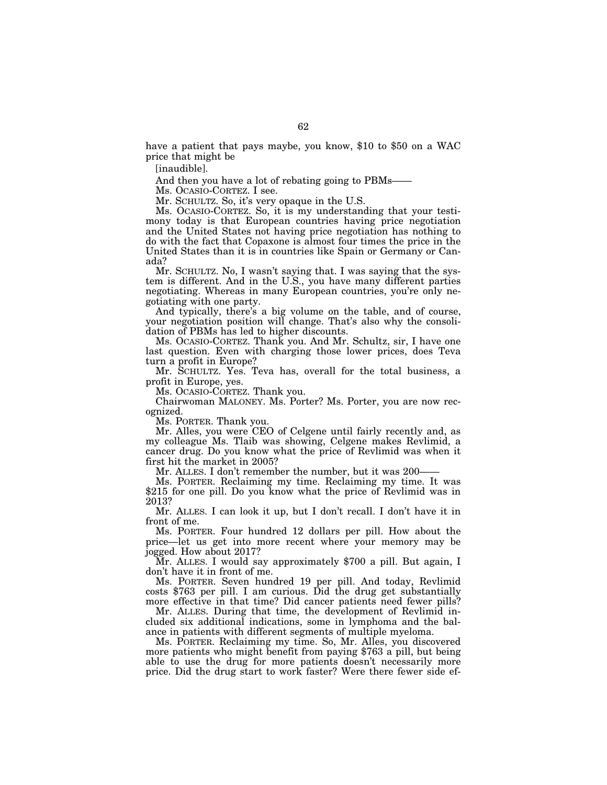have a patient that pays maybe, you know, \$10 to \$50 on a WAC price that might be

[inaudible].

And then you have a lot of rebating going to PBMs——

Ms. OCASIO-CORTEZ. I see.

Mr. SCHULTZ. So, it's very opaque in the U.S.

Ms. OCASIO-CORTEZ. So, it is my understanding that your testimony today is that European countries having price negotiation and the United States not having price negotiation has nothing to do with the fact that Copaxone is almost four times the price in the United States than it is in countries like Spain or Germany or Canada?

Mr. SCHULTZ. No, I wasn't saying that. I was saying that the system is different. And in the U.S., you have many different parties negotiating. Whereas in many European countries, you're only negotiating with one party.

And typically, there's a big volume on the table, and of course, your negotiation position will change. That's also why the consolidation of PBMs has led to higher discounts.

Ms. OCASIO-CORTEZ. Thank you. And Mr. Schultz, sir, I have one last question. Even with charging those lower prices, does Teva turn a profit in Europe?

Mr. SCHULTZ. Yes. Teva has, overall for the total business, a profit in Europe, yes.

Ms. OCASIO-CORTEZ. Thank you.

Chairwoman MALONEY. Ms. Porter? Ms. Porter, you are now recognized.

Ms. PORTER. Thank you.

Mr. Alles, you were CEO of Celgene until fairly recently and, as my colleague Ms. Tlaib was showing, Celgene makes Revlimid, a cancer drug. Do you know what the price of Revlimid was when it first hit the market in 2005?

Mr. ALLES. I don't remember the number, but it was 200–

Ms. PORTER. Reclaiming my time. Reclaiming my time. It was \$215 for one pill. Do you know what the price of Revlimid was in 2013?

Mr. ALLES. I can look it up, but I don't recall. I don't have it in front of me.

Ms. PORTER. Four hundred 12 dollars per pill. How about the price—let us get into more recent where your memory may be jogged. How about 2017?

Mr. ALLES. I would say approximately \$700 a pill. But again, I don't have it in front of me.

Ms. PORTER. Seven hundred 19 per pill. And today, Revlimid costs \$763 per pill. I am curious. Did the drug get substantially more effective in that time? Did cancer patients need fewer pills?

Mr. ALLES. During that time, the development of Revlimid included six additional indications, some in lymphoma and the balance in patients with different segments of multiple myeloma.

Ms. PORTER. Reclaiming my time. So, Mr. Alles, you discovered more patients who might benefit from paying \$763 a pill, but being able to use the drug for more patients doesn't necessarily more price. Did the drug start to work faster? Were there fewer side ef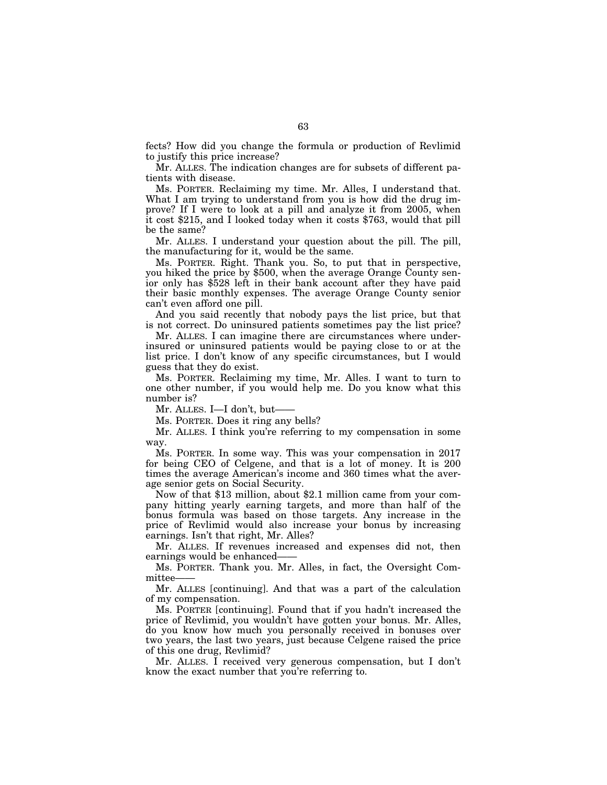fects? How did you change the formula or production of Revlimid to justify this price increase?

Mr. ALLES. The indication changes are for subsets of different patients with disease.

Ms. PORTER. Reclaiming my time. Mr. Alles, I understand that. What I am trying to understand from you is how did the drug improve? If I were to look at a pill and analyze it from 2005, when it cost \$215, and I looked today when it costs \$763, would that pill be the same?

Mr. ALLES. I understand your question about the pill. The pill, the manufacturing for it, would be the same.

Ms. PORTER. Right. Thank you. So, to put that in perspective, you hiked the price by \$500, when the average Orange County senior only has \$528 left in their bank account after they have paid their basic monthly expenses. The average Orange County senior can't even afford one pill.

And you said recently that nobody pays the list price, but that is not correct. Do uninsured patients sometimes pay the list price?

Mr. ALLES. I can imagine there are circumstances where underinsured or uninsured patients would be paying close to or at the list price. I don't know of any specific circumstances, but I would guess that they do exist.

Ms. PORTER. Reclaiming my time, Mr. Alles. I want to turn to one other number, if you would help me. Do you know what this number is?

Mr. ALLES. I—I don't, but——

Ms. PORTER. Does it ring any bells?

Mr. ALLES. I think you're referring to my compensation in some way.

Ms. PORTER. In some way. This was your compensation in 2017 for being CEO of Celgene, and that is a lot of money. It is 200 times the average American's income and 360 times what the average senior gets on Social Security.

Now of that \$13 million, about \$2.1 million came from your company hitting yearly earning targets, and more than half of the bonus formula was based on those targets. Any increase in the price of Revlimid would also increase your bonus by increasing earnings. Isn't that right, Mr. Alles?

Mr. ALLES. If revenues increased and expenses did not, then earnings would be enhanced–

Ms. PORTER. Thank you. Mr. Alles, in fact, the Oversight Committee-

Mr. ALLES [continuing]. And that was a part of the calculation of my compensation.

Ms. PORTER [continuing]. Found that if you hadn't increased the price of Revlimid, you wouldn't have gotten your bonus. Mr. Alles, do you know how much you personally received in bonuses over two years, the last two years, just because Celgene raised the price of this one drug, Revlimid?

Mr. ALLES. I received very generous compensation, but I don't know the exact number that you're referring to.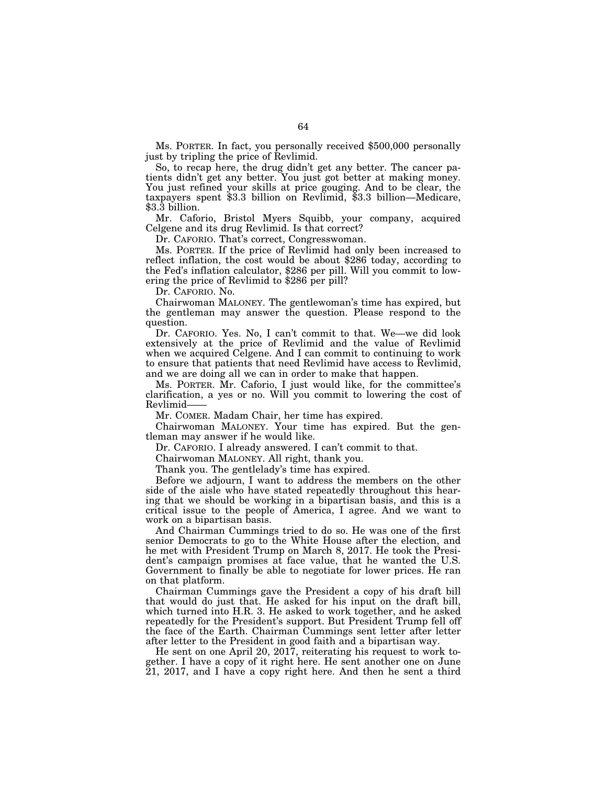Ms. PORTER. In fact, you personally received \$500,000 personally just by tripling the price of Revlimid.

So, to recap here, the drug didn't get any better. The cancer patients didn't get any better. You just got better at making money. You just refined your skills at price gouging. And to be clear, the taxpayers spent \$3.3 billion on Revlimid, \$3.3 billion—Medicare, \$3.3 billion.

Mr. Caforio, Bristol Myers Squibb, your company, acquired Celgene and its drug Revlimid. Is that correct?

Dr. CAFORIO. That's correct, Congresswoman.

Ms. PORTER. If the price of Revlimid had only been increased to reflect inflation, the cost would be about \$286 today, according to the Fed's inflation calculator, \$286 per pill. Will you commit to lowering the price of Revlimid to \$286 per pill?

Dr. CAFORIO. No.

Chairwoman MALONEY. The gentlewoman's time has expired, but the gentleman may answer the question. Please respond to the question.

Dr. CAFORIO. Yes. No, I can't commit to that. We—we did look extensively at the price of Revlimid and the value of Revlimid when we acquired Celgene. And I can commit to continuing to work to ensure that patients that need Revlimid have access to Revlimid, and we are doing all we can in order to make that happen.

Ms. PORTER. Mr. Caforio, I just would like, for the committee's clarification, a yes or no. Will you commit to lowering the cost of Revlimid-

Mr. COMER. Madam Chair, her time has expired.

Chairwoman MALONEY. Your time has expired. But the gentleman may answer if he would like.

Dr. CAFORIO. I already answered. I can't commit to that.

Chairwoman MALONEY. All right, thank you.

Thank you. The gentlelady's time has expired.

Before we adjourn, I want to address the members on the other side of the aisle who have stated repeatedly throughout this hearing that we should be working in a bipartisan basis, and this is a critical issue to the people of America, I agree. And we want to work on a bipartisan basis.

And Chairman Cummings tried to do so. He was one of the first senior Democrats to go to the White House after the election, and he met with President Trump on March 8, 2017. He took the President's campaign promises at face value, that he wanted the U.S. Government to finally be able to negotiate for lower prices. He ran on that platform.

Chairman Cummings gave the President a copy of his draft bill that would do just that. He asked for his input on the draft bill, which turned into H.R. 3. He asked to work together, and he asked repeatedly for the President's support. But President Trump fell off the face of the Earth. Chairman Cummings sent letter after letter after letter to the President in good faith and a bipartisan way.

He sent on one April 20, 2017, reiterating his request to work together. I have a copy of it right here. He sent another one on June 21, 2017, and I have a copy right here. And then he sent a third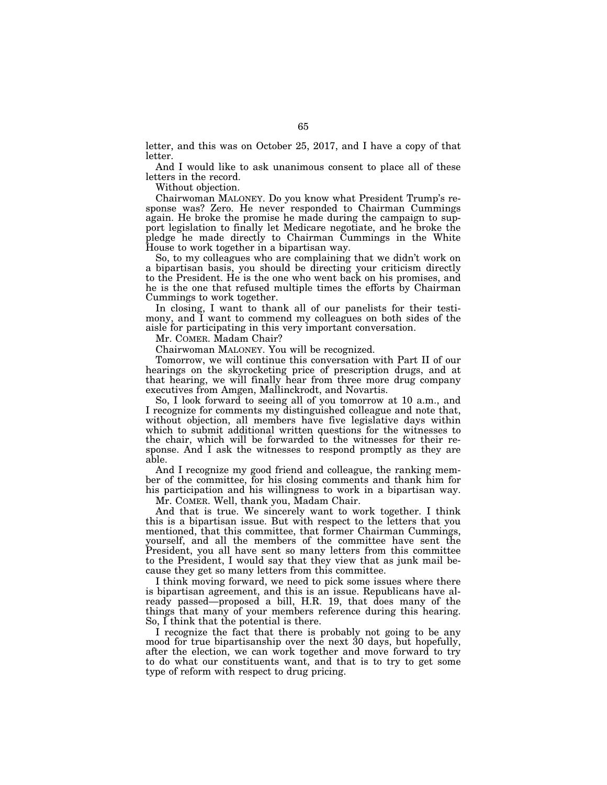letter, and this was on October 25, 2017, and I have a copy of that letter.

And I would like to ask unanimous consent to place all of these letters in the record.

Without objection.

Chairwoman MALONEY. Do you know what President Trump's response was? Zero. He never responded to Chairman Cummings again. He broke the promise he made during the campaign to support legislation to finally let Medicare negotiate, and he broke the pledge he made directly to Chairman Cummings in the White House to work together in a bipartisan way.

So, to my colleagues who are complaining that we didn't work on a bipartisan basis, you should be directing your criticism directly to the President. He is the one who went back on his promises, and he is the one that refused multiple times the efforts by Chairman Cummings to work together.

In closing, I want to thank all of our panelists for their testimony, and I want to commend my colleagues on both sides of the aisle for participating in this very important conversation.

Mr. COMER. Madam Chair?

Chairwoman MALONEY. You will be recognized.

Tomorrow, we will continue this conversation with Part II of our hearings on the skyrocketing price of prescription drugs, and at that hearing, we will finally hear from three more drug company executives from Amgen, Mallinckrodt, and Novartis.

So, I look forward to seeing all of you tomorrow at 10 a.m., and I recognize for comments my distinguished colleague and note that, without objection, all members have five legislative days within which to submit additional written questions for the witnesses to the chair, which will be forwarded to the witnesses for their response. And I ask the witnesses to respond promptly as they are able.

And I recognize my good friend and colleague, the ranking member of the committee, for his closing comments and thank him for his participation and his willingness to work in a bipartisan way.

Mr. COMER. Well, thank you, Madam Chair.

And that is true. We sincerely want to work together. I think this is a bipartisan issue. But with respect to the letters that you mentioned, that this committee, that former Chairman Cummings, yourself, and all the members of the committee have sent the President, you all have sent so many letters from this committee to the President, I would say that they view that as junk mail because they get so many letters from this committee.

I think moving forward, we need to pick some issues where there is bipartisan agreement, and this is an issue. Republicans have already passed—proposed a bill, H.R. 19, that does many of the things that many of your members reference during this hearing. So, I think that the potential is there.

I recognize the fact that there is probably not going to be any mood for true bipartisanship over the next 30 days, but hopefully, after the election, we can work together and move forward to try to do what our constituents want, and that is to try to get some type of reform with respect to drug pricing.